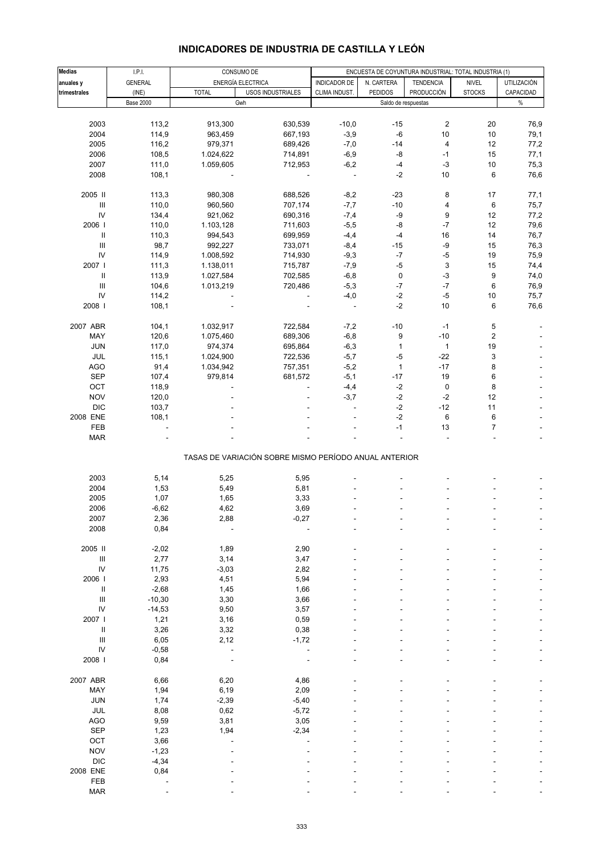| <b>Medias</b>                      | I.P.I.           |              | ENCUESTA DE COYUNTURA INDUSTRIAL: TOTAL INDUSTRIA (1) |                          |                   |                         |                  |                    |
|------------------------------------|------------------|--------------|-------------------------------------------------------|--------------------------|-------------------|-------------------------|------------------|--------------------|
|                                    |                  |              | CONSUMO DE                                            |                          |                   |                         |                  |                    |
| anuales y                          | GENERAL          |              | ENERGÍA ELECTRICA                                     | INDICADOR DE             | N. CARTERA        | <b>TENDENCIA</b>        | <b>NIVEL</b>     | <b>UTILIZACIÓN</b> |
| trimestrales                       | (INE)            | <b>TOTAL</b> | USOS INDUSTRIALES                                     | CLIMA INDUST.            | <b>PEDIDOS</b>    | PRODUCCIÓN              | <b>STOCKS</b>    | CAPACIDAD          |
|                                    | <b>Base 2000</b> |              | Gwh                                                   |                          |                   | Saldo de respuestas     |                  | $\%$               |
|                                    |                  |              |                                                       |                          |                   |                         |                  |                    |
| 2003                               | 113,2            | 913,300      | 630,539                                               | $-10,0$                  | $-15$             | $\overline{\mathbf{c}}$ | 20               | 76,9               |
| 2004                               | 114,9            | 963,459      | 667,193                                               | $-3,9$                   | $-6$              | 10                      | 10               | 79,1               |
| 2005                               | 116,2            | 979,371      | 689,426                                               | $-7,0$                   | $-14$             | 4                       | 12               | 77,2               |
| 2006                               | 108,5            | 1.024,622    | 714,891                                               | $-6,9$                   | -8                | $-1$                    | 15               | 77,1               |
| 2007                               | 111,0            | 1.059,605    | 712,953                                               | $-6,2$                   | $-4$              | $-3$                    | 10               | 75,3               |
| 2008                               | 108,1            |              |                                                       | $\overline{\phantom{a}}$ | $-2$              | 10                      | 6                | 76,6               |
|                                    |                  |              |                                                       |                          |                   |                         |                  |                    |
| 2005 II                            | 113,3            | 980,308      | 688,526                                               | $-8,2$                   | $-23$             | 8                       | 17               | 77,1               |
| $\mathsf{III}\,$                   | 110,0            | 960,560      | 707,174                                               | $-7,7$                   | $-10$             | 4                       | 6                | 75,7               |
| IV                                 | 134,4            | 921,062      | 690,316                                               | $-7,4$                   | -9                | 9                       | 12               | 77,2               |
|                                    |                  |              |                                                       |                          | -8                | $-7$                    | 12               |                    |
| 2006                               | 110,0            | 1.103,128    | 711,603                                               | $-5,5$                   |                   |                         |                  | 79,6               |
| Ш                                  | 110,3            | 994,543      | 699,959                                               | $-4,4$                   | $-4$              | 16                      | 14               | 76,7               |
| $\ensuremath{\mathsf{III}}\xspace$ | 98,7             | 992,227      | 733,071                                               | $-8,4$                   | $-15$             | -9                      | 15               | 76,3               |
| IV                                 | 114,9            | 1.008,592    | 714,930                                               | $-9,3$                   | $\textnormal{-}7$ | $-5$                    | 19               | 75,9               |
| 2007 l                             | 111,3            | 1.138,011    | 715,787                                               | $-7,9$                   | $-5$              | 3                       | 15               | 74,4               |
| Ш                                  | 113,9            | 1.027,584    | 702,585                                               | $-6,8$                   | 0                 | $-3$                    | 9                | 74,0               |
| $\ensuremath{\mathsf{III}}\xspace$ | 104,6            | 1.013,219    | 720,486                                               | $-5,3$                   | $\textnormal{-}7$ | $\textnormal{-}7$       | 6                | 76,9               |
| IV                                 | 114,2            |              |                                                       | $-4,0$                   | $-2$              | $-5$                    | 10               | 75,7               |
| 2008                               | 108,1            |              |                                                       | ÷,                       | $-2$              | 10                      | 6                | 76,6               |
|                                    |                  |              |                                                       |                          |                   |                         |                  |                    |
| 2007 ABR                           | 104,1            | 1.032,917    | 722,584                                               | $-7,2$                   | $-10$             | $-1$                    | 5                |                    |
| MAY                                | 120,6            | 1.075,460    | 689,306                                               | $-6,8$                   | 9                 | $-10$                   | $\boldsymbol{2}$ |                    |
| <b>JUN</b>                         |                  | 974,374      |                                                       |                          | $\mathbf{1}$      | $\mathbf{1}$            |                  |                    |
|                                    | 117,0            |              | 695,864                                               | $-6,3$                   |                   |                         | 19               |                    |
| JUL                                | 115,1            | 1.024,900    | 722,536                                               | $-5,7$                   | $-5$              | $-22$                   | 3                |                    |
| AGO                                | 91,4             | 1.034,942    | 757,351                                               | $-5,2$                   | $\mathbf{1}$      | $-17$                   | 8                |                    |
| <b>SEP</b>                         | 107,4            | 979,814      | 681,572                                               | $-5,1$                   | $-17$             | 19                      | 6                |                    |
| OCT                                | 118,9            |              |                                                       | $-4,4$                   | $-2$              | 0                       | 8                |                    |
| <b>NOV</b>                         | 120,0            |              |                                                       | $-3,7$                   | $-2$              | $-2$                    | 12               |                    |
| <b>DIC</b>                         | 103,7            |              |                                                       | L,                       | $-2$              | $-12$                   | 11               |                    |
| 2008 ENE                           | 108,1            |              |                                                       |                          | $-2$              | 6                       | 6                |                    |
| FEB                                |                  |              |                                                       |                          | $-1$              | 13                      | $\overline{7}$   |                    |
| <b>MAR</b>                         |                  |              |                                                       |                          |                   |                         |                  |                    |
|                                    |                  |              |                                                       |                          |                   |                         |                  |                    |
|                                    |                  |              | TASAS DE VARIACIÓN SOBRE MISMO PERÍODO ANUAL ANTERIOR |                          |                   |                         |                  |                    |
|                                    |                  |              |                                                       |                          |                   |                         |                  |                    |
| 2003                               | 5,14             | 5,25         | 5,95                                                  |                          |                   |                         |                  |                    |
| 2004                               |                  |              |                                                       |                          |                   |                         |                  |                    |
|                                    | 1,53             | 5,49         | 5,81                                                  |                          |                   |                         |                  |                    |
| 2005                               | 1,07             | 1,65         | 3,33                                                  |                          |                   |                         |                  |                    |
| 2006                               | $-6,62$          | 4,62         | 3,69                                                  |                          |                   |                         |                  |                    |
| 2007                               | 2,36             | 2,88         | $-0,27$                                               |                          |                   |                         |                  |                    |
| 2008                               | 0,84             |              |                                                       |                          |                   |                         |                  |                    |
|                                    |                  |              |                                                       |                          |                   |                         |                  |                    |
| 2005 II                            | $-2,02$          | 1,89         | 2,90                                                  |                          |                   |                         |                  |                    |
| $\begin{array}{c} \Pi \end{array}$ | 2,77             | 3,14         | 3,47                                                  |                          |                   |                         |                  |                    |
| IV                                 | 11,75            | $-3,03$      | 2,82                                                  |                          |                   |                         |                  |                    |
| 2006                               | 2,93             | 4,51         | 5,94                                                  |                          |                   |                         |                  |                    |
| $\ensuremath{\mathsf{II}}$         | $-2,68$          | 1,45         | 1,66                                                  |                          |                   |                         |                  |                    |
| $\ensuremath{\mathsf{III}}\xspace$ | $-10,30$         | 3,30         | 3,66                                                  |                          |                   |                         |                  |                    |
| IV                                 | $-14,53$         | 9,50         | 3,57                                                  |                          |                   |                         |                  |                    |
| 2007 l                             | 1,21             | 3,16         | 0,59                                                  |                          |                   |                         |                  |                    |
| $\ensuremath{\mathsf{II}}$         | 3,26             | 3,32         | 0,38                                                  |                          |                   |                         |                  |                    |
|                                    |                  |              |                                                       |                          |                   |                         |                  |                    |
| $\ensuremath{\mathsf{III}}\xspace$ | 6,05             | 2,12         | $-1,72$                                               |                          |                   |                         |                  |                    |
| IV                                 | $-0,58$          | ÷,           |                                                       |                          |                   |                         |                  |                    |
| 2008                               | 0,84             |              |                                                       |                          |                   |                         |                  |                    |
|                                    |                  |              |                                                       |                          |                   |                         |                  |                    |
| 2007 ABR                           | 6,66             | 6,20         | 4,86                                                  |                          |                   |                         |                  |                    |
| MAY                                | 1,94             | 6,19         | 2,09                                                  |                          |                   |                         |                  |                    |
| <b>JUN</b>                         | 1,74             | $-2,39$      | $-5,40$                                               |                          |                   |                         |                  |                    |
| JUL                                | 8,08             | 0,62         | $-5,72$                                               |                          |                   |                         |                  |                    |
| <b>AGO</b>                         | 9,59             | 3,81         | 3,05                                                  |                          |                   |                         |                  |                    |
| <b>SEP</b>                         | 1,23             | 1,94         | $-2,34$                                               |                          |                   |                         |                  |                    |
| OCT                                | 3,66             |              |                                                       |                          |                   |                         |                  |                    |
| <b>NOV</b>                         | $-1,23$          |              |                                                       |                          |                   |                         |                  |                    |
| <b>DIC</b>                         | $-4,34$          |              |                                                       |                          |                   |                         |                  |                    |
|                                    |                  |              |                                                       |                          |                   |                         |                  |                    |
| 2008 ENE                           | 0,84             |              |                                                       |                          |                   |                         |                  |                    |
| FEB                                |                  |              |                                                       |                          |                   |                         |                  |                    |
| <b>MAR</b>                         |                  |              |                                                       |                          |                   |                         |                  |                    |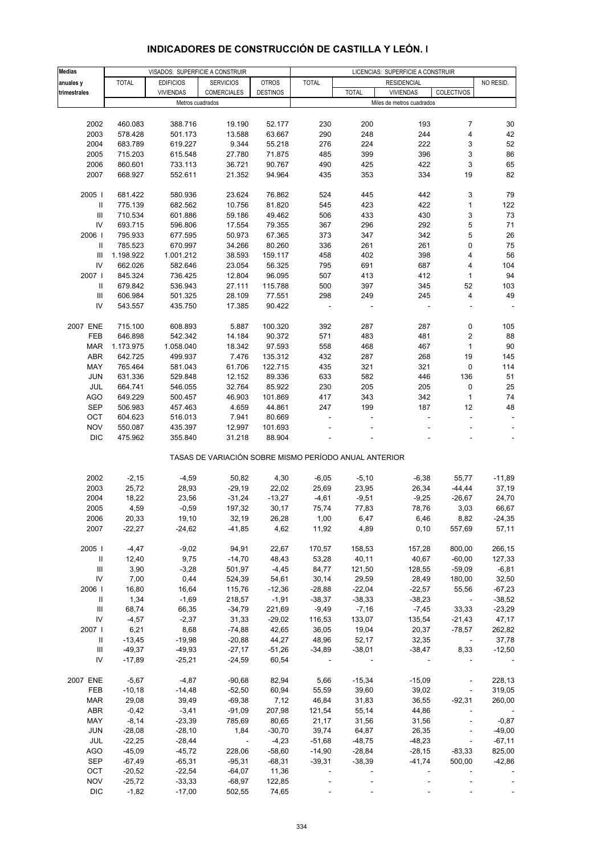| <b>Medias</b>                      |              | VISADOS: SUPERFICIE A CONSTRUIR |                                                       |                 |              |              | LICENCIAS: SUPERFICIE A CONSTRUIR |                          |           |
|------------------------------------|--------------|---------------------------------|-------------------------------------------------------|-----------------|--------------|--------------|-----------------------------------|--------------------------|-----------|
|                                    |              |                                 |                                                       |                 |              |              |                                   |                          |           |
| anuales y                          | <b>TOTAL</b> | <b>EDIFICIOS</b>                | <b>SERVICIOS</b>                                      | <b>OTROS</b>    | <b>TOTAL</b> |              | <b>RESIDENCIAL</b>                |                          | NO RESID. |
| trimestrales                       |              | <b>VIVIENDAS</b>                | <b>COMERCIALES</b>                                    | <b>DESTINOS</b> |              | <b>TOTAL</b> | <b>VIVIENDAS</b>                  | COLECTIVOS               |           |
|                                    |              | Metros cuadrados                |                                                       |                 |              |              | Miles de metros cuadrados         |                          |           |
|                                    |              |                                 |                                                       |                 |              |              |                                   |                          |           |
| 2002                               | 460.083      | 388.716                         | 19.190                                                | 52.177          | 230          | 200          | 193                               | 7                        | 30        |
| 2003                               | 578.428      | 501.173                         | 13.588                                                | 63.667          | 290          | 248          | 244                               | 4                        | 42        |
| 2004                               | 683.789      | 619.227                         | 9.344                                                 | 55.218          | 276          | 224          | 222                               | 3                        | 52        |
| 2005                               | 715.203      | 615.548                         | 27.780                                                | 71.875          | 485          | 399          | 396                               | 3                        | 86        |
|                                    |              |                                 |                                                       |                 |              |              |                                   |                          |           |
| 2006                               | 860.601      | 733.113                         | 36.721                                                | 90.767          | 490          | 425          | 422                               | 3                        | 65        |
| 2007                               | 668.927      | 552.611                         | 21.352                                                | 94.964          | 435          | 353          | 334                               | 19                       | 82        |
|                                    |              |                                 |                                                       |                 |              |              |                                   |                          |           |
| 2005                               | 681.422      | 580.936                         | 23.624                                                | 76.862          | 524          | 445          | 442                               | 3                        | 79        |
| Ш                                  | 775.139      | 682.562                         | 10.756                                                | 81.820          | 545          | 423          | 422                               | 1                        | 122       |
| $\ensuremath{\mathsf{III}}\xspace$ | 710.534      | 601.886                         | 59.186                                                | 49.462          | 506          | 433          | 430                               | 3                        | 73        |
| IV                                 | 693.715      | 596.806                         | 17.554                                                | 79.355          | 367          | 296          | 292                               | 5                        | 71        |
| 2006                               | 795.933      | 677.595                         | 50.973                                                | 67.365          | 373          | 347          | 342                               | 5                        | 26        |
|                                    |              |                                 |                                                       |                 |              |              |                                   |                          |           |
| Ш                                  | 785.523      | 670.997                         | 34.266                                                | 80.260          | 336          | 261          | 261                               | 0                        | 75        |
| Ш                                  | 1.198.922    | 1.001.212                       | 38.593                                                | 159.117         | 458          | 402          | 398                               | 4                        | 56        |
| IV                                 | 662.026      | 582.646                         | 23.054                                                | 56.325          | 795          | 691          | 687                               | 4                        | 104       |
| 2007                               | 845.324      | 736.425                         | 12.804                                                | 96.095          | 507          | 413          | 412                               | 1                        | 94        |
| $\ensuremath{\mathsf{II}}$         | 679.842      | 536.943                         | 27.111                                                | 115.788         | 500          | 397          | 345                               | 52                       | 103       |
| $\ensuremath{\mathsf{III}}\xspace$ | 606.984      | 501.325                         | 28.109                                                | 77.551          | 298          | 249          | 245                               | 4                        | 49        |
| IV                                 |              | 435.750                         |                                                       |                 |              |              |                                   |                          |           |
|                                    | 543.557      |                                 | 17.385                                                | 90.422          |              |              |                                   |                          |           |
|                                    |              |                                 |                                                       |                 |              |              |                                   |                          |           |
| 2007 ENE                           | 715.100      | 608.893                         | 5.887                                                 | 100.320         | 392          | 287          | 287                               | 0                        | 105       |
| FEB                                | 646.898      | 542.342                         | 14.184                                                | 90.372          | 571          | 483          | 481                               | $\overline{\mathbf{c}}$  | 88        |
| <b>MAR</b>                         | 1.173.975    | 1.058.040                       | 18.342                                                | 97.593          | 558          | 468          | 467                               | 1                        | 90        |
| ABR                                | 642.725      | 499.937                         | 7.476                                                 | 135.312         | 432          | 287          | 268                               | 19                       | 145       |
| MAY                                | 765.464      | 581.043                         | 61.706                                                | 122.715         | 435          | 321          | 321                               | 0                        | 114       |
| <b>JUN</b>                         | 631.336      | 529.848                         | 12.152                                                | 89.336          | 633          | 582          | 446                               | 136                      | 51        |
|                                    |              |                                 |                                                       |                 |              |              |                                   |                          |           |
| JUL                                | 664.741      | 546.055                         | 32.764                                                | 85.922          | 230          | 205          | 205                               | 0                        | 25        |
| <b>AGO</b>                         | 649.229      | 500.457                         | 46.903                                                | 101.869         | 417          | 343          | 342                               | 1                        | 74        |
| <b>SEP</b>                         | 506.983      | 457.463                         | 4.659                                                 | 44.861          | 247          | 199          | 187                               | 12                       | 48        |
| OCT                                | 604.623      | 516.013                         | 7.941                                                 | 80.669          |              |              |                                   |                          |           |
| <b>NOV</b>                         | 550.087      | 435.397                         | 12.997                                                | 101.693         |              |              |                                   |                          |           |
| <b>DIC</b>                         | 475.962      | 355.840                         | 31.218                                                | 88.904          |              |              |                                   |                          |           |
|                                    |              |                                 |                                                       |                 |              |              |                                   |                          |           |
|                                    |              |                                 | TASAS DE VARIACIÓN SOBRE MISMO PERÍODO ANUAL ANTERIOR |                 |              |              |                                   |                          |           |
|                                    |              |                                 |                                                       |                 |              |              |                                   |                          |           |
|                                    |              |                                 |                                                       |                 |              |              |                                   |                          |           |
| 2002                               | $-2,15$      | $-4,59$                         | 50,82                                                 | 4,30            | $-6,05$      | $-5,10$      | $-6,38$                           | 55,77                    | $-11,89$  |
| 2003                               | 25,72        | 28,93                           | $-29,19$                                              | 22,02           | 25,69        | 23,95        | 26,34                             | $-44,44$                 | 37,19     |
| 2004                               | 18,22        | 23,56                           | $-31,24$                                              | $-13,27$        | $-4,61$      | $-9,51$      | $-9,25$                           | $-26,67$                 | 24,70     |
| 2005                               | 4,59         | $-0,59$                         | 197,32                                                | 30,17           | 75,74        | 77,83        | 78,76                             | 3,03                     | 66,67     |
| 2006                               | 20,33        | 19,10                           | 32,19                                                 | 26,28           | 1,00         | 6,47         | 6,46                              | 8,82                     | $-24,35$  |
| 2007                               | $-22,27$     | $-24,62$                        | $-41,85$                                              | 4,62            | 11,92        | 4,89         | 0, 10                             | 557,69                   | 57,11     |
|                                    |              |                                 |                                                       |                 |              |              |                                   |                          |           |
|                                    |              |                                 |                                                       |                 |              |              |                                   |                          |           |
| 2005                               | $-4,47$      | $-9,02$                         | 94,91                                                 | 22,67           | 170,57       | 158,53       | 157,28                            | 800,00                   | 266,15    |
| Ш                                  | 12,40        | 9,75                            | $-14,70$                                              | 48,43           | 53,28        | 40,11        | 40,67                             | $-60,00$                 | 127,33    |
| Ш                                  | 3,90         | $-3,28$                         | 501,97                                                | $-4,45$         | 84,77        | 121,50       | 128,55                            | $-59,09$                 | $-6,81$   |
| ${\sf IV}$                         | 7,00         | 0,44                            | 524,39                                                | 54,61           | 30,14        | 29,59        | 28,49                             | 180,00                   | 32,50     |
| 2006                               | 16,80        | 16,64                           | 115,76                                                | $-12,36$        | $-28,88$     | $-22,04$     | $-22,57$                          | 55,56                    | $-67,23$  |
| Ш                                  | 1,34         | $-1,69$                         | 218,57                                                | $-1,91$         | $-38,37$     | $-38,33$     | $-38,23$                          | $\sim$                   | $-38,52$  |
| $\ensuremath{\mathsf{III}}\xspace$ | 68,74        | 66,35                           | $-34,79$                                              | 221,69          | $-9,49$      | $-7,16$      | $-7,45$                           | 33,33                    | $-23,29$  |
| ${\sf IV}$                         | $-4,57$      | $-2,37$                         | 31,33                                                 | $-29,02$        | 116,53       | 133,07       | 135,54                            | $-21,43$                 | 47,17     |
|                                    |              |                                 |                                                       |                 |              |              |                                   |                          |           |
| 2007                               | 6,21         | 8,68                            | $-74,88$                                              | 42,65           | 36,05        | 19,04        | 20,37                             | $-78,57$                 | 262,82    |
| Ш                                  | $-13,45$     | $-19,98$                        | $-20,88$                                              | 44,27           | 48,96        | 52,17        | 32,35                             |                          | 37,78     |
| $\ensuremath{\mathsf{III}}\xspace$ | $-49,37$     | $-49,93$                        | $-27,17$                                              | $-51,26$        | $-34,89$     | $-38,01$     | $-38,47$                          | 8,33                     | $-12,50$  |
| ${\sf IV}$                         | $-17,89$     | $-25,21$                        | $-24,59$                                              | 60,54           |              |              |                                   |                          |           |
|                                    |              |                                 |                                                       |                 |              |              |                                   |                          |           |
| 2007 ENE                           | $-5,67$      | $-4,87$                         | $-90,68$                                              | 82,94           | 5,66         | $-15,34$     | $-15,09$                          |                          | 228,13    |
| FEB                                | $-10,18$     | $-14,48$                        | $-52,50$                                              | 60,94           | 55,59        | 39,60        | 39,02                             |                          | 319,05    |
| <b>MAR</b>                         | 29,08        | 39,49                           | $-69,38$                                              | 7,12            | 46,84        | 31,83        | 36,55                             | $-92,31$                 | 260,00    |
|                                    |              |                                 |                                                       |                 |              |              |                                   |                          |           |
| ABR                                | $-0,42$      | $-3,41$                         | $-91,09$                                              | 207,98          | 121,54       | 55,14        | 44,86                             |                          |           |
| MAY                                | $-8,14$      | $-23,39$                        | 785,69                                                | 80,65           | 21,17        | 31,56        | 31,56                             |                          | $-0,87$   |
| <b>JUN</b>                         | $-28,08$     | $-28,10$                        | 1,84                                                  | $-30,70$        | 39,74        | 64,87        | 26,35                             |                          | $-49,00$  |
| JUL                                | $-22,25$     | $-28,44$                        | $\overline{\phantom{a}}$                              | $-4,23$         | $-51,68$     | $-48,75$     | $-48,23$                          | $\overline{\phantom{a}}$ | $-67,11$  |
| AGO                                | $-45,09$     | $-45,72$                        | 228,06                                                | $-58,60$        | $-14,90$     | $-28,84$     | $-28,15$                          | $-83,33$                 | 825,00    |
| <b>SEP</b>                         | $-67,49$     | $-65,31$                        | $-95,31$                                              | $-68,31$        | $-39,31$     | $-38,39$     | $-41,74$                          | 500,00                   | $-42,86$  |
| OCT                                | $-20,52$     | $-22,54$                        | $-64,07$                                              | 11,36           |              |              |                                   |                          |           |
| <b>NOV</b>                         | $-25,72$     | $-33,33$                        | $-68,97$                                              | 122,85          |              |              |                                   |                          |           |
|                                    |              |                                 |                                                       |                 |              |              |                                   |                          |           |

#### **INDICADORES DE CONSTRUCCIÓN DE CASTILLA Y LEÓN. I**

DIC -1,82 -17,00 502,55 74,65 - - - - -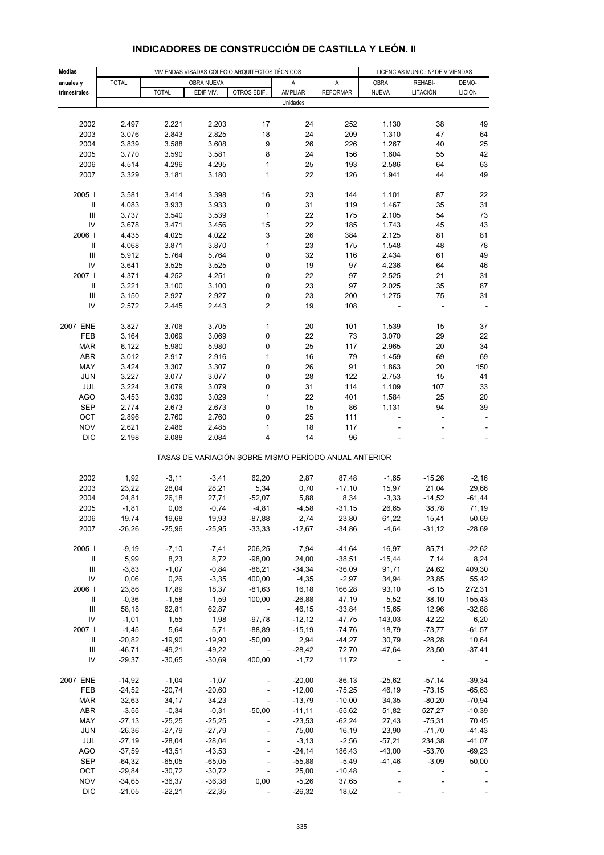| <b>Medias</b>                      |                    |                  |                   | VIVIENDAS VISADAS COLEGIO ARQUITECTOS TÉCNICOS |                                                       |                    | LICENCIAS MUNIC.: Nº DE VIVIENDAS |                   |                  |  |
|------------------------------------|--------------------|------------------|-------------------|------------------------------------------------|-------------------------------------------------------|--------------------|-----------------------------------|-------------------|------------------|--|
| anuales y                          | <b>TOTAL</b>       |                  | <b>OBRA NUEVA</b> |                                                | Α                                                     | Α                  | <b>OBRA</b>                       | REHABI-           | DEMO-            |  |
| trimestrales                       |                    | <b>TOTAL</b>     | EDIF.VIV.         | OTROS EDIF.                                    | AMPLIAR                                               | <b>REFORMAR</b>    | <b>NUEVA</b>                      | LITACIÓN          | <b>LICIÓN</b>    |  |
|                                    |                    |                  |                   |                                                | Unidades                                              |                    |                                   |                   |                  |  |
|                                    |                    |                  |                   |                                                |                                                       |                    |                                   |                   |                  |  |
| 2002                               | 2.497              | 2.221            | 2.203             | 17                                             | 24                                                    | 252                | 1.130                             | 38                | 49               |  |
| 2003                               | 3.076              | 2.843            | 2.825             | 18                                             | 24                                                    | 209                | 1.310                             | 47                | 64               |  |
| 2004                               | 3.839              | 3.588            | 3.608             | 9                                              | 26                                                    | 226                | 1.267                             | 40                | 25               |  |
| 2005                               | 3.770              | 3.590            | 3.581             | 8                                              | 24                                                    | 156                | 1.604                             | 55                | 42               |  |
| 2006                               | 4.514              | 4.296            | 4.295             | 1                                              | 25                                                    | 193                | 2.586                             | 64                | 63               |  |
| 2007                               | 3.329              | 3.181            | 3.180             | $\mathbf{1}$                                   | 22                                                    | 126                | 1.941                             | 44                | 49               |  |
| 2005                               | 3.581              | 3.414            | 3.398             | 16                                             | 23                                                    | 144                | 1.101                             | 87                | 22               |  |
| $\, \parallel$                     | 4.083              | 3.933            | 3.933             | 0                                              | 31                                                    | 119                | 1.467                             | 35                | 31               |  |
| III                                | 3.737              | 3.540            | 3.539             | $\mathbf{1}$                                   | 22                                                    | 175                | 2.105                             | 54                | 73               |  |
| IV                                 | 3.678              | 3.471            | 3.456             | 15                                             | 22                                                    | 185                | 1.743                             | 45                | 43               |  |
| 2006                               | 4.435              | 4.025            | 4.022             | 3                                              | 26                                                    | 384                | 2.125                             | 81                | 81               |  |
| Ш                                  | 4.068              | 3.871            | 3.870             | $\mathbf{1}$                                   | 23                                                    | 175                | 1.548                             | 48                | 78               |  |
| $\ensuremath{\mathsf{III}}\xspace$ | 5.912              | 5.764            | 5.764             | 0                                              | 32                                                    | 116                | 2.434                             | 61                | 49               |  |
| IV                                 | 3.641              | 3.525            | 3.525             | 0                                              | 19                                                    | 97                 | 4.236                             | 64                | 46               |  |
| 2007 l                             | 4.371              | 4.252            | 4.251             | 0                                              | 22                                                    | 97                 | 2.525                             | 21                | 31               |  |
| $\, \parallel$                     | 3.221              | 3.100            | 3.100             | 0                                              | 23                                                    | 97                 | 2.025                             | 35                | 87               |  |
| $\ensuremath{\mathsf{III}}\xspace$ | 3.150              | 2.927            | 2.927             | 0                                              | 23                                                    | 200                | 1.275                             | 75                | 31               |  |
| IV                                 | 2.572              | 2.445            | 2.443             | 2                                              | 19                                                    | 108                |                                   |                   |                  |  |
|                                    |                    |                  |                   |                                                |                                                       |                    |                                   |                   |                  |  |
| 2007 ENE                           | 3.827              | 3.706            | 3.705             | $\mathbf{1}$                                   | 20                                                    | 101                | 1.539                             | 15                | 37               |  |
| FEB                                | 3.164              | 3.069            | 3.069             | 0                                              | 22                                                    | 73                 | 3.070                             | 29                | 22               |  |
| <b>MAR</b>                         | 6.122              | 5.980            | 5.980             | 0                                              | 25                                                    | 117                | 2.965                             | 20                | 34               |  |
| ABR                                | 3.012              | 2.917            | 2.916             | $\mathbf{1}$                                   | 16                                                    | 79                 | 1.459                             | 69                | 69               |  |
| MAY<br>JUN                         | 3.424<br>3.227     | 3.307<br>3.077   | 3.307<br>3.077    | 0<br>0                                         | 26<br>28                                              | 91<br>122          | 1.863<br>2.753                    | 20<br>15          | 150<br>41        |  |
| JUL                                | 3.224              | 3.079            | 3.079             | 0                                              | 31                                                    | 114                | 1.109                             | 107               | 33               |  |
| <b>AGO</b>                         | 3.453              | 3.030            | 3.029             | $\mathbf{1}$                                   | 22                                                    | 401                | 1.584                             | 25                | 20               |  |
| <b>SEP</b>                         | 2.774              | 2.673            | 2.673             | 0                                              | 15                                                    | 86                 | 1.131                             | 94                | 39               |  |
| OCT                                | 2.896              | 2.760            | 2.760             | 0                                              | 25                                                    | 111                |                                   | ٠                 |                  |  |
| <b>NOV</b>                         | 2.621              | 2.486            | 2.485             | $\mathbf{1}$                                   | 18                                                    | 117                |                                   |                   |                  |  |
| <b>DIC</b>                         | 2.198              | 2.088            | 2.084             | 4                                              | 14                                                    | 96                 |                                   |                   |                  |  |
|                                    |                    |                  |                   |                                                |                                                       |                    |                                   |                   |                  |  |
|                                    |                    |                  |                   |                                                | TASAS DE VARIACIÓN SOBRE MISMO PERÍODO ANUAL ANTERIOR |                    |                                   |                   |                  |  |
|                                    |                    |                  |                   |                                                |                                                       |                    |                                   |                   |                  |  |
| 2002<br>2003                       | 1,92<br>23,22      | $-3,11$<br>28,04 | $-3,41$<br>28,21  | 62,20<br>5,34                                  | 2,87<br>0,70                                          | 87,48<br>$-17,10$  | $-1,65$<br>15,97                  | $-15,26$<br>21,04 | $-2,16$<br>29,66 |  |
| 2004                               | 24,81              | 26,18            | 27,71             | $-52,07$                                       | 5,88                                                  | 8,34               | $-3,33$                           | $-14,52$          | $-61,44$         |  |
| 2005                               | $-1,81$            | 0,06             | $-0,74$           | $-4,81$                                        | $-4,58$                                               | $-31,15$           | 26,65                             | 38,78             | 71,19            |  |
| 2006                               | 19,74              | 19,68            | 19,93             | -87,88                                         | 2,74                                                  | 23,80              | 61,22                             | 15,41             | 50,69            |  |
| 2007                               | $-26,26$           | $-25,96$         | $-25,95$          | $-33,33$                                       | -12,67                                                | $-34,86$           | -4,64                             | $-31,12$          | $-28,69$         |  |
|                                    |                    |                  |                   |                                                |                                                       |                    |                                   |                   |                  |  |
| 2005                               | $-9,19$            | $-7,10$          | $-7,41$           | 206,25                                         | 7,94                                                  | $-41,64$           | 16,97                             | 85,71             | $-22,62$         |  |
| Ш                                  | 5,99               | 8,23             | 8,72              | $-98,00$                                       | 24,00                                                 | $-38,51$           | $-15,44$                          | 7,14              | 8,24             |  |
| Ш                                  | $-3,83$            | $-1,07$          | $-0,84$           | $-86,21$                                       | $-34,34$                                              | $-36,09$           | 91,71                             | 24,62             | 409,30           |  |
| IV                                 | 0,06               | 0,26             | $-3,35$           | 400,00                                         | $-4,35$                                               | $-2,97$            | 34,94                             | 23,85             | 55,42            |  |
| 2006                               | 23,86              | 17,89            | 18,37             | $-81,63$                                       | 16,18                                                 | 166,28             | 93,10                             | $-6, 15$          | 272,31           |  |
| $\mathbf{II}$                      | $-0,36$            | $-1,58$          | $-1,59$           | 100,00                                         | $-26,88$                                              | 47,19              | 5,52                              | 38,10             | 155,43           |  |
| $\ensuremath{\mathsf{III}}\xspace$ | 58,18              | 62,81            | 62,87             | $\sim 100$ km $^{-1}$                          | 46,15                                                 | $-33,84$           | 15,65                             | 12,96             | $-32,88$         |  |
| IV<br>2007                         | $-1,01$<br>$-1,45$ | 1,55<br>5,64     | 1,98<br>5,71      | $-97,78$<br>$-88,89$                           | $-12,12$<br>$-15,19$                                  | $-47,75$<br>-74,76 | 143,03<br>18,79                   | 42,22<br>$-73,77$ | 6,20<br>$-61,57$ |  |
| Ш                                  | $-20,82$           | $-19,90$         | $-19,90$          | $-50,00$                                       | 2,94                                                  | $-44,27$           | 30,79                             | $-28,28$          | 10,64            |  |
| Ш                                  | $-46,71$           | $-49,21$         | $-49,22$          | $\sim 10^{-10}$ m $^{-1}$                      | $-28,42$                                              | 72,70              | $-47,64$                          | 23,50             | $-37,41$         |  |
| IV                                 | $-29,37$           | $-30,65$         | $-30,69$          | 400,00                                         | $-1,72$                                               | 11,72              |                                   |                   |                  |  |
|                                    |                    |                  |                   |                                                |                                                       |                    |                                   |                   |                  |  |
| 2007 ENE                           | $-14,92$           | $-1,04$          | $-1,07$           | $\blacksquare$                                 | $-20,00$                                              | $-86, 13$          | $-25,62$                          | $-57,14$          | $-39,34$         |  |
| FEB                                | $-24,52$           | $-20,74$         | $-20,60$          | $\sim$                                         | $-12,00$                                              | $-75,25$           | 46,19                             | $-73,15$          | $-65,63$         |  |
| <b>MAR</b>                         | 32,63              | 34,17            | 34,23             | $\omega$                                       | $-13,79$                                              | $-10,00$           | 34,35                             | $-80,20$          | $-70,94$         |  |
| ABR                                | $-3,55$            | $-0,34$          | $-0,31$           | $-50,00$                                       | $-11,11$                                              | $-55,62$           | 51,82                             | 527,27            | $-10,39$         |  |
| MAY                                | $-27,13$           | $-25,25$         | $-25,25$          | $\Box$                                         | $-23,53$                                              | $-62,24$           | 27,43                             | $-75,31$          | 70,45            |  |
| <b>JUN</b>                         | $-26,36$           | $-27,79$         | $-27,79$          | $\blacksquare$                                 | 75,00                                                 | 16,19              | 23,90                             | $-71,70$          | $-41,43$         |  |
| JUL                                | $-27,19$           | $-28,04$         | $-28,04$          | $\overline{\phantom{a}}$                       | $-3,13$                                               | $-2,56$            | $-57,21$                          | 234,38            | $-41,07$         |  |
| AGO                                | $-37,59$           | $-43,51$         | $-43,53$          | $\blacksquare$                                 | $-24,14$                                              | 186,43             | $-43,00$                          | $-53,70$          | $-69,23$         |  |
| SEP                                | $-64,32$           | $-65,05$         | $-65,05$          | $\blacksquare$                                 | $-55,88$                                              | $-5,49$            | $-41,46$                          | $-3,09$           | 50,00            |  |
| OCT                                | $-29,84$           | $-30,72$         | $-30,72$          | $\overline{\phantom{a}}$                       | 25,00                                                 | $-10,48$           | $\mathbb{Z}^2$                    |                   |                  |  |
| <b>NOV</b>                         | $-34,65$           | $-36,37$         | $-36,38$          | 0,00                                           | $-5,26$                                               | 37,65              |                                   |                   |                  |  |
| <b>DIC</b>                         | $-21,05$           | $-22,21$         | $-22,35$          | $\sim$                                         | $-26,32$                                              | 18,52              |                                   |                   |                  |  |

# **INDICADORES DE CONSTRUCCIÓN DE CASTILLA Y LEÓN. II**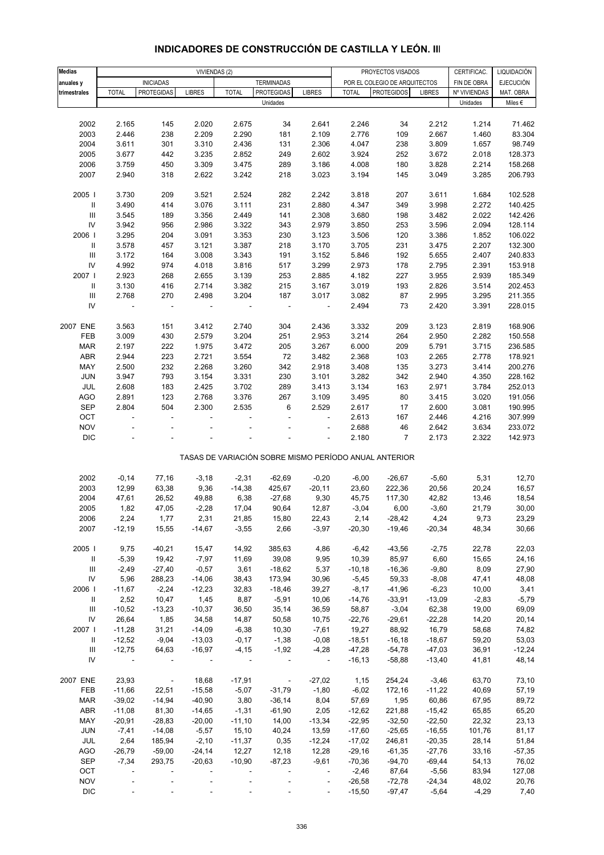| <b>Medias</b>                      |                |                          | VIVIENDAS (2)            |              |                          |                          |              | PROYECTOS VISADOS                                     |               | CERTIFICAC.  | LIQUIDACIÓN      |
|------------------------------------|----------------|--------------------------|--------------------------|--------------|--------------------------|--------------------------|--------------|-------------------------------------------------------|---------------|--------------|------------------|
|                                    |                | <b>INICIADAS</b>         |                          |              |                          |                          |              |                                                       |               |              |                  |
| anuales y                          |                |                          |                          |              | <b>TERMINADAS</b>        |                          |              | POR EL COLEGIO DE ARQUITECTOS                         |               | FIN DE OBRA  | <b>EJECUCIÓN</b> |
| trimestrales                       | <b>TOTAL</b>   | <b>PROTEGIDAS</b>        | <b>LIBRES</b>            | <b>TOTAL</b> | <b>PROTEGIDAS</b>        | <b>LIBRES</b>            | <b>TOTAL</b> | <b>PROTEGIDOS</b>                                     | <b>LIBRES</b> | Nº VIVIENDAS | MAT. OBRA        |
|                                    |                |                          |                          |              | Unidades                 |                          |              |                                                       |               | Unidades     | Miles €          |
|                                    |                |                          |                          |              |                          |                          |              |                                                       |               |              |                  |
| 2002                               | 2.165          | 145                      | 2.020                    | 2.675        | 34                       | 2.641                    | 2.246        | 34                                                    | 2.212         | 1.214        | 71.462           |
| 2003                               | 2.446          | 238                      | 2.209                    | 2.290        | 181                      | 2.109                    | 2.776        | 109                                                   | 2.667         | 1.460        | 83.304           |
| 2004                               | 3.611          | 301                      | 3.310                    | 2.436        | 131                      | 2.306                    | 4.047        | 238                                                   | 3.809         | 1.657        | 98.749           |
| 2005                               | 3.677          | 442                      | 3.235                    | 2.852        | 249                      | 2.602                    | 3.924        | 252                                                   | 3.672         | 2.018        | 128.373          |
| 2006                               | 3.759          | 450                      | 3.309                    | 3.475        | 289                      | 3.186                    | 4.008        | 180                                                   | 3.828         | 2.214        | 158.268          |
| 2007                               | 2.940          | 318                      | 2.622                    | 3.242        |                          | 3.023                    | 3.194        |                                                       | 3.049         |              | 206.793          |
|                                    |                |                          |                          |              | 218                      |                          |              | 145                                                   |               | 3.285        |                  |
|                                    |                |                          |                          |              |                          |                          |              |                                                       |               |              |                  |
| 2005                               | 3.730          | 209                      | 3.521                    | 2.524        | 282                      | 2.242                    | 3.818        | 207                                                   | 3.611         | 1.684        | 102.528          |
| Ш                                  | 3.490          | 414                      | 3.076                    | 3.111        | 231                      | 2.880                    | 4.347        | 349                                                   | 3.998         | 2.272        | 140.425          |
| $\ensuremath{\mathsf{III}}\xspace$ | 3.545          | 189                      | 3.356                    | 2.449        | 141                      | 2.308                    | 3.680        | 198                                                   | 3.482         | 2.022        | 142.426          |
| $\mathsf{IV}$                      | 3.942          | 956                      | 2.986                    | 3.322        | 343                      | 2.979                    | 3.850        | 253                                                   | 3.596         | 2.094        | 128.114          |
| 2006                               | 3.295          | 204                      | 3.091                    | 3.353        | 230                      | 3.123                    | 3.506        | 120                                                   | 3.386         | 1.852        | 106.022          |
| Ш                                  | 3.578          | 457                      | 3.121                    | 3.387        | 218                      | 3.170                    | 3.705        | 231                                                   | 3.475         | 2.207        | 132.300          |
| $\ensuremath{\mathsf{III}}\xspace$ | 3.172          | 164                      | 3.008                    | 3.343        | 191                      | 3.152                    | 5.846        | 192                                                   | 5.655         | 2.407        | 240.833          |
| IV                                 | 4.992          | 974                      | 4.018                    | 3.816        | 517                      | 3.299                    | 2.973        | 178                                                   | 2.795         | 2.391        | 153.918          |
|                                    |                |                          |                          |              |                          |                          |              |                                                       |               |              |                  |
| 2007                               | 2.923          | 268                      | 2.655                    | 3.139        | 253                      | 2.885                    | 4.182        | 227                                                   | 3.955         | 2.939        | 185.349          |
| $\, \parallel$                     | 3.130          | 416                      | 2.714                    | 3.382        | 215                      | 3.167                    | 3.019        | 193                                                   | 2.826         | 3.514        | 202.453          |
| $\ensuremath{\mathsf{III}}\xspace$ | 2.768          | 270                      | 2.498                    | 3.204        | 187                      | 3.017                    | 3.082        | 87                                                    | 2.995         | 3.295        | 211.355          |
| IV                                 |                | $\overline{\phantom{a}}$ |                          |              | ÷,                       | $\overline{\phantom{a}}$ | 2.494        | 73                                                    | 2.420         | 3.391        | 228.015          |
|                                    |                |                          |                          |              |                          |                          |              |                                                       |               |              |                  |
| 2007 ENE                           | 3.563          | 151                      | 3.412                    | 2.740        | 304                      | 2.436                    | 3.332        | 209                                                   | 3.123         | 2.819        | 168.906          |
| FEB                                | 3.009          | 430                      | 2.579                    | 3.204        | 251                      | 2.953                    | 3.214        | 264                                                   | 2.950         | 2.282        | 150.558          |
| <b>MAR</b>                         | 2.197          | 222                      | 1.975                    | 3.472        | 205                      | 3.267                    | 6.000        | 209                                                   | 5.791         | 3.715        | 236.585          |
| ABR                                | 2.944          | 223                      | 2.721                    | 3.554        | 72                       | 3.482                    | 2.368        | 103                                                   | 2.265         | 2.778        | 178.921          |
|                                    |                |                          |                          |              |                          |                          |              |                                                       |               |              |                  |
| MAY                                | 2.500          | 232                      | 2.268                    | 3.260        | 342                      | 2.918                    | 3.408        | 135                                                   | 3.273         | 3.414        | 200.276          |
| JUN                                | 3.947          | 793                      | 3.154                    | 3.331        | 230                      | 3.101                    | 3.282        | 342                                                   | 2.940         | 4.350        | 228.162          |
| JUL                                | 2.608          | 183                      | 2.425                    | 3.702        | 289                      | 3.413                    | 3.134        | 163                                                   | 2.971         | 3.784        | 252.013          |
| AGO                                | 2.891          | 123                      | 2.768                    | 3.376        | 267                      | 3.109                    | 3.495        | 80                                                    | 3.415         | 3.020        | 191.056          |
| <b>SEP</b>                         | 2.804          | 504                      | 2.300                    | 2.535        | 6                        | 2.529                    | 2.617        | 17                                                    | 2.600         | 3.081        | 190.995          |
| OCT                                |                |                          |                          |              | ÷,                       | $\overline{\phantom{a}}$ | 2.613        | 167                                                   | 2.446         | 4.216        | 307.999          |
| <b>NOV</b>                         |                |                          |                          |              |                          |                          | 2.688        | 46                                                    | 2.642         | 3.634        | 233.072          |
| <b>DIC</b>                         |                |                          |                          |              |                          | $\blacksquare$           | 2.180        | $\overline{7}$                                        | 2.173         | 2.322        | 142.973          |
|                                    |                |                          |                          |              |                          |                          |              |                                                       |               |              |                  |
|                                    |                |                          |                          |              |                          |                          |              | TASAS DE VARIACIÓN SOBRE MISMO PERÍODO ANUAL ANTERIOR |               |              |                  |
|                                    |                |                          |                          |              |                          |                          |              |                                                       |               |              |                  |
|                                    |                |                          |                          |              |                          |                          |              |                                                       |               |              |                  |
| 2002                               | $-0,14$        | 77,16                    | $-3,18$                  | $-2,31$      | $-62,69$                 | $-0,20$                  | $-6,00$      | $-26,67$                                              | $-5,60$       | 5,31         | 12,70            |
| 2003                               | 12,99          | 63,38                    | 9,36                     | $-14,38$     | 425,67                   | $-20,11$                 | 23,60        | 222,36                                                | 20,56         | 20,24        | 16,57            |
| 2004                               | 47,61          | 26,52                    | 49,88                    | 6,38         | $-27,68$                 | 9,30                     | 45,75        | 117,30                                                | 42,82         | 13,46        | 18,54            |
| 2005                               | 1,82           | 47,05                    | $-2,28$                  | 17,04        | 90,64                    | 12,87                    | $-3,04$      | 6,00                                                  | $-3,60$       | 21,79        | 30,00            |
| 2006                               | 2,24           | 1,77                     | 2,31                     | 21,85        | 15,80                    | 22,43                    | 2,14         | $-28,42$                                              | 4,24          | 9,73         | 23,29            |
| 2007                               | $-12,19$       | 15,55                    | $-14,67$                 | $-3,55$      | 2,66                     | $-3,97$                  | $-20,30$     | $-19,46$                                              | $-20,34$      | 48,34        | 30,66            |
|                                    |                |                          |                          |              |                          |                          |              |                                                       |               |              |                  |
| 2005                               | 9,75           | $-40,21$                 | 15,47                    | 14,92        | 385,63                   | 4,86                     | $-6,42$      | $-43,56$                                              | $-2,75$       | 22,78        | 22,03            |
| Ш                                  | $-5,39$        | 19,42                    | $-7,97$                  | 11,69        | 39,08                    | 9,95                     | 10,39        | 85,97                                                 | 6,60          | 15,65        | 24,16            |
| Ш                                  | $-2,49$        | $-27,40$                 | $-0,57$                  | 3,61         | $-18,62$                 | 5,37                     | $-10,18$     | $-16,36$                                              | $-9,80$       | 8,09         | 27,90            |
| IV                                 | 5,96           | 288,23                   | $-14,06$                 | 38,43        | 173,94                   | 30,96                    | $-5,45$      | 59,33                                                 | $-8,08$       | 47,41        | 48,08            |
|                                    |                |                          |                          |              |                          |                          |              |                                                       |               |              |                  |
| 2006                               | $-11,67$       | $-2,24$                  | $-12,23$                 | 32,83        | $-18,46$                 | 39,27                    | $-8,17$      | $-41,96$                                              | $-6,23$       | 10,00        | 3,41             |
| Ш                                  | 2,52           | 10,47                    | 1,45                     | 8,87         | $-5,91$                  | 10,06                    | $-14,76$     | $-33,91$                                              | $-13,09$      | $-2,83$      | $-5,79$          |
| Ш                                  | $-10,52$       | $-13,23$                 | $-10,37$                 | 36,50        | 35,14                    | 36,59                    | 58,87        | $-3,04$                                               | 62,38         | 19,00        | 69,09            |
| IV                                 | 26,64          | 1,85                     | 34,58                    | 14,87        | 50,58                    | 10,75                    | $-22,76$     | $-29,61$                                              | $-22,28$      | 14,20        | 20,14            |
| 2007                               | $-11,28$       | 31,21                    | $-14,09$                 | $-6,38$      | 10,30                    | $-7,61$                  | 19,27        | 88,92                                                 | 16,79         | 58,68        | 74,82            |
| Ш                                  | $-12,52$       | $-9,04$                  | $-13,03$                 | $-0,17$      | $-1,38$                  | $-0,08$                  | $-18,51$     | $-16,18$                                              | $-18,67$      | 59,20        | 53,03            |
| $\ensuremath{\mathsf{III}}\xspace$ | $-12,75$       | 64,63                    | $-16,97$                 | $-4, 15$     | $-1,92$                  | $-4,28$                  | $-47,28$     | $-54,78$                                              | $-47,03$      | 36,91        | $-12,24$         |
| IV                                 |                |                          |                          |              |                          | $\overline{\phantom{a}}$ | $-16, 13$    | $-58,88$                                              | $-13,40$      | 41,81        | 48,14            |
|                                    |                |                          |                          |              |                          |                          |              |                                                       |               |              |                  |
|                                    |                |                          |                          |              |                          |                          |              |                                                       |               |              |                  |
| 2007 ENE                           | 23,93          | $\sim$ $-$               | 18,68                    | $-17,91$     | $\overline{\phantom{a}}$ | $-27,02$                 | 1,15         | 254,24                                                | $-3,46$       | 63,70        | 73,10            |
| FEB                                | $-11,66$       | 22,51                    | $-15,58$                 | $-5,07$      | $-31,79$                 | $-1,80$                  | $-6,02$      | 172,16                                                | $-11,22$      | 40,69        | 57,19            |
| <b>MAR</b>                         | $-39,02$       | $-14,94$                 | $-40,90$                 | 3,80         | $-36,14$                 | 8,04                     | 57,69        | 1,95                                                  | 60,86         | 67,95        | 89,72            |
| ABR                                | $-11,08$       | 81,30                    | $-14,65$                 | $-1,31$      | $-61,90$                 | 2,05                     | $-12,62$     | 221,88                                                | $-15,42$      | 65,85        | 65,20            |
| MAY                                | $-20,91$       | $-28,83$                 | $-20,00$                 | $-11,10$     | 14,00                    | $-13,34$                 | $-22,95$     | $-32,50$                                              | $-22,50$      | 22,32        | 23,13            |
| JUN                                | $-7,41$        | $-14,08$                 | $-5,57$                  | 15,10        | 40,24                    | 13,59                    | $-17,60$     | $-25,65$                                              | $-16,55$      | 101,76       | 81,17            |
| JUL                                | 2,64           | 185,94                   | $-2,10$                  | $-11,37$     | 0,35                     | $-12,24$                 | $-17,02$     | 246,81                                                | $-20,35$      | 28,14        | 51,84            |
| AGO                                | $-26,79$       | $-59,00$                 | $-24,14$                 | 12,27        | 12,18                    | 12,28                    | $-29,16$     | $-61,35$                                              | $-27,76$      | 33,16        | $-57,35$         |
|                                    |                |                          |                          |              |                          |                          |              |                                                       |               |              |                  |
| <b>SEP</b>                         | $-7,34$        | 293,75                   | $-20,63$                 | $-10,90$     | $-87,23$                 | $-9,61$                  | $-70,36$     | $-94,70$                                              | $-69,44$      | 54,13        | 76,02            |
| OCT                                | $\blacksquare$ | $\overline{\phantom{a}}$ | $\overline{\phantom{a}}$ |              |                          | $\blacksquare$           | $-2,46$      | 87,64                                                 | $-5,56$       | 83,94        | 127,08           |
| <b>NOV</b>                         |                |                          |                          |              |                          | $\overline{\phantom{a}}$ | $-26,58$     | $-72,78$                                              | $-24,34$      | 48,02        | 20,76            |
| <b>DIC</b>                         |                |                          |                          |              |                          | $\Box$                   | $-15,50$     | $-97,47$                                              | $-5,64$       | $-4,29$      | 7,40             |

# **INDICADORES DE CONSTRUCCIÓN DE CASTILLA Y LEÓN. III**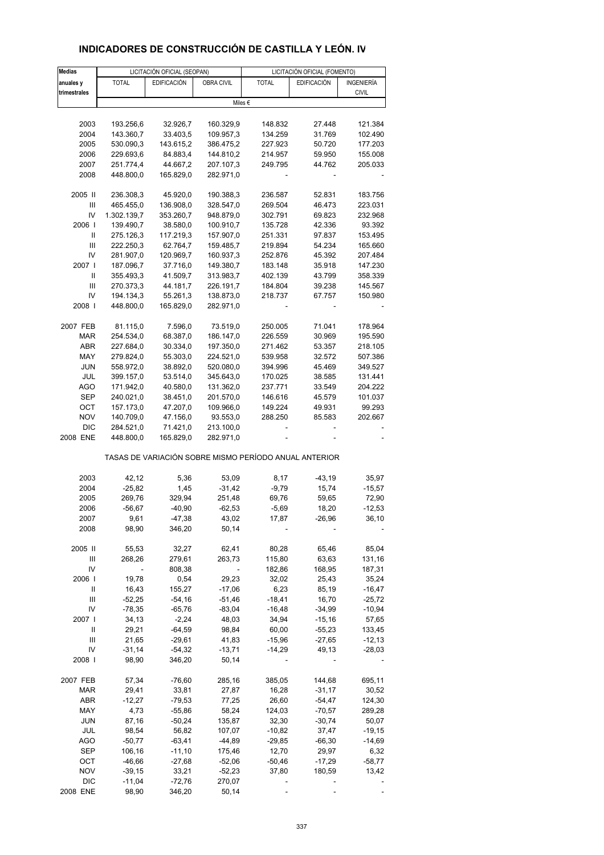# **INDICADORES DE CONSTRUCCIÓN DE CASTILLA Y LEÓN. IV**

| <b>Medias</b> |                   | LICITACIÓN OFICIAL (SEOPAN) |                      |                                                       | LICITACIÓN OFICIAL (FOMENTO) |                      |
|---------------|-------------------|-----------------------------|----------------------|-------------------------------------------------------|------------------------------|----------------------|
| anuales y     | <b>TOTAL</b>      | <b>EDIFICACIÓN</b>          | OBRA CIVIL           | <b>TOTAL</b>                                          | <b>EDIFICACIÓN</b>           | INGENIERÍA           |
| trimestrales  |                   |                             |                      |                                                       |                              | <b>CIVIL</b>         |
|               |                   |                             |                      | Miles €                                               |                              |                      |
|               |                   |                             |                      |                                                       |                              |                      |
| 2003          | 193.256,6         | 32.926,7                    | 160.329,9            | 148.832                                               | 27.448                       | 121.384              |
| 2004          | 143.360,7         | 33.403,5                    | 109.957,3            | 134.259                                               | 31.769                       | 102.490              |
| 2005          | 530.090,3         | 143.615,2                   | 386.475,2            | 227.923                                               | 50.720                       | 177.203              |
| 2006          | 229.693,6         | 84.883,4                    | 144.810,2            | 214.957                                               | 59.950                       | 155.008              |
| 2007          | 251.774,4         | 44.667,2                    | 207.107,3            | 249.795                                               | 44.762                       | 205.033              |
| 2008          | 448.800,0         | 165.829,0                   | 282.971,0            |                                                       |                              |                      |
|               |                   |                             |                      |                                                       |                              |                      |
| 2005 II       | 236.308,3         | 45.920,0                    | 190.388,3            | 236.587                                               | 52.831                       | 183.756              |
| Ш             | 465.455,0         | 136.908,0                   | 328.547,0            | 269.504                                               | 46.473                       | 223.031              |
| IV            | 1.302.139,7       | 353.260,7                   | 948.879,0            | 302.791                                               | 69.823                       | 232.968              |
| 2006          | 139.490,7         | 38.580,0                    | 100.910,7            | 135.728                                               | 42.336                       | 93.392               |
| Ш             | 275.126,3         | 117.219,3                   | 157.907,0            | 251.331                                               | 97.837                       | 153.495              |
|               |                   |                             |                      |                                                       |                              |                      |
| Ш             | 222.250,3         | 62.764,7                    | 159.485,7            | 219.894                                               | 54.234                       | 165.660              |
| IV            | 281.907,0         | 120.969,7                   | 160.937,3            | 252.876                                               | 45.392                       | 207.484              |
| 2007          | 187.096,7         | 37.716,0                    | 149.380,7            | 183.148                                               | 35.918                       | 147.230              |
| Ш             | 355.493,3         | 41.509,7                    | 313.983,7            | 402.139                                               | 43.799                       | 358.339              |
| Ш             | 270.373,3         | 44.181,7                    | 226.191,7            | 184.804                                               | 39.238                       | 145.567              |
| IV            | 194.134,3         | 55.261,3                    | 138.873,0            | 218.737                                               | 67.757                       | 150.980              |
| 2008          | 448.800,0         | 165.829,0                   | 282.971,0            |                                                       |                              |                      |
|               |                   |                             |                      |                                                       |                              |                      |
| 2007 FEB      | 81.115,0          | 7.596,0                     | 73.519,0             | 250.005                                               | 71.041                       | 178.964              |
| <b>MAR</b>    | 254.534,0         | 68.387,0                    | 186.147,0            | 226.559                                               | 30.969                       | 195.590              |
| ABR           | 227.684,0         | 30.334,0                    | 197.350,0            | 271.462                                               | 53.357                       | 218.105              |
| MAY           | 279.824,0         | 55.303,0                    | 224.521,0            | 539.958                                               | 32.572                       | 507.386              |
| JUN           | 558.972,0         | 38.892,0                    | 520.080,0            | 394.996                                               | 45.469                       | 349.527              |
| JUL           | 399.157,0         | 53.514,0                    | 345.643,0            | 170.025                                               | 38.585                       | 131.441              |
| <b>AGO</b>    | 171.942,0         | 40.580,0                    | 131.362,0            | 237.771                                               | 33.549                       | 204.222              |
| SEP           | 240.021,0         | 38.451,0                    | 201.570,0            | 146.616                                               | 45.579                       | 101.037              |
| OCT           | 157.173,0         | 47.207,0                    | 109.966,0            | 149.224                                               | 49.931                       | 99.293               |
| <b>NOV</b>    | 140.709,0         | 47.156,0                    | 93.553,0             | 288.250                                               | 85.583                       | 202.667              |
| DIC           | 284.521,0         | 71.421,0                    | 213.100,0            |                                                       |                              |                      |
| 2008 ENE      | 448.800,0         | 165.829,0                   | 282.971,0            |                                                       |                              |                      |
|               |                   |                             |                      | TASAS DE VARIACIÓN SOBRE MISMO PERÍODO ANUAL ANTERIOR |                              |                      |
|               |                   |                             |                      |                                                       |                              |                      |
| 2003          | 42,12             | 5,36                        | 53,09                | 8,17                                                  | $-43,19$                     | 35,97                |
| 2004          | $-25,82$          | 1,45                        | $-31,42$             | $-9,79$                                               | 15,74                        | $-15,57$             |
| 2005          | 269,76            | 329,94                      | 251,48               | 69,76                                                 | 59,65                        | 72,90                |
| 2006          | $-56,67$          | $-40,90$                    | $-62,53$             | $-5,69$                                               | 18,20                        | $-12,53$             |
| 2007          | 9,61              | $-47,38$                    | 43,02                | 17,87                                                 | $-26,96$                     | 36,10                |
| 2008          | 98,90             | 346,20                      | 50,14                |                                                       |                              |                      |
| 2005 II       | 55,53             | 32,27                       | 62,41                | 80,28                                                 | 65,46                        | 85,04                |
| Ш             | 268,26            | 279,61                      | 263,73               | 115,80                                                | 63,63                        | 131,16               |
|               |                   |                             |                      |                                                       |                              |                      |
| IV<br>2006    | ÷,<br>19,78       | 808,38<br>0,54              | 29,23                | 182,86<br>32,02                                       | 168,95<br>25,43              | 187,31<br>35,24      |
|               |                   |                             |                      |                                                       |                              |                      |
| Ш<br>Ш        | 16,43<br>$-52,25$ | 155,27                      | $-17,06$<br>$-51,46$ | 6,23<br>$-18,41$                                      | 85,19<br>16,70               | $-16,47$<br>$-25,72$ |
|               |                   | $-54,16$                    |                      |                                                       |                              |                      |
| IV            | $-78,35$          | $-65,76$                    | $-83,04$             | $-16,48$                                              | $-34,99$                     | $-10,94$             |
| 2007          | 34,13             | $-2,24$                     | 48,03                | 34,94                                                 | $-15,16$                     | 57,65                |
| Ш             | 29,21             | $-64,59$                    | 98,84                | 60,00                                                 | $-55,23$                     | 133,45               |
| Ш             | 21,65             | $-29,61$                    | 41,83                | $-15,96$                                              | $-27,65$                     | $-12,13$             |
| IV            | $-31,14$          | $-54,32$                    | $-13,71$             | $-14,29$                                              | 49,13                        | $-28,03$             |
| 2008          | 98,90             | 346,20                      | 50,14                |                                                       |                              |                      |
| 2007 FEB      | 57,34             | $-76,60$                    | 285,16               | 385,05                                                | 144,68                       | 695,11               |
| MAR           | 29,41             | 33,81                       | 27,87                | 16,28                                                 | $-31,17$                     | 30,52                |
| ABR           | $-12,27$          | $-79,53$                    | 77,25                | 26,60                                                 | $-54,47$                     | 124,30               |
| MAY           | 4,73              | $-55,86$                    | 58,24                | 124,03                                                | $-70,57$                     | 289,28               |
| <b>JUN</b>    |                   |                             |                      |                                                       |                              |                      |
|               | 87,16             | $-50,24$                    | 135,87               | 32,30                                                 | $-30,74$                     | 50,07                |
| JUL           | 98,54             | 56,82                       | 107,07               | $-10,82$                                              | 37,47                        | $-19,15$             |
| AGO           | $-50,77$          | $-63,41$                    | $-44,89$             | $-29,85$                                              | $-66,30$                     | $-14,69$             |
| SEP           | 106,16            | $-11,10$                    | 175,46               | 12,70                                                 | 29,97                        | 6,32                 |
| ОСТ           | $-46,66$          | $-27,68$                    | $-52,06$             | $-50,46$                                              | $-17,29$                     | $-58,77$             |
| <b>NOV</b>    | $-39,15$          | 33,21                       | $-52,23$             | 37,80                                                 | 180,59                       | 13,42                |
| DIC           | $-11,04$          | $-72,76$                    | 270,07               |                                                       |                              |                      |
| 2008 ENE      | 98,90             | 346,20                      | 50,14                |                                                       |                              |                      |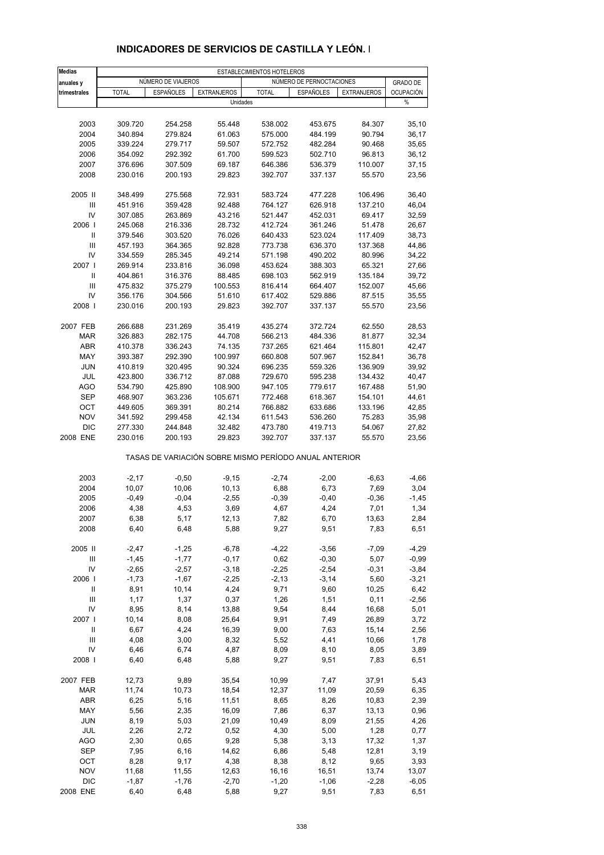| <b>Medias</b>                      |                    |                    |                    | ESTABLECIMIENTOS HOTELEROS                            |                          |                    |                  |
|------------------------------------|--------------------|--------------------|--------------------|-------------------------------------------------------|--------------------------|--------------------|------------------|
| anuales y                          |                    | NÚMERO DE VIAJEROS |                    |                                                       | NÚMERO DE PERNOCTACIONES |                    | <b>GRADO DE</b>  |
| trimestrales                       | <b>TOTAL</b>       | <b>ESPAÑOLES</b>   | <b>EXTRANJEROS</b> | <b>TOTAL</b>                                          | ESPAÑOLES                | <b>EXTRANJEROS</b> | <b>OCUPACIÓN</b> |
|                                    |                    |                    | Unidades           |                                                       |                          |                    | $\%$             |
|                                    |                    |                    |                    |                                                       |                          |                    |                  |
| 2003                               | 309.720            | 254.258            | 55.448             | 538.002                                               | 453.675                  | 84.307             | 35,10            |
| 2004                               | 340.894            | 279.824            | 61.063             | 575.000                                               | 484.199                  | 90.794             | 36,17            |
| 2005                               | 339.224            | 279.717            | 59.507             | 572.752                                               | 482.284                  | 90.468             | 35,65            |
| 2006                               | 354.092            | 292.392            | 61.700             | 599.523                                               | 502.710                  | 96.813             | 36,12            |
| 2007                               | 376.696            | 307.509            | 69.187             | 646.386                                               | 536.379                  | 110.007            | 37,15            |
| 2008                               | 230.016            | 200.193            | 29.823             | 392.707                                               | 337.137                  | 55.570             | 23,56            |
| 2005 II                            | 348.499            | 275.568            | 72.931             | 583.724                                               | 477.228                  | 106.496            | 36,40            |
| Ш                                  | 451.916            | 359.428            | 92.488             | 764.127                                               | 626.918                  | 137.210            | 46,04            |
| IV                                 | 307.085            | 263.869            | 43.216             | 521.447                                               | 452.031                  | 69.417             | 32,59            |
| 2006                               | 245.068            | 216.336            | 28.732             | 412.724                                               | 361.246                  | 51.478             | 26,67            |
| Ш                                  | 379.546            | 303.520            | 76.026             | 640.433                                               | 523.024                  | 117.409            | 38,73            |
| Ш<br>IV                            | 457.193            | 364.365            | 92.828             | 773.738                                               | 636.370                  | 137.368            | 44,86            |
| 2007 l                             | 334.559            | 285.345            | 49.214             | 571.198<br>453.624                                    | 490.202                  | 80.996             | 34,22            |
| $\sf II$                           | 269.914<br>404.861 | 233.816<br>316.376 | 36.098<br>88.485   | 698.103                                               | 388.303<br>562.919       | 65.321<br>135.184  | 27,66<br>39,72   |
| $\ensuremath{\mathsf{III}}\xspace$ | 475.832            | 375.279            | 100.553            | 816.414                                               | 664.407                  | 152.007            | 45,66            |
| IV                                 | 356.176            | 304.566            | 51.610             | 617.402                                               | 529.886                  | 87.515             | 35,55            |
| 2008                               | 230.016            | 200.193            | 29.823             | 392.707                                               | 337.137                  | 55.570             | 23,56            |
|                                    |                    |                    |                    |                                                       |                          |                    |                  |
| 2007 FEB                           | 266.688            | 231.269            | 35.419             | 435.274                                               | 372.724                  | 62.550             | 28,53            |
| <b>MAR</b>                         | 326.883            | 282.175            | 44.708             | 566.213                                               | 484.336                  | 81.877             | 32,34            |
| ABR                                | 410.378            | 336.243            | 74.135             | 737.265                                               | 621.464                  | 115.801            | 42,47            |
| MAY                                | 393.387            | 292.390            | 100.997            | 660.808                                               | 507.967                  | 152.841            | 36,78            |
| <b>JUN</b>                         | 410.819            | 320.495            | 90.324             | 696.235                                               | 559.326                  | 136.909            | 39,92            |
| JUL                                | 423.800            | 336.712            | 87.088             | 729.670                                               | 595.238                  | 134.432            | 40,47            |
| <b>AGO</b><br><b>SEP</b>           | 534.790            | 425.890            | 108.900            | 947.105                                               | 779.617                  | 167.488            | 51,90            |
|                                    | 468.907            | 363.236            | 105.671<br>80.214  | 772.468                                               | 618.367                  | 154.101            | 44,61            |
| OCT<br><b>NOV</b>                  | 449.605<br>341.592 | 369.391<br>299.458 | 42.134             | 766.882<br>611.543                                    | 633.686<br>536.260       | 133.196<br>75.283  | 42,85<br>35,98   |
| <b>DIC</b>                         | 277.330            | 244.848            | 32.482             | 473.780                                               | 419.713                  | 54.067             | 27,82            |
| 2008 ENE                           | 230.016            | 200.193            | 29.823             | 392.707                                               | 337.137                  | 55.570             | 23,56            |
|                                    |                    |                    |                    | TASAS DE VARIACIÓN SOBRE MISMO PERÍODO ANUAL ANTERIOR |                          |                    |                  |
| 2003                               | $-2,17$            | $-0,50$            | $-9,15$            | $-2,74$                                               | $-2,00$                  | $-6,63$            | $-4,66$          |
| 2004                               | 10,07              | 10,06              | 10,13              | 6,88                                                  | 6,73                     | 7,69               | 3,04             |
| 2005                               | $-0,49$            | $-0,04$            | $-2,55$            | $-0,39$                                               | $-0,40$                  | $-0,36$            | $-1,45$          |
| 2006                               | 4,38               | 4,53               | 3,69               | 4,67                                                  | 4,24                     | 7,01               | 1,34             |
| 2007                               | 6,38               | 5,17               | 12,13              | 7,82                                                  | 6,70                     | 13,63              | 2,84             |
| 2008                               | 6,40               | 6,48               | 5,88               | 9,27                                                  | 9,51                     | 7,83               | 6,51             |
| 2005 II                            | $-2,47$            | $-1,25$            | $-6,78$            | $-4,22$                                               | $-3,56$                  | $-7,09$            | $-4,29$          |
| $\ensuremath{\mathsf{III}}\xspace$ | $-1,45$            | $-1,77$            | $-0,17$            | 0,62                                                  | $-0,30$                  | 5,07               | $-0,99$          |
| IV                                 | $-2,65$            | $-2,57$            | $-3,18$            | $-2,25$                                               | $-2,54$                  | $-0,31$            | $-3,84$          |
| 2006                               | $-1,73$            | $-1,67$            | $-2,25$            | $-2,13$                                               | $-3,14$                  | 5,60               | $-3,21$          |
| Ш                                  | 8,91               | 10, 14             | 4,24               | 9,71                                                  | 9,60                     | 10,25              | 6,42             |
| Ш                                  | 1,17               | 1,37               | 0,37               | 1,26                                                  | 1,51                     | 0,11               | $-2,56$          |
| IV                                 | 8,95               | 8,14               | 13,88              | 9,54                                                  | 8,44                     | 16,68              | 5,01             |
| 2007 l                             | 10,14              | 8,08               | 25,64              | 9,91                                                  | 7,49                     | 26,89              | 3,72             |
| Ш                                  | 6,67               | 4,24               | 16,39              | 9,00                                                  | 7,63                     | 15,14              | 2,56             |
| Ш                                  | 4,08               | 3,00               | 8,32               | 5,52                                                  | 4,41                     | 10,66              | 1,78             |
| IV                                 | 6,46               | 6,74               | 4,87               | 8,09                                                  | 8,10                     | 8,05               | 3,89             |
| 2008                               | 6,40               | 6,48               | 5,88               | 9,27                                                  | 9,51                     | 7,83               | 6,51             |
| 2007 FEB                           | 12,73              | 9,89               | 35,54              | 10,99                                                 | 7,47                     | 37,91              | 5,43             |
| <b>MAR</b>                         | 11,74              | 10,73              | 18,54              | 12,37                                                 | 11,09                    | 20,59              | 6,35             |
| ABR                                | 6,25               | 5,16               | 11,51              | 8,65                                                  | 8,26                     | 10,83              | 2,39             |
| MAY                                | 5,56               | 2,35               | 16,09              | 7,86                                                  | 6,37                     | 13, 13             | 0,96             |
| JUN                                | 8,19               | 5,03               | 21,09              | 10,49                                                 | 8,09                     | 21,55              | 4,26             |
| JUL                                | 2,26               | 2,72               | 0,52               | 4,30                                                  | 5,00                     | 1,28               | 0,77             |
| AGO                                | 2,30               | 0,65               | 9,28               | 5,38                                                  | 3,13                     | 17,32              | 1,37             |
| SEP                                | 7,95               | 6, 16              | 14,62              | 6,86                                                  | 5,48                     | 12,81              | 3,19             |
| OCT                                | 8,28               | 9,17               | 4,38               | 8,38                                                  | 8,12                     | 9,65               | 3,93             |
| <b>NOV</b>                         | 11,68              | 11,55              | 12,63              | 16,16                                                 | 16,51                    | 13,74              | 13,07            |
| <b>DIC</b>                         | $-1,87$            | $-1,76$            | $-2,70$            | $-1,20$                                               | $-1,06$                  | $-2,28$            | $-6,05$          |
| 2008 ENE                           | 6,40               | 6,48               | 5,88               | 9,27                                                  | 9,51                     | 7,83               | 6,51             |

# **INDICADORES DE SERVICIOS DE CASTILLA Y LEÓN. I**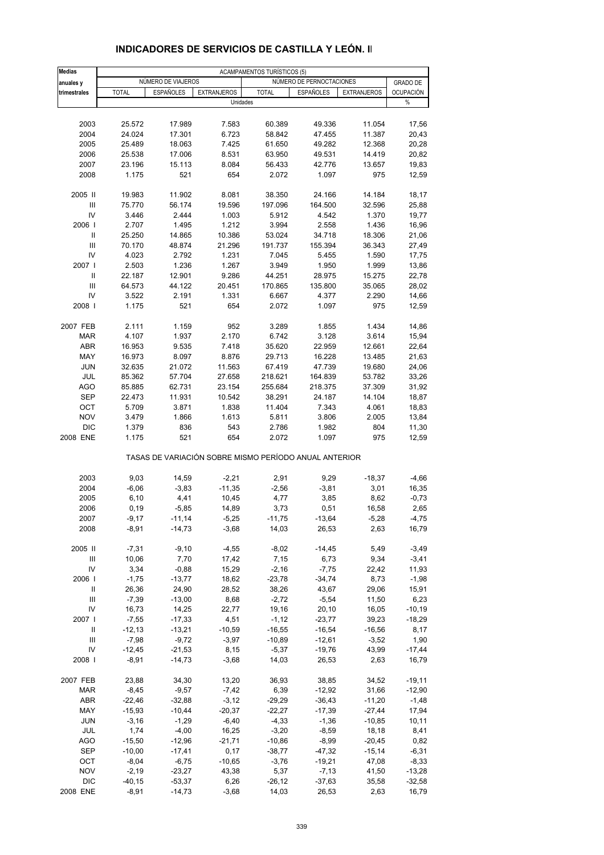| <b>Medias</b>               |                  |                    |                    | <b>ACAMPAMENTOS TURÍSTICOS (5)</b>                    |                          |                    |                  |
|-----------------------------|------------------|--------------------|--------------------|-------------------------------------------------------|--------------------------|--------------------|------------------|
| anuales y                   |                  | NÚMERO DE VIAJEROS |                    |                                                       | NÚMERO DE PERNOCTACIONES |                    | <b>GRADO DE</b>  |
| trimestrales                | <b>TOTAL</b>     | <b>ESPAÑOLES</b>   | <b>EXTRANJEROS</b> | <b>TOTAL</b>                                          | <b>ESPAÑOLES</b>         | <b>EXTRANJEROS</b> | <b>OCUPACIÓN</b> |
|                             |                  |                    |                    | Unidades                                              |                          |                    | %                |
|                             |                  |                    |                    |                                                       |                          |                    |                  |
| 2003                        | 25.572           | 17.989             | 7.583              | 60.389                                                | 49.336                   | 11.054             | 17,56            |
| 2004                        | 24.024           | 17.301             | 6.723              | 58.842                                                | 47.455                   | 11.387             | 20,43            |
| 2005                        | 25.489           | 18.063             | 7.425              | 61.650                                                | 49.282                   | 12.368             | 20,28            |
| 2006                        | 25.538           | 17.006             | 8.531              | 63.950                                                | 49.531                   | 14.419             | 20,82            |
| 2007                        | 23.196           | 15.113             | 8.084              | 56.433                                                | 42.776                   | 13.657             | 19,83            |
| 2008                        | 1.175            | 521                | 654                | 2.072                                                 | 1.097                    | 975                | 12,59            |
|                             |                  |                    |                    | 38.350                                                |                          |                    |                  |
| 2005 II<br>$\mathsf{III}\,$ | 19.983<br>75.770 | 11.902<br>56.174   | 8.081<br>19.596    | 197.096                                               | 24.166<br>164.500        | 14.184<br>32.596   | 18,17<br>25,88   |
| IV                          | 3.446            | 2.444              | 1.003              | 5.912                                                 | 4.542                    | 1.370              | 19,77            |
| 2006                        | 2.707            | 1.495              | 1.212              | 3.994                                                 | 2.558                    | 1.436              | 16,96            |
| Ш                           | 25.250           | 14.865             | 10.386             | 53.024                                                | 34.718                   | 18.306             | 21,06            |
| Ш                           | 70.170           | 48.874             | 21.296             | 191.737                                               | 155.394                  | 36.343             | 27,49            |
| IV                          | 4.023            | 2.792              | 1.231              | 7.045                                                 | 5.455                    | 1.590              | 17,75            |
| 2007 l                      | 2.503            | 1.236              | 1.267              | 3.949                                                 | 1.950                    | 1.999              | 13,86            |
| Ш                           | 22.187           | 12.901             | 9.286              | 44.251                                                | 28.975                   | 15.275             | 22,78            |
| Ш                           | 64.573           | 44.122             | 20.451             | 170.865                                               | 135.800                  | 35.065             | 28,02            |
| IV                          | 3.522            | 2.191              | 1.331              | 6.667                                                 | 4.377                    | 2.290              | 14,66            |
| 2008                        | 1.175            | 521                | 654                | 2.072                                                 | 1.097                    | 975                | 12,59            |
|                             |                  |                    |                    |                                                       |                          |                    |                  |
| 2007 FEB                    | 2.111            | 1.159              | 952                | 3.289                                                 | 1.855                    | 1.434              | 14,86            |
| <b>MAR</b>                  | 4.107            | 1.937              | 2.170              | 6.742                                                 | 3.128                    | 3.614              | 15,94            |
| <b>ABR</b>                  | 16.953           | 9.535              | 7.418              | 35.620                                                | 22.959                   | 12.661             | 22,64            |
| MAY                         | 16.973           | 8.097              | 8.876              | 29.713                                                | 16.228                   | 13.485             | 21,63            |
| <b>JUN</b>                  | 32.635           | 21.072             | 11.563             | 67.419                                                | 47.739                   | 19.680             | 24,06            |
| JUL                         | 85.362           | 57.704             | 27.658             | 218.621                                               | 164.839                  | 53.782             | 33,26            |
| <b>AGO</b>                  | 85.885           | 62.731             | 23.154             | 255.684                                               | 218.375                  | 37.309             | 31,92            |
| <b>SEP</b>                  | 22.473           | 11.931             | 10.542             | 38.291                                                | 24.187                   | 14.104             | 18,87            |
| OCT                         | 5.709            | 3.871              | 1.838              | 11.404                                                | 7.343                    | 4.061              | 18,83            |
| <b>NOV</b>                  | 3.479            | 1.866              | 1.613              | 5.811                                                 | 3.806                    | 2.005              | 13,84            |
| <b>DIC</b>                  | 1.379            | 836                | 543                | 2.786                                                 | 1.982                    | 804                | 11,30            |
| 2008 ENE                    | 1.175            | 521                | 654                | 2.072                                                 | 1.097                    | 975                | 12,59            |
|                             |                  |                    |                    | TASAS DE VARIACIÓN SOBRE MISMO PERÍODO ANUAL ANTERIOR |                          |                    |                  |
|                             |                  |                    |                    |                                                       |                          |                    |                  |
| 2003                        | 9,03             | 14,59              | $-2,21$            | 2,91                                                  | 9,29                     | $-18,37$           | $-4,66$          |
| 2004                        | $-6,06$          | $-3,83$            | $-11,35$           | $-2,56$                                               | $-3,81$                  | 3,01               | 16,35            |
| 2005                        | 6, 10            | 4,41               | 10,45              | 4,77                                                  | 3,85                     | 8,62               | $-0,73$          |
| 2006                        | 0, 19            | $-5,85$            | 14,89              | 3,73                                                  | 0,51                     | 16,58              | 2,65             |
| 2007                        | $-9,17$          | $-11,14$           | $-5,25$            | $-11,75$                                              | $-13,64$                 | $-5,28$            | $-4,75$          |
| 2008                        | $-8,91$          | $-14,73$           | $-3,68$            | 14,03                                                 | 26,53                    | 2,63               | 16,79            |
| 2005 II                     | $-7,31$          | $-9,10$            | $-4,55$            | $-8,02$                                               | $-14,45$                 | 5,49               | $-3,49$          |
| Ш                           | 10,06            | 7,70               | 17,42              | 7,15                                                  | 6,73                     | 9,34               | $-3,41$          |
| IV                          | 3,34             | $-0,88$            | 15,29              | $-2,16$                                               | $-7,75$                  | 22,42              | 11,93            |
| 2006                        | $-1,75$          | $-13,77$           | 18,62              | $-23,78$                                              | $-34,74$                 | 8,73               | $-1,98$          |
| Ш                           | 26,36            | 24,90              | 28,52              | 38,26                                                 | 43,67                    | 29,06              | 15,91            |
| Ш                           | $-7,39$          | $-13,00$           | 8,68               | $-2,72$                                               | $-5,54$                  | 11,50              | 6,23             |
| IV                          | 16,73            | 14,25              | 22,77              | 19,16                                                 | 20,10                    | 16,05              | $-10,19$         |
| 2007 l                      | $-7,55$          | $-17,33$           | 4,51               | $-1,12$                                               | $-23,77$                 | 39,23              | $-18,29$         |
| Ш                           | $-12,13$         | $-13,21$           | $-10,59$           | $-16,55$                                              | $-16,54$                 | $-16,56$           | 8,17             |
| Ш                           | $-7,98$          | $-9,72$            | $-3,97$            | $-10,89$                                              | $-12,61$                 | $-3,52$            | 1,90             |
| IV                          | $-12,45$         | $-21,53$           | 8,15               | $-5,37$                                               | $-19,76$                 | 43,99              | $-17,44$         |
| 2008                        | $-8,91$          | $-14,73$           | $-3,68$            | 14,03                                                 | 26,53                    | 2,63               | 16,79            |
|                             |                  |                    |                    |                                                       |                          |                    |                  |
| 2007 FEB                    | 23,88            | 34,30              | 13,20              | 36,93                                                 | 38,85                    | 34,52              | $-19,11$         |
| MAR                         | $-8,45$          | $-9,57$            | $-7,42$            | 6,39                                                  | $-12,92$                 | 31,66              | $-12,90$         |
| ABR                         | $-22,46$         | $-32,88$           | $-3,12$            | $-29,29$                                              | $-36,43$                 | $-11,20$           | $-1,48$          |
| MAY                         | $-15,93$         | $-10,44$           | $-20,37$           | $-22,27$                                              | $-17,39$                 | $-27,44$           | 17,94            |
| <b>JUN</b>                  | $-3,16$          | $-1,29$            | $-6,40$            | $-4,33$                                               | $-1,36$                  | $-10,85$           | 10, 11           |
| JUL                         | 1,74             | $-4,00$            | 16,25              | $-3,20$                                               | $-8,59$                  | 18,18              | 8,41             |
| AGO                         | $-15,50$         | $-12,96$           | $-21,71$           | $-10,86$                                              | $-8,99$                  | $-20,45$           | 0,82             |
| SEP                         | $-10,00$         | $-17,41$           | 0,17               | $-38,77$                                              | $-47,32$                 | $-15,14$           | $-6,31$          |
| OCT                         | $-8,04$          | $-6,75$            | $-10,65$           | $-3,76$                                               | $-19,21$                 | 47,08              | $-8,33$          |
| <b>NOV</b>                  | $-2,19$          | $-23,27$           | 43,38              | 5,37                                                  | $-7,13$                  | 41,50              | $-13,28$         |
| <b>DIC</b>                  | $-40,15$         | $-53,37$           | 6,26               | $-26, 12$                                             | $-37,63$                 | 35,58              | $-32,58$         |
| 2008 ENE                    | $-8,91$          | $-14,73$           | $-3,68$            | 14,03                                                 | 26,53                    | 2,63               | 16,79            |

# **INDICADORES DE SERVICIOS DE CASTILLA Y LEÓN. II**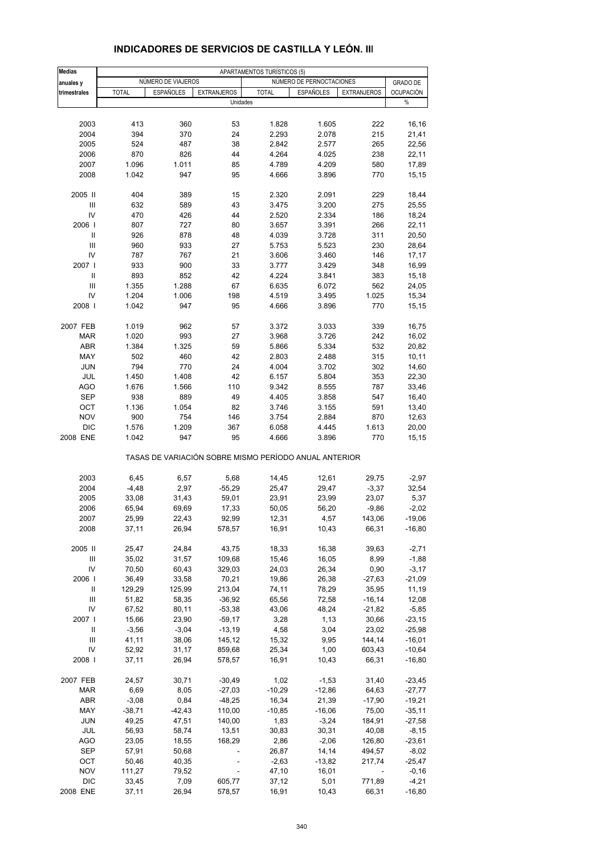| <b>Medias</b>                      | APARTAMENTOS TURÍSTICOS (5) |                    |                                                       |              |                          |                    |                  |
|------------------------------------|-----------------------------|--------------------|-------------------------------------------------------|--------------|--------------------------|--------------------|------------------|
| anuales y                          |                             | NÚMERO DE VIAJEROS |                                                       |              | NÚMERO DE PERNOCTACIONES |                    | <b>GRADO DE</b>  |
| trimestrales                       | <b>TOTAL</b>                | <b>ESPAÑOLES</b>   | <b>EXTRANJEROS</b>                                    | <b>TOTAL</b> | <b>ESPAÑOLES</b>         | <b>EXTRANJEROS</b> | <b>OCUPACIÓN</b> |
|                                    |                             |                    | Unidades                                              |              |                          |                    | $\%$             |
|                                    |                             |                    |                                                       |              |                          |                    |                  |
| 2003                               | 413                         | 360                | 53                                                    | 1.828        | 1.605                    | 222                | 16,16            |
| 2004                               | 394                         | 370                | 24                                                    | 2.293        | 2.078                    | 215                | 21,41            |
| 2005                               | 524                         | 487                | 38                                                    | 2.842        | 2.577                    | 265                | 22,56            |
| 2006                               | 870                         | 826                | 44                                                    | 4.264        | 4.025                    | 238                | 22,11            |
| 2007                               | 1.096                       | 1.011              | 85                                                    | 4.789        | 4.209                    | 580                | 17,89            |
| 2008                               | 1.042                       | 947                | 95                                                    | 4.666        | 3.896                    | 770                | 15,15            |
|                                    |                             |                    |                                                       |              |                          |                    |                  |
| 2005 II                            | 404                         | 389                | 15                                                    | 2.320        | 2.091                    | 229                | 18,44            |
| Ш                                  | 632                         | 589                | 43                                                    | 3.475        | 3.200                    | 275                | 25,55            |
| IV                                 | 470                         | 426                | 44                                                    | 2.520        | 2.334                    | 186                | 18,24            |
| 2006                               | 807                         | 727                | 80                                                    | 3.657        | 3.391                    | 266                | 22,11            |
| Ш                                  | 926                         | 878                | 48                                                    | 4.039        | 3.728                    | 311                | 20,50            |
| $\mathbf{III}$                     | 960                         | 933                | 27                                                    | 5.753        | 5.523                    | 230                | 28,64            |
| IV                                 | 787                         | 767                | 21                                                    | 3.606        | 3.460                    | 146                | 17,17            |
| 2007 l                             | 933                         | 900                | 33                                                    | 3.777        | 3.429                    | 348                | 16,99            |
| Ш                                  | 893                         | 852                | 42                                                    | 4.224        | 3.841                    | 383                |                  |
| $\ensuremath{\mathsf{III}}\xspace$ |                             |                    |                                                       |              |                          |                    | 15,18            |
|                                    | 1.355                       | 1.288              | 67                                                    | 6.635        | 6.072                    | 562                | 24,05            |
| IV                                 | 1.204                       | 1.006              | 198                                                   | 4.519        | 3.495                    | 1.025              | 15,34            |
| 2008                               | 1.042                       | 947                | 95                                                    | 4.666        | 3.896                    | 770                | 15,15            |
|                                    |                             |                    |                                                       |              |                          |                    |                  |
| 2007 FEB                           | 1.019                       | 962                | 57                                                    | 3.372        | 3.033                    | 339                | 16,75            |
| <b>MAR</b>                         | 1.020                       | 993                | 27                                                    | 3.968        | 3.726                    | 242                | 16,02            |
| <b>ABR</b>                         | 1.384                       | 1.325              | 59                                                    | 5.866        | 5.334                    | 532                | 20,82            |
| MAY                                | 502                         | 460                | 42                                                    | 2.803        | 2.488                    | 315                | 10, 11           |
| <b>JUN</b>                         | 794                         | 770                | 24                                                    | 4.004        | 3.702                    | 302                | 14,60            |
| JUL                                | 1.450                       | 1.408              | 42                                                    | 6.157        | 5.804                    | 353                | 22,30            |
| <b>AGO</b>                         | 1.676                       | 1.566              | 110                                                   | 9.342        | 8.555                    | 787                | 33,46            |
| <b>SEP</b>                         | 938                         | 889                | 49                                                    | 4.405        | 3.858                    | 547                | 16,40            |
| OCT                                | 1.136                       | 1.054              | 82                                                    | 3.746        | 3.155                    | 591                | 13,40            |
| <b>NOV</b>                         | 900                         | 754                | 146                                                   | 3.754        | 2.884                    | 870                | 12,63            |
| <b>DIC</b>                         | 1.576                       | 1.209              | 367                                                   | 6.058        | 4.445                    | 1.613              | 20,00            |
| 2008 ENE                           | 1.042                       | 947                | 95                                                    | 4.666        | 3.896                    | 770                | 15,15            |
|                                    |                             |                    | TASAS DE VARIACIÓN SOBRE MISMO PERÍODO ANUAL ANTERIOR |              |                          |                    |                  |
|                                    |                             |                    |                                                       |              |                          |                    |                  |
| 2003                               | 6,45                        | 6,57               | 5,68                                                  | 14,45        | 12,61                    | 29,75              | $-2,97$          |
| 2004                               | $-4,48$                     | 2,97               | $-55,29$                                              | 25,47        | 29,47                    | $-3,37$            | 32,54            |
| 2005                               | 33,08                       | 31,43              | 59,01                                                 | 23,91        | 23,99                    | 23,07              | 5,37             |
| 2006                               | 65,94                       | 69,69              | 17,33                                                 | 50,05        | 56,20                    | $-9,86$            | $-2,02$          |
| 2007                               | 25,99                       | 22,43              | 92,99                                                 | 12,31        | 4,57                     | 143,06             | $-19,06$         |
| 2008                               | 37,11                       | 26,94              | 578,57                                                | 16,91        | 10,43                    | 66,31              | $-16,80$         |
| 2005 II                            | 25,47                       | 24,84              | 43,75                                                 | 18,33        | 16,38                    | 39,63              | $-2,71$          |
| Ш                                  | 35,02                       | 31,57              | 109,68                                                | 15,46        | 16,05                    | 8,99               | $-1,88$          |
| IV                                 | 70,50                       | 60,43              | 329,03                                                | 24,03        | 26,34                    | 0,90               | $-3,17$          |
| 2006                               | 36,49                       | 33,58              | 70,21                                                 | 19,86        | 26,38                    | $-27,63$           | $-21,09$         |
| Ш                                  | 129,29                      | 125,99             | 213,04                                                | 74,11        | 78,29                    | 35,95              | 11,19            |
| Ш                                  | 51,82                       | 58,35              | $-36,92$                                              | 65,56        | 72,58                    | $-16,14$           | 12,08            |
| IV                                 | 67,52                       | 80,11              | $-53,38$                                              | 43,06        | 48,24                    | $-21,82$           | $-5,85$          |
| 2007 l                             | 15,66                       | 23,90              | $-59,17$                                              | 3,28         | 1,13                     | 30,66              | $-23,15$         |
| Ш                                  | $-3,56$                     | $-3,04$            | $-13,19$                                              | 4,58         | 3,04                     | 23,02              | $-25,98$         |
| Ш                                  | 41,11                       | 38,06              | 145,12                                                | 15,32        | 9,95                     | 144,14             | $-16,01$         |
| IV                                 | 52,92                       | 31,17              | 859,68                                                | 25,34        | 1,00                     | 603,43             | $-10,64$         |
| 2008                               | 37,11                       | 26,94              | 578,57                                                | 16,91        | 10,43                    | 66,31              | $-16,80$         |
|                                    |                             |                    |                                                       |              |                          |                    |                  |
| 2007 FEB                           | 24,57                       | 30,71              | $-30,49$                                              | 1,02         | $-1,53$                  | 31,40              | $-23,45$         |
| <b>MAR</b>                         | 6,69                        | 8,05               | $-27,03$                                              | $-10,29$     | $-12,86$                 | 64,63              | $-27,77$         |
| ABR                                | $-3,08$                     | 0,84               | $-48,25$                                              | 16,34        | 21,39                    | $-17,90$           | $-19,21$         |
| MAY                                | $-38,71$                    | $-42,43$           | 110,00                                                | $-10,85$     | $-16,06$                 | 75,00              | $-35,11$         |
| <b>JUN</b>                         | 49,25                       | 47,51              | 140,00                                                | 1,83         | $-3,24$                  | 184,91             | $-27,58$         |
| JUL                                | 56,93                       | 58,74              | 13,51                                                 | 30,83        | 30,31                    | 40,08              | $-8,15$          |
| AGO                                | 23,05                       | 18,55              | 168,29                                                | 2,86         | $-2,06$                  | 126,80             | $-23,61$         |
| SEP                                | 57,91                       | 50,68              | $\overline{\phantom{a}}$                              | 26,87        | 14,14                    | 494,57             | $-8,02$          |
| OCT                                | 50,46                       | 40,35              |                                                       | $-2,63$      | $-13,82$                 | 217,74             | $-25,47$         |
| <b>NOV</b>                         | 111,27                      | 79,52              |                                                       | 47,10        | 16,01                    |                    | $-0,16$          |
| <b>DIC</b>                         | 33,45                       | 7,09               | 605,77                                                | 37,12        | 5,01                     | 771,89             | $-4,21$          |
| 2008 ENE                           | 37,11                       | 26,94              | 578,57                                                | 16,91        | 10,43                    | 66,31              | $-16,80$         |

# **INDICADORES DE SERVICIOS DE CASTILLA Y LEÓN. III**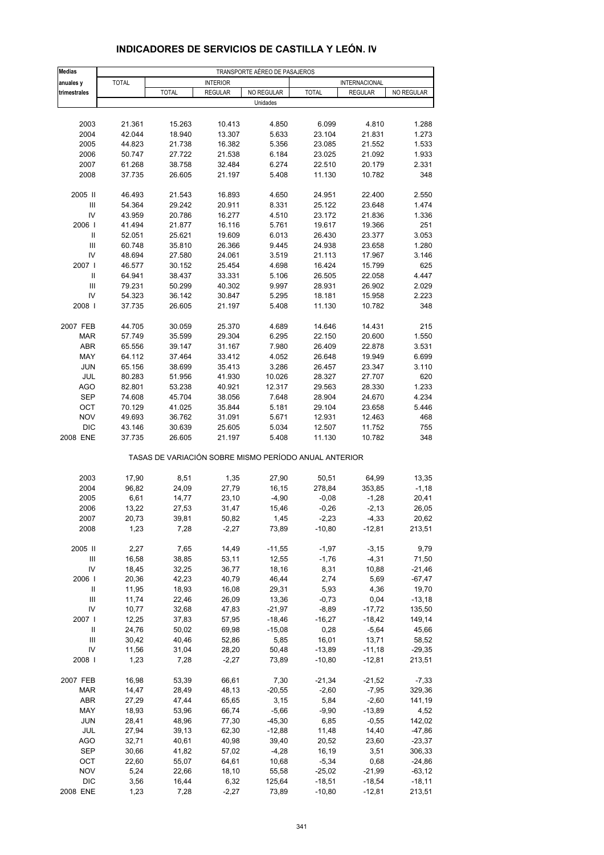| <b>Medias</b> |              |                                                       |                 | TRANSPORTE AÉREO DE PASAJEROS |              |                      |            |
|---------------|--------------|-------------------------------------------------------|-----------------|-------------------------------|--------------|----------------------|------------|
| anuales y     | <b>TOTAL</b> |                                                       | <b>INTERIOR</b> |                               |              | <b>INTERNACIONAL</b> |            |
| trimestrales  |              | <b>TOTAL</b>                                          | <b>REGULAR</b>  | NO REGULAR                    | <b>TOTAL</b> | <b>REGULAR</b>       | NO REGULAR |
|               |              |                                                       |                 | Unidades                      |              |                      |            |
|               |              |                                                       |                 |                               |              |                      |            |
| 2003          | 21.361       | 15.263                                                | 10.413          | 4.850                         | 6.099        | 4.810                | 1.288      |
| 2004          | 42.044       | 18.940                                                | 13.307          | 5.633                         | 23.104       | 21.831               | 1.273      |
| 2005          | 44.823       | 21.738                                                | 16.382          | 5.356                         | 23.085       | 21.552               | 1.533      |
| 2006          | 50.747       | 27.722                                                | 21.538          | 6.184                         | 23.025       | 21.092               | 1.933      |
| 2007          | 61.268       | 38.758                                                | 32.484          | 6.274                         | 22.510       | 20.179               | 2.331      |
| 2008          | 37.735       | 26.605                                                | 21.197          | 5.408                         | 11.130       | 10.782               | 348        |
|               |              |                                                       |                 |                               |              |                      |            |
| 2005 II       | 46.493       | 21.543                                                | 16.893          | 4.650                         | 24.951       | 22.400               | 2.550      |
| Ш             | 54.364       | 29.242                                                | 20.911          | 8.331                         | 25.122       | 23.648               | 1.474      |
| IV            | 43.959       | 20.786                                                | 16.277          | 4.510                         | 23.172       | 21.836               | 1.336      |
| 2006          | 41.494       | 21.877                                                | 16.116          | 5.761                         | 19.617       | 19.366               | 251        |
| Ш             | 52.051       | 25.621                                                | 19.609          | 6.013                         | 26.430       | 23.377               | 3.053      |
| III           | 60.748       | 35.810                                                | 26.366          | 9.445                         | 24.938       | 23.658               | 1.280      |
| IV            | 48.694       | 27.580                                                | 24.061          | 3.519                         | 21.113       | 17.967               | 3.146      |
| 2007 l        | 46.577       | 30.152                                                | 25.454          | 4.698                         | 16.424       | 15.799               | 625        |
| Ш             | 64.941       | 38.437                                                | 33.331          | 5.106                         | 26.505       | 22.058               | 4.447      |
| III           | 79.231       | 50.299                                                | 40.302          | 9.997                         | 28.931       | 26.902               | 2.029      |
| IV            | 54.323       | 36.142                                                | 30.847          | 5.295                         | 18.181       | 15.958               | 2.223      |
| 2008          | 37.735       | 26.605                                                | 21.197          | 5.408                         | 11.130       | 10.782               | 348        |
|               |              |                                                       |                 |                               |              |                      |            |
| 2007 FEB      | 44.705       | 30.059                                                | 25.370          | 4.689                         | 14.646       | 14.431               | 215        |
| <b>MAR</b>    | 57.749       | 35.599                                                | 29.304          | 6.295                         | 22.150       | 20.600               | 1.550      |
| <b>ABR</b>    | 65.556       | 39.147                                                | 31.167          | 7.980                         | 26.409       | 22.878               | 3.531      |
| MAY           | 64.112       | 37.464                                                | 33.412          | 4.052                         | 26.648       | 19.949               | 6.699      |
| <b>JUN</b>    | 65.156       | 38.699                                                | 35.413          | 3.286                         | 26.457       | 23.347               | 3.110      |
| JUL           | 80.283       | 51.956                                                | 41.930          | 10.026                        | 28.327       | 27.707               | 620        |
| AGO           | 82.801       | 53.238                                                | 40.921          | 12.317                        | 29.563       | 28.330               | 1.233      |
| <b>SEP</b>    | 74.608       | 45.704                                                | 38.056          | 7.648                         | 28.904       | 24.670               | 4.234      |
| OCT           | 70.129       | 41.025                                                | 35.844          | 5.181                         | 29.104       | 23.658               | 5.446      |
| <b>NOV</b>    | 49.693       | 36.762                                                | 31.091          | 5.671                         | 12.931       | 12.463               | 468        |
| <b>DIC</b>    | 43.146       | 30.639                                                | 25.605          | 5.034                         | 12.507       | 11.752               | 755        |
| 2008 ENE      | 37.735       | 26.605                                                | 21.197          | 5.408                         | 11.130       | 10.782               | 348        |
|               |              | TASAS DE VARIACIÓN SOBRE MISMO PERÍODO ANUAL ANTERIOR |                 |                               |              |                      |            |
| 2003          | 17,90        | 8,51                                                  | 1,35            | 27,90                         | 50,51        | 64,99                | 13,35      |
| 2004          | 96,82        | 24,09                                                 | 27,79           | 16,15                         | 278,84       | 353,85               | $-1,18$    |
| 2005          | 6,61         | 14,77                                                 | 23,10           | $-4,90$                       | $-0,08$      | $-1,28$              | 20,41      |
| 2006          | 13,22        | 27,53                                                 | 31,47           | 15,46                         | $-0,26$      | $-2,13$              | 26,05      |
| 2007          | 20,73        | 39,81                                                 | 50,82           | 1,45                          | $-2,23$      | $-4,33$              | 20,62      |
| 2008          | 1,23         | 7,28                                                  | $-2,27$         | 73,89                         | $-10,80$     | $-12,81$             | 213,51     |
|               |              |                                                       |                 |                               |              |                      |            |
| 2005 II       | 2,27         | 7,65                                                  | 14,49           | $-11,55$                      | $-1,97$      | $-3,15$              | 9,79       |
| Ш             | 16,58        | 38,85                                                 | 53,11           | 12,55                         | $-1,76$      | $-4,31$              | 71,50      |
| IV            | 18,45        | 32,25                                                 | 36,77           | 18,16                         | 8,31         | 10,88                | $-21,46$   |
| 2006          | 20,36        | 42,23                                                 | 40,79           | 46,44                         | 2,74         | 5,69                 | $-67,47$   |
| Ш             | 11,95        | 18,93                                                 | 16,08           | 29,31                         | 5,93         | 4,36                 | 19,70      |
| Ш             | 11,74        | 22,46                                                 | 26,09           | 13,36                         | $-0,73$      | 0,04                 | $-13,18$   |
| IV            | 10,77        | 32,68                                                 | 47,83           | $-21,97$                      | $-8,89$      | $-17,72$             | 135,50     |
| 2007 l        | 12,25        | 37,83                                                 | 57,95           | $-18,46$                      | $-16,27$     | $-18,42$             | 149,14     |
| Ш             | 24,76        | 50,02                                                 | 69,98           | $-15,08$                      | 0,28         | $-5,64$              | 45,66      |
| Ш             | 30,42        | 40,46                                                 | 52,86           | 5,85                          | 16,01        | 13,71                | 58,52      |
| IV            | 11,56        | 31,04                                                 | 28,20           | 50,48                         | $-13,89$     | $-11,18$             | $-29,35$   |
| 2008          | 1,23         | 7,28                                                  | $-2,27$         | 73,89                         | $-10,80$     | $-12,81$             | 213,51     |
|               |              |                                                       |                 |                               |              |                      |            |
| 2007 FEB      | 16,98        | 53,39                                                 | 66,61           | 7,30                          | $-21,34$     | $-21,52$             | $-7,33$    |
| MAR           | 14,47        | 28,49                                                 | 48,13           | $-20,55$                      | $-2,60$      | $-7,95$              | 329,36     |
| <b>ABR</b>    | 27,29        | 47,44                                                 | 65,65           | 3,15                          | 5,84         | $-2,60$              | 141,19     |
| MAY           | 18,93        | 53,96                                                 | 66,74           | $-5,66$                       | $-9,90$      | $-13,89$             | 4,52       |
| <b>JUN</b>    | 28,41        | 48,96                                                 | 77,30           | $-45,30$                      | 6,85         | $-0,55$              | 142,02     |
| JUL           | 27,94        | 39,13                                                 | 62,30           | $-12,88$                      | 11,48        | 14,40                | $-47,86$   |
| AGO           | 32,71        | 40,61                                                 | 40,98           | 39,40                         | 20,52        | 23,60                | $-23,37$   |
| SEP           | 30,66        | 41,82                                                 | 57,02           | $-4,28$                       | 16,19        | 3,51                 | 306,33     |
| OCT           | 22,60        | 55,07                                                 | 64,61           | 10,68                         | $-5,34$      | 0,68                 | $-24,86$   |
| <b>NOV</b>    | 5,24         | 22,66                                                 | 18,10           | 55,58                         | $-25,02$     | $-21,99$             | $-63, 12$  |
| <b>DIC</b>    | 3,56         | 16,44<br>7,28                                         | 6,32<br>$-2,27$ | 125,64                        | $-18,51$     | $-18,54$             | $-18,11$   |
| 2008 ENE      | 1,23         |                                                       |                 | 73,89                         | $-10,80$     | $-12,81$             | 213,51     |

# **INDICADORES DE SERVICIOS DE CASTILLA Y LEÓN. IV**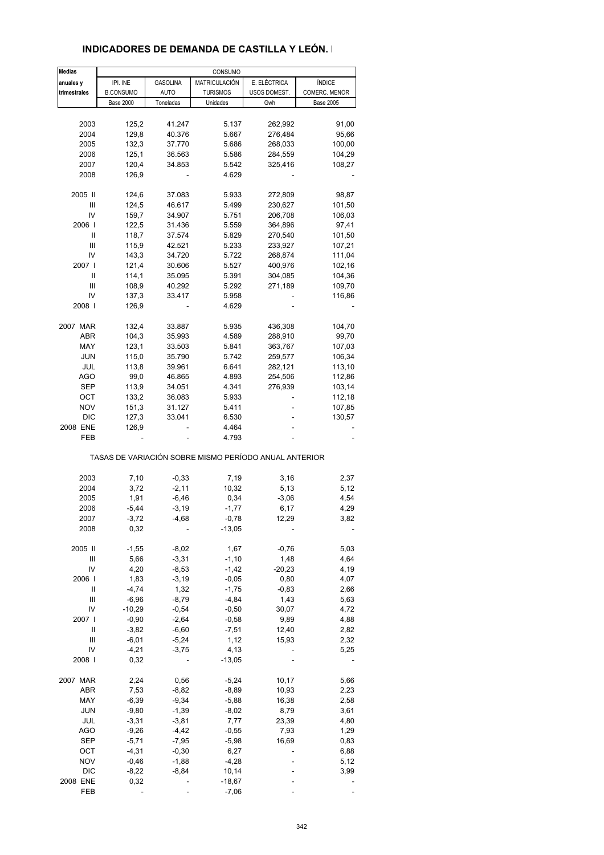# **INDICADORES DE DEMANDA DE CASTILLA Y LEÓN. I**

| Medias       |                  |           | CONSUMO         |                                                       |                  |
|--------------|------------------|-----------|-----------------|-------------------------------------------------------|------------------|
| anuales y    | IPI. INE         | GASOLINA  | MATRICULACIÓN   | E. ELÉCTRICA                                          | <b>INDICE</b>    |
| trimestrales | <b>B.CONSUMO</b> | AUTO      | <b>TURISMOS</b> | USOS DOMEST.                                          | COMERC. MENOR    |
|              | <b>Base 2000</b> | Toneladas | Unidades        | Gwh                                                   | <b>Base 2005</b> |
|              |                  |           |                 |                                                       |                  |
| 2003         | 125,2            | 41.247    | 5.137           | 262,992                                               | 91,00            |
| 2004         | 129,8            | 40.376    | 5.667           | 276,484                                               | 95,66            |
| 2005         | 132,3            | 37.770    | 5.686           | 268,033                                               | 100,00           |
| 2006         | 125,1            | 36.563    | 5.586           | 284,559                                               | 104,29           |
| 2007         | 120,4            | 34.853    | 5.542           | 325,416                                               | 108,27           |
| 2008         | 126,9            |           | 4.629           |                                                       |                  |
|              |                  |           |                 |                                                       |                  |
| 2005 II      | 124,6            | 37.083    | 5.933           | 272,809                                               | 98,87            |
| Ш            | 124,5            | 46.617    | 5.499           | 230,627                                               | 101,50           |
| IV           | 159,7            | 34.907    | 5.751           | 206,708                                               | 106,03           |
| 2006         | 122,5            | 31.436    | 5.559           | 364,896                                               | 97,41            |
| Ш            | 118,7            | 37.574    | 5.829           | 270,540                                               | 101,50           |
| Ш            | 115,9            | 42.521    | 5.233           | 233,927                                               | 107,21           |
| IV           | 143,3            | 34.720    | 5.722           | 268,874                                               | 111,04           |
| 2007         | 121,4            | 30.606    | 5.527           | 400,976                                               | 102,16           |
| Ш            | 114,1            | 35.095    | 5.391           | 304,085                                               | 104,36           |
| Ш            | 108,9            | 40.292    | 5.292           | 271,189                                               | 109,70           |
|              |                  |           |                 |                                                       |                  |
| IV           | 137,3            | 33.417    | 5.958           |                                                       | 116,86           |
| 2008         | 126,9            |           | 4.629           |                                                       |                  |
| 2007 MAR     | 132,4            | 33.887    | 5.935           | 436,308                                               | 104,70           |
| ABR          | 104,3            | 35.993    | 4.589           | 288,910                                               | 99,70            |
| MAY          | 123,1            | 33.503    | 5.841           | 363,767                                               | 107,03           |
|              |                  |           |                 |                                                       |                  |
| JUN          | 115,0            | 35.790    | 5.742           | 259,577                                               | 106,34           |
| JUL          | 113,8            | 39.961    | 6.641           | 282,121                                               | 113,10           |
| <b>AGO</b>   | 99,0             | 46.865    | 4.893           | 254,506                                               | 112,86           |
| SEP          | 113,9            | 34.051    | 4.341           | 276,939                                               | 103,14           |
| ОСТ          | 133,2            | 36.083    | 5.933           |                                                       | 112,18           |
| <b>NOV</b>   | 151,3            | 31.127    | 5.411           |                                                       | 107,85           |
| DIC          | 127,3            | 33.041    | 6.530           |                                                       | 130,57           |
| 2008 ENE     | 126,9            |           | 4.464           |                                                       |                  |
| FEB          |                  |           | 4.793           |                                                       |                  |
|              |                  |           |                 | TASAS DE VARIACIÓN SOBRE MISMO PERÍODO ANUAL ANTERIOR |                  |
|              |                  |           |                 |                                                       |                  |
| 2003         | 7,10             | $-0,33$   | 7,19            | 3,16                                                  | 2,37             |
| 2004         | 3,72             | $-2,11$   | 10,32           | 5,13                                                  | 5,12             |
| 2005         | 1,91             | $-6,46$   | 0,34            | $-3,06$                                               | 4,54             |
| 2006         | $-5,44$          | $-3,19$   | $-1,77$         | 6,17                                                  | 4,29             |
| 2007         | $-3,72$          | $-4,68$   | $-0,78$         | 12,29                                                 | 3,82             |
| 2008         | 0,32             |           | $-13,05$        |                                                       |                  |
|              |                  |           |                 |                                                       |                  |
| 2005 II      | $-1,55$          | $-8,02$   | 1,67            | $-0,76$                                               | 5,03             |
| Ш            | 5,66             | $-3,31$   | $-1,10$         | 1,48                                                  | 4,64             |
| IV           | 4,20             | $-8,53$   | $-1,42$         | $-20,23$                                              | 4,19             |
| 2006         | 1,83             | $-3,19$   | $-0,05$         | 0,80                                                  | 4,07             |
| Ш            | $-4,74$          | 1,32      | $-1,75$         | $-0,83$                                               | 2,66             |
| Ш            | $-6,96$          | $-8,79$   | $-4,84$         | 1,43                                                  | 5,63             |
| IV           | $-10,29$         | $-0,54$   | $-0,50$         | 30,07                                                 | 4,72             |
| 2007 l       | $-0,90$          | $-2,64$   | $-0,58$         | 9,89                                                  | 4,88             |
| Ш            | $-3,82$          | $-6,60$   | $-7,51$         | 12,40                                                 | 2,82             |
| Ш            | $-6,01$          | $-5,24$   | 1,12            | 15,93                                                 | 2,32             |
| IV           | $-4,21$          | $-3,75$   | 4,13            |                                                       | 5,25             |
| 2008         | 0,32             |           | $-13,05$        |                                                       |                  |
|              |                  |           |                 |                                                       |                  |
| 2007 MAR     | 2,24             | 0,56      | $-5,24$         | 10,17                                                 | 5,66             |
| ABR          | 7,53             | $-8,82$   | $-8,89$         | 10,93                                                 | 2,23             |
| MAY          | $-6,39$          | $-9,34$   | $-5,88$         | 16,38                                                 | 2,58             |
| JUN          | $-9,80$          | $-1,39$   | $-8,02$         | 8,79                                                  | 3,61             |
| JUL          | $-3,31$          | $-3,81$   | 7,77            | 23,39                                                 | 4,80             |
| <b>AGO</b>   | $-9,26$          | $-4,42$   | $-0,55$         | 7,93                                                  | 1,29             |
| SEP          | $-5,71$          | $-7,95$   | $-5,98$         | 16,69                                                 | 0,83             |
| OCT          | $-4,31$          | $-0,30$   | 6,27            |                                                       | 6,88             |
| <b>NOV</b>   | $-0,46$          | $-1,88$   | $-4,28$         |                                                       | 5,12             |
| DIC          | $-8,22$          | $-8,84$   | 10,14           |                                                       | 3,99             |
| 2008 ENE     | 0,32             |           | $-18,67$        |                                                       |                  |
| FEB          |                  |           | $-7,06$         |                                                       |                  |
|              |                  |           |                 |                                                       |                  |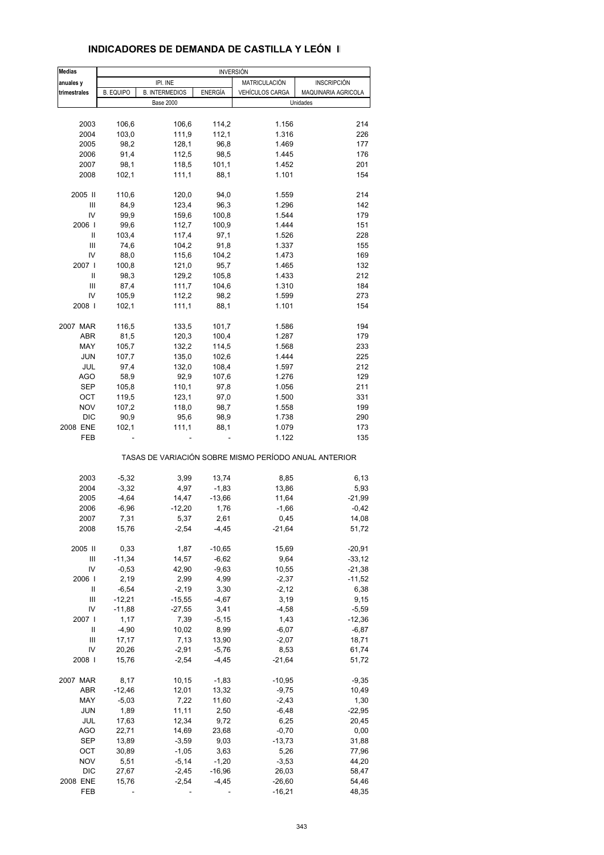#### **Medias anuales y CONTRIGUES INSCRIPCIÓN INSCRIPCIÓN trimestrales** B. EQUIPO B. INTERMEDIOS ENERGÍA VEHÍCULOS CARGA MAQUINARIA AGRICOLA 2003 106,6 106,6 114,2 1.156 214 2004 103,0 111,9 112,1 1.316 226 2005 98,2 128,1 96,8 1.469 177 2006 91,4 112,5 98,5 1.445 176 2007 98,1 118,5 101,1 1.452 201 2008 102,1 111,1 88,1 1.101 154 2005 II 110,6 120,0 94,0 1.559 214 III 84,9 123,4 96,3 1.296 142 IV 99,9 159,6 100,8 1.544 179 2006 I 99,6 112,7 100,9 1.444 151 II 103,4 117,4 97,1 1.526 228 III 74,6 104,2 91,8 1.337 155 IV 88,0 115,6 104,2 1.473 169 2007 I 100,8 121,0 95,7 1.465 132 II 98,3 129,2 105,8 1.433 212 III 87,4 111,7 104,6 1.310 184 IV 105,9 112,2 98,2 1.599 273 2008 I 102,1 111,1 88,1 1.101 154 2007 MAR 116,5 133,5 101,7 1.586 194 ABR 81,5 120,3 100,4 1.287 179 MAY 105,7 132,2 114,5 1.568 233 JUN 107,7 135,0 102,6 1.444 225 JUL 97,4 132,0 108,4 1.597 212 AGO 58,9 92,9 107,6 1.276 129 SEP 105,8 110,1 97,8 1.056 211 OCT 119,5 123,1 97,0 1.500 331 NOV 107,2 118,0 98,7 1.558 199 DIC 90,9 95,6 98,9 1.738 290 2008 ENE 102,1 111,1 88,1 1.079 173 FEB - - - - - - 1.122 135 TASAS DE VARIACIÓN SOBRE MISMO PERÍODO ANUAL ANTERIOR 2003 -5,32 3,99 13,74 8,85 6,13 2004 -3,32 4,97 -1,83 13,86 5,93 2005 -4,64 14,47 -13,66 11,64 -21,99 2006 -6,96 -12,20 1,76 -1,66 -0,42 2007 7,31 5,37 2,61 0,45 14,08 2008 15,76 -2,54 -4,45 -21,64 51,72 2005 II 0,33 1,87 -10,65 15,69 -20,91 III -11,34 14,57 -6,62 9,64 -33,12 IV -0,53 42,90 -9,63 10,55 -21,38 2006 I 2,19 2,99 4,99 -2,37 -11,52  $\blacksquare$  -6,54 -2,19 3,30 -2,12 -6,38 III -12,21 -15,55 -4,67 -3,19 9,15 IV -11,88 -27,55 3,41 -4,58 -5,59 2007 I 1,17 7,39 -5,15 1,43 -12,36 II -4,90 10,02 8,99 -6,07 -6,87 III 17,17 7,13 13,90 -2,07 18,71 IV 20,26 -2,91 -5,76 8,53 61,74 2008 I 15,76 -2,54 -4,45 -21,64 51,72 2007 MAR 8,17 10,15 -1,83 -10,95 -9,35 ABR -12,46 12,01 13,32 -9,75 10,49 MAY -5,03 7,22 11,60 -2,43 1,30 JUN 1,89 11,11 2,50 -6,48 -22,95 JUL 17,63 12,34 9,72 6,25 20,45 AGO 22,71 14,69 23,68 -0,70 0,00 SEP 13,89 -3,59 9,03 -13,73 31,88 OCT 30,89 -1,05 3,63 5,26 77,96 NOV 5,51 -5,14 -1,20 -3,53 -44,20 DIC 27,67 -2,45 -16,96 26,03 58,47 INVERSIÓN IPI. INE Base 2000 Unidades

2008 ENE 15,76 -2,54 -4,45 -26,60 54,46 FEB - - - -16,21 48,35

#### **INDICADORES DE DEMANDA DE CASTILLA Y LEÓN II**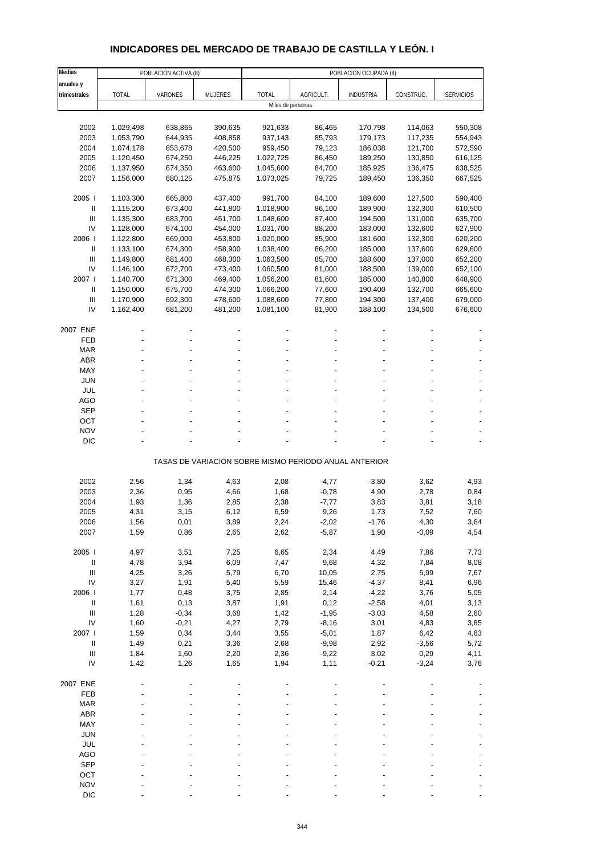# **INDICADORES DEL MERCADO DE TRABAJO DE CASTILLA Y LEÓN. I**

| Medias                             |                        | POBLACIÓN ACTIVA (8) |                    |                        |                  | POBLACIÓN OCUPADA (8)                                 |                    |                    |
|------------------------------------|------------------------|----------------------|--------------------|------------------------|------------------|-------------------------------------------------------|--------------------|--------------------|
| anuales y                          |                        |                      |                    |                        |                  |                                                       |                    |                    |
| trimestrales                       | <b>TOTAL</b>           | VARONES              | <b>MUJERES</b>     | <b>TOTAL</b>           | AGRICULT.        | <b>INDUSTRIA</b>                                      | CONSTRUC.          | <b>SERVICIOS</b>   |
|                                    |                        |                      |                    | Miles de personas      |                  |                                                       |                    |                    |
|                                    |                        |                      |                    |                        |                  |                                                       |                    |                    |
| 2002                               | 1.029,498              | 638,865              | 390,635            | 921,633                | 86,465           | 170,798                                               | 114,063            | 550,308            |
| 2003                               | 1.053,790              | 644,935              | 408,858            | 937,143                | 85,793           | 179,173                                               | 117,235            | 554,943            |
| 2004<br>2005                       | 1.074,178              | 653,678              | 420,500            | 959,450                | 79,123           | 186,038                                               | 121,700            | 572,590            |
| 2006                               | 1.120,450<br>1.137,950 | 674,250<br>674,350   | 446,225<br>463,600 | 1.022,725<br>1.045,600 | 86,450<br>84,700 | 189,250<br>185,925                                    | 130,850<br>136,475 | 616,125<br>638,525 |
| 2007                               | 1.156,000              | 680,125              | 475,875            | 1.073,025              | 79,725           | 189,450                                               | 136,350            | 667,525            |
|                                    |                        |                      |                    |                        |                  |                                                       |                    |                    |
| 2005                               | 1.103,300              | 665,800              | 437,400            | 991,700                | 84,100           | 189,600                                               | 127,500            | 590,400            |
| Ш                                  | 1.115,200              | 673,400              | 441,800            | 1.018,900              | 86,100           | 189,900                                               | 132,300            | 610,500            |
| $\ensuremath{\mathsf{III}}\xspace$ | 1.135,300              | 683,700              | 451,700            | 1.048,600              | 87,400           | 194,500                                               | 131,000            | 635,700            |
| IV                                 | 1.128,000              | 674,100              | 454,000            | 1.031,700              | 88,200           | 183,000                                               | 132,600            | 627,900            |
| 2006                               | 1.122,800              | 669,000              | 453,800            | 1.020,000              | 85,900           | 181,600                                               | 132,300            | 620,200            |
| $\ensuremath{\mathsf{II}}$         | 1.133,100              | 674,300              | 458,900            | 1.038,400              | 86,200           | 185,000                                               | 137,600            | 629,600            |
| $\ensuremath{\mathsf{III}}\xspace$ | 1.149,800              | 681,400              | 468,300            | 1.063,500              | 85,700           | 188,600                                               | 137,000            | 652,200            |
| IV                                 | 1.146,100              | 672,700              | 473,400            | 1.060,500              | 81,000           | 188,500                                               | 139,000            | 652,100            |
| 2007 l                             | 1.140,700              | 671,300              | 469,400            | 1.056,200              | 81,600           | 185,000                                               | 140,800            | 648,900            |
| Ш                                  | 1.150,000              | 675,700              | 474,300            | 1.066,200              | 77,600           | 190,400                                               | 132,700            | 665,600            |
| Ш                                  | 1.170,900              | 692,300              | 478,600            | 1.088,600              | 77,800           | 194,300                                               | 137,400            | 679,000            |
| IV                                 | 1.162,400              | 681,200              | 481,200            | 1.081,100              | 81,900           | 188,100                                               | 134,500            | 676,600            |
| 2007 ENE                           |                        |                      |                    |                        |                  |                                                       |                    |                    |
| FEB                                |                        |                      |                    |                        |                  |                                                       |                    |                    |
| <b>MAR</b>                         |                        |                      |                    |                        |                  |                                                       |                    |                    |
| <b>ABR</b>                         |                        |                      |                    |                        |                  |                                                       |                    |                    |
| MAY                                |                        |                      |                    |                        |                  |                                                       |                    |                    |
| <b>JUN</b>                         |                        |                      |                    |                        |                  |                                                       |                    |                    |
| JUL                                |                        |                      |                    |                        |                  |                                                       |                    |                    |
| <b>AGO</b>                         |                        |                      |                    |                        |                  |                                                       |                    |                    |
| <b>SEP</b>                         |                        |                      |                    |                        |                  |                                                       |                    |                    |
| OCT                                |                        |                      |                    |                        |                  |                                                       |                    |                    |
| <b>NOV</b>                         |                        |                      |                    |                        |                  |                                                       |                    |                    |
| <b>DIC</b>                         |                        |                      |                    |                        |                  |                                                       |                    |                    |
|                                    |                        |                      |                    |                        |                  | TASAS DE VARIACIÓN SOBRE MISMO PERÍODO ANUAL ANTERIOR |                    |                    |
|                                    |                        |                      |                    |                        |                  |                                                       |                    |                    |
| 2002                               | 2,56                   | 1,34                 | 4,63               | 2,08                   | $-4,77$          | $-3,80$                                               | 3,62               | 4,93               |
| 2003                               | 2,36                   | 0,95                 | 4,66               | 1,68                   | $-0,78$          | 4,90                                                  | 2,78               | 0,84               |
| 2004                               | 1,93                   | 1,36                 | 2,85               | 2,38                   | $-7,77$          | 3,83                                                  | 3,81               | 3,18               |
| 2005                               | 4,31                   | 3,15                 | 6,12               | 6,59                   | 9,26             | 1,73                                                  | 7,52               | 7,60               |
| 2006                               | 1,56                   | 0,01                 | 3,89               | 2,24                   | $-2,02$          | $-1,76$                                               | 4,30               | 3,64               |
| 2007                               | 1,59                   | 0,86                 | 2,65               | 2,62                   | $-5,87$          | 1,90                                                  | $-0,09$            | 4,54               |
|                                    |                        |                      |                    |                        |                  |                                                       |                    |                    |
| 2005 l                             | 4,97                   | 3,51                 | 7,25               | 6,65                   | 2,34             | 4,49                                                  | 7,86               | 7,73               |
| $\sf II$<br>$\mathbf{III}$         | 4,78                   | 3,94                 | 6,09               | 7,47                   | 9,68             | 4,32                                                  | 7,84               | 8,08               |
| IV                                 | 4,25<br>3,27           | 3,26<br>1,91         | 5,79<br>5,40       | 6,70<br>5,59           | 10,05<br>15,46   | 2,75<br>$-4,37$                                       | 5,99<br>8,41       | 7,67<br>6,96       |
| 2006                               | 1,77                   | 0,48                 | 3,75               | 2,85                   | 2,14             | $-4,22$                                               | 3,76               | 5,05               |
| $\, \parallel$                     | 1,61                   | 0,13                 | 3,87               | 1,91                   | 0,12             | $-2,58$                                               | 4,01               | 3,13               |
| III                                | 1,28                   | $-0,34$              | 3,68               | 1,42                   | $-1,95$          | $-3,03$                                               | 4,58               | 2,60               |
| IV                                 | 1,60                   | $-0,21$              | 4,27               | 2,79                   | $-8,16$          | 3,01                                                  | 4,83               | 3,85               |
| 2007 l                             | 1,59                   | 0,34                 | 3,44               | 3,55                   | $-5,01$          | 1,87                                                  | 6,42               | 4,63               |
| $\mathbf{II}$                      | 1,49                   | 0,21                 | 3,36               | 2,68                   | $-9,98$          | 2,92                                                  | $-3,56$            | 5,72               |
| $\ensuremath{\mathsf{III}}\xspace$ | 1,84                   | 1,60                 | 2,20               | 2,36                   | $-9,22$          | 3,02                                                  | 0,29               | 4,11               |
| IV                                 | 1,42                   | 1,26                 | 1,65               | 1,94                   | 1,11             | $-0,21$                                               | $-3,24$            | 3,76               |
|                                    |                        |                      |                    |                        |                  |                                                       |                    |                    |
| 2007 ENE                           |                        |                      |                    |                        |                  |                                                       |                    |                    |
| FEB                                |                        |                      |                    |                        |                  |                                                       |                    |                    |
| <b>MAR</b>                         |                        |                      |                    |                        |                  |                                                       |                    |                    |
| <b>ABR</b><br>MAY                  |                        |                      |                    |                        |                  |                                                       |                    |                    |
| <b>JUN</b>                         |                        |                      |                    |                        |                  |                                                       |                    |                    |
| JUL                                |                        |                      |                    |                        |                  |                                                       |                    |                    |
| <b>AGO</b>                         |                        |                      |                    |                        |                  |                                                       |                    |                    |
| <b>SEP</b>                         |                        |                      |                    |                        |                  |                                                       |                    |                    |
| OCT                                |                        |                      |                    |                        |                  |                                                       |                    |                    |
| <b>NOV</b>                         |                        |                      |                    |                        |                  |                                                       |                    |                    |
| <b>DIC</b>                         |                        |                      |                    |                        |                  |                                                       |                    |                    |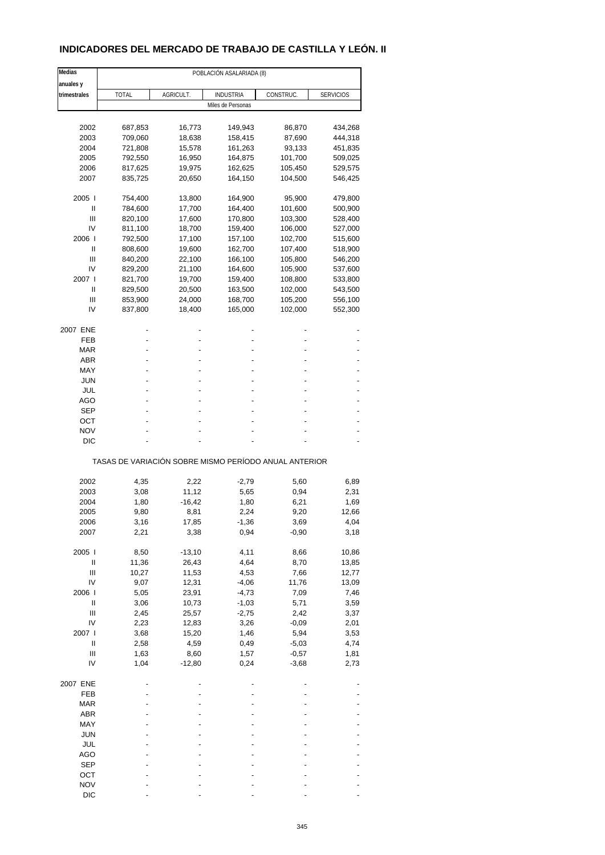# **INDICADORES DEL MERCADO DE TRABAJO DE CASTILLA Y LEÓN. II**

| Medias                             | POBLACIÓN ASALARIADA (8)                              |           |                   |           |                  |  |  |
|------------------------------------|-------------------------------------------------------|-----------|-------------------|-----------|------------------|--|--|
| anuales y                          |                                                       |           |                   |           |                  |  |  |
| trimestrales                       | <b>TOTAL</b>                                          | AGRICULT. | INDUSTRIA         | CONSTRUC. | <b>SERVICIOS</b> |  |  |
|                                    |                                                       |           | Miles de Personas |           |                  |  |  |
|                                    |                                                       |           |                   |           |                  |  |  |
| 2002                               | 687,853                                               | 16,773    | 149,943           | 86,870    | 434,268          |  |  |
| 2003                               | 709,060                                               | 18,638    | 158,415           | 87,690    | 444,318          |  |  |
| 2004                               | 721,808                                               | 15,578    | 161,263           | 93,133    | 451,835          |  |  |
| 2005                               | 792,550                                               | 16,950    | 164,875           | 101,700   | 509,025          |  |  |
| 2006                               | 817,625                                               | 19,975    | 162,625           | 105,450   | 529,575          |  |  |
| 2007                               | 835,725                                               | 20,650    | 164,150           | 104,500   | 546,425          |  |  |
|                                    |                                                       |           |                   |           |                  |  |  |
| 2005                               | 754,400                                               | 13,800    | 164,900           | 95,900    | 479,800          |  |  |
| Ш                                  | 784,600                                               | 17,700    | 164,400           | 101,600   | 500,900          |  |  |
| Ш                                  | 820,100                                               | 17,600    | 170,800           | 103,300   | 528,400          |  |  |
| IV                                 | 811,100                                               | 18,700    | 159,400           | 106,000   | 527,000          |  |  |
| 2006                               | 792,500                                               | 17,100    | 157,100           | 102,700   | 515,600          |  |  |
| Ш                                  | 808,600                                               | 19,600    | 162,700           | 107,400   | 518,900          |  |  |
| Ш                                  | 840,200                                               | 22,100    | 166,100           | 105,800   | 546,200          |  |  |
| IV                                 | 829,200                                               | 21,100    | 164,600           | 105,900   | 537,600          |  |  |
| 2007 l                             | 821,700                                               | 19,700    | 159,400           | 108,800   | 533,800          |  |  |
| Ш                                  | 829,500                                               | 20,500    | 163,500           | 102,000   | 543,500          |  |  |
| Ш                                  | 853,900                                               | 24,000    | 168,700           | 105,200   | 556,100          |  |  |
| IV                                 | 837,800                                               | 18,400    | 165,000           | 102,000   | 552,300          |  |  |
| 2007 ENE                           |                                                       |           |                   |           |                  |  |  |
| FEB                                |                                                       |           |                   |           |                  |  |  |
| <b>MAR</b>                         |                                                       |           |                   |           |                  |  |  |
| <b>ABR</b>                         |                                                       |           |                   |           |                  |  |  |
| MAY                                |                                                       |           |                   |           |                  |  |  |
| JUN                                |                                                       |           |                   |           |                  |  |  |
| JUL                                |                                                       |           |                   |           |                  |  |  |
| AGO                                |                                                       |           |                   |           |                  |  |  |
| <b>SEP</b>                         |                                                       |           |                   |           |                  |  |  |
| ОСТ                                |                                                       |           |                   |           |                  |  |  |
| <b>NOV</b>                         |                                                       |           |                   |           |                  |  |  |
| DIC                                |                                                       |           |                   |           |                  |  |  |
|                                    |                                                       |           |                   |           |                  |  |  |
|                                    | TASAS DE VARIACIÓN SOBRE MISMO PERÍODO ANUAL ANTERIOR |           |                   |           |                  |  |  |
|                                    |                                                       |           |                   |           |                  |  |  |
| 2002                               | 4,35                                                  | 2,22      | $-2,79$           | 5,60      | 6,89             |  |  |
| 2003                               | 3,08                                                  | 11,12     | 5,65              | 0,94      | 2,31             |  |  |
| 2004                               | 1,80                                                  | -16,42    | 1,80              | 6,21      | 1,69             |  |  |
| 2005                               | 9,80                                                  | 8,81      | 2,24              | 9,20      | 12,66            |  |  |
| 2006                               | 3,16                                                  | 17,85     | -1,36             | 3,69      | 4,04             |  |  |
| 2007                               | 2,21                                                  | 3,38      | 0,94              | $-0,90$   | 3,18             |  |  |
|                                    |                                                       |           |                   |           |                  |  |  |
| 2005                               | 8,50                                                  | $-13,10$  | 4,11              | 8,66      | 10,86            |  |  |
| Ш                                  | 11,36                                                 | 26,43     | 4,64              | 8,70      | 13,85            |  |  |
| $\ensuremath{\mathsf{III}}\xspace$ | 10,27                                                 | 11,53     | 4,53              | 7,66      | 12,77            |  |  |
| IV                                 | 9,07                                                  | 12,31     | $-4,06$           | 11,76     | 13,09            |  |  |
| 2006                               | 5,05                                                  | 23,91     | $-4,73$           | 7,09      | 7,46             |  |  |
| Ш                                  | 3,06                                                  | 10,73     | $-1,03$           | 5,71      | 3,59             |  |  |
| Ш                                  | 2,45                                                  | 25,57     | $-2,75$           | 2,42      | 3,37             |  |  |
| IV                                 | 2,23                                                  | 12,83     | 3,26              | $-0,09$   | 2,01             |  |  |
| 2007 l                             | 3,68                                                  | 15,20     | 1,46              | 5,94      | 3,53             |  |  |
| $\mathsf{II}$                      | 2,58                                                  | 4,59      | 0,49              | $-5,03$   | 4,74             |  |  |
| Ш                                  | 1,63                                                  | 8,60      | 1,57              | $-0,57$   | 1,81             |  |  |
| IV                                 | 1,04                                                  | $-12,80$  | 0,24              | $-3,68$   | 2,73             |  |  |
| 2007 ENE                           |                                                       |           |                   |           |                  |  |  |
| FEB                                |                                                       |           |                   |           |                  |  |  |
| <b>MAR</b>                         |                                                       |           |                   |           |                  |  |  |
| <b>ABR</b>                         |                                                       |           |                   |           |                  |  |  |
| MAY                                |                                                       |           |                   |           |                  |  |  |
| <b>JUN</b>                         |                                                       |           |                   |           |                  |  |  |
| JUL                                |                                                       |           |                   |           |                  |  |  |
| <b>AGO</b>                         |                                                       |           |                   |           |                  |  |  |
| SEP                                |                                                       |           |                   |           |                  |  |  |
| OCT                                |                                                       |           |                   |           |                  |  |  |
| <b>NOV</b>                         |                                                       |           |                   |           |                  |  |  |
| <b>DIC</b>                         |                                                       |           |                   |           |                  |  |  |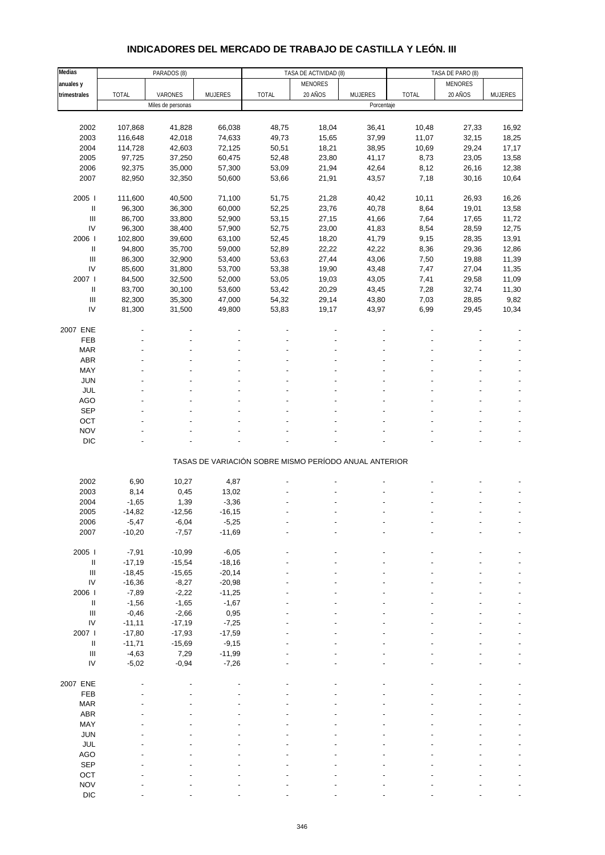# **INDICADORES DEL MERCADO DE TRABAJO DE CASTILLA Y LEÓN. III**

| Medias                             |              | PARADOS (8)       |                |                                                       | TASA DE ACTIVIDAD (8) |                | TASA DE PARO (8) |         |                |
|------------------------------------|--------------|-------------------|----------------|-------------------------------------------------------|-----------------------|----------------|------------------|---------|----------------|
| anuales y                          |              |                   |                |                                                       | <b>MENORES</b>        |                |                  | MENORES |                |
| trimestrales                       |              |                   |                |                                                       |                       | <b>MUJERES</b> |                  | 20 AÑOS |                |
|                                    | <b>TOTAL</b> | VARONES           | <b>MUJERES</b> | <b>TOTAL</b>                                          | 20 AÑOS               |                | <b>TOTAL</b>     |         | <b>MUJERES</b> |
|                                    |              | Miles de personas |                |                                                       |                       | Porcentaje     |                  |         |                |
|                                    |              |                   |                |                                                       |                       |                |                  |         |                |
| 2002                               | 107,868      | 41,828            | 66,038         | 48,75                                                 | 18,04                 | 36,41          | 10,48            | 27,33   | 16,92          |
| 2003                               | 116,648      | 42,018            | 74,633         | 49,73                                                 | 15,65                 | 37,99          | 11,07            | 32,15   | 18,25          |
| 2004                               | 114,728      | 42,603            | 72,125         | 50,51                                                 | 18,21                 | 38,95          | 10,69            | 29,24   | 17,17          |
| 2005                               | 97,725       | 37,250            | 60,475         | 52,48                                                 | 23,80                 | 41,17          | 8,73             | 23,05   | 13,58          |
|                                    |              |                   |                |                                                       |                       |                |                  |         |                |
| 2006                               | 92,375       | 35,000            | 57,300         | 53,09                                                 | 21,94                 | 42,64          | 8,12             | 26,16   | 12,38          |
| 2007                               | 82,950       | 32,350            | 50,600         | 53,66                                                 | 21,91                 | 43,57          | 7,18             | 30,16   | 10,64          |
|                                    |              |                   |                |                                                       |                       |                |                  |         |                |
| 2005 l                             | 111,600      | 40,500            | 71,100         | 51,75                                                 | 21,28                 | 40,42          | 10,11            | 26,93   | 16,26          |
| Ш                                  | 96,300       | 36,300            | 60,000         | 52,25                                                 | 23,76                 | 40,78          | 8,64             | 19,01   | 13,58          |
| $\mathop{\mathrm{III}}\nolimits$   | 86,700       | 33,800            | 52,900         | 53,15                                                 | 27,15                 | 41,66          | 7,64             | 17,65   | 11,72          |
| IV                                 | 96,300       | 38,400            | 57,900         | 52,75                                                 | 23,00                 | 41,83          | 8,54             | 28,59   | 12,75          |
|                                    |              |                   |                |                                                       |                       |                |                  |         |                |
| 2006                               | 102,800      | 39,600            | 63,100         | 52,45                                                 | 18,20                 | 41,79          | 9,15             | 28,35   | 13,91          |
| Ш                                  | 94,800       | 35,700            | 59,000         | 52,89                                                 | 22,22                 | 42,22          | 8,36             | 29,36   | 12,86          |
| $\ensuremath{\mathsf{III}}\xspace$ | 86,300       | 32,900            | 53,400         | 53,63                                                 | 27,44                 | 43,06          | 7,50             | 19,88   | 11,39          |
| IV                                 | 85,600       | 31,800            | 53,700         | 53,38                                                 | 19,90                 | 43,48          | 7,47             | 27,04   | 11,35          |
| 2007 l                             | 84,500       | 32,500            | 52,000         | 53,05                                                 | 19,03                 | 43,05          | 7,41             | 29,58   | 11,09          |
| Ш                                  | 83,700       | 30,100            | 53,600         | 53,42                                                 | 20,29                 | 43,45          | 7,28             | 32,74   | 11,30          |
|                                    |              |                   |                |                                                       |                       |                |                  |         |                |
| $\begin{array}{c} \Pi \end{array}$ | 82,300       | 35,300            | 47,000         | 54,32                                                 | 29,14                 | 43,80          | 7,03             | 28,85   | 9,82           |
| IV                                 | 81,300       | 31,500            | 49,800         | 53,83                                                 | 19,17                 | 43,97          | 6,99             | 29,45   | 10,34          |
|                                    |              |                   |                |                                                       |                       |                |                  |         |                |
| 2007 ENE                           |              |                   |                |                                                       |                       |                |                  |         |                |
| FEB                                |              |                   |                |                                                       |                       |                |                  |         |                |
| <b>MAR</b>                         |              |                   |                |                                                       |                       |                |                  |         |                |
|                                    |              |                   |                |                                                       |                       |                |                  |         |                |
| ABR                                |              |                   |                |                                                       |                       |                |                  |         |                |
| MAY                                |              |                   |                |                                                       |                       |                |                  |         |                |
| <b>JUN</b>                         |              |                   |                |                                                       |                       |                |                  |         |                |
| JUL                                |              |                   |                |                                                       |                       |                |                  |         |                |
| AGO                                |              |                   |                |                                                       |                       |                |                  |         |                |
| <b>SEP</b>                         |              |                   |                |                                                       |                       |                |                  |         |                |
| OCT                                |              |                   |                |                                                       |                       |                |                  |         |                |
|                                    |              |                   |                |                                                       |                       |                |                  |         |                |
| <b>NOV</b>                         |              |                   |                |                                                       |                       |                |                  |         |                |
| DIC                                |              |                   |                |                                                       |                       |                |                  |         |                |
|                                    |              |                   |                |                                                       |                       |                |                  |         |                |
|                                    |              |                   |                | TASAS DE VARIACIÓN SOBRE MISMO PERÍODO ANUAL ANTERIOR |                       |                |                  |         |                |
|                                    |              |                   |                |                                                       |                       |                |                  |         |                |
| 2002                               | 6,90         | 10,27             | 4,87           |                                                       |                       |                |                  |         |                |
| 2003                               | 8,14         | 0,45              | 13,02          |                                                       |                       |                |                  |         |                |
|                                    |              |                   |                |                                                       |                       |                |                  |         |                |
| 2004                               | $-1,65$      | 1,39              | $-3,36$        |                                                       |                       |                |                  |         |                |
| 2005                               | $-14,82$     | $-12,56$          | $-16, 15$      |                                                       |                       |                |                  |         |                |
| 2006                               | -5,47        | -6,04             | $-5,25$        |                                                       |                       |                |                  |         |                |
| 2007                               | $-10,20$     | $-7,57$           | $-11,69$       |                                                       |                       |                |                  |         |                |
|                                    |              |                   |                |                                                       |                       |                |                  |         |                |
| 2005 l                             | $-7,91$      | $-10,99$          | $-6,05$        |                                                       |                       |                |                  |         |                |
|                                    |              |                   |                |                                                       |                       |                |                  |         |                |
| $\ensuremath{\mathsf{II}}$         | $-17,19$     | $-15,54$          | $-18,16$       |                                                       |                       |                |                  |         |                |
| $\ensuremath{\mathsf{III}}\xspace$ | $-18,45$     | $-15,65$          | $-20,14$       |                                                       |                       |                |                  |         |                |
| IV                                 | $-16,36$     | $-8,27$           | $-20,98$       |                                                       |                       |                |                  |         |                |
| 2006                               | $-7,89$      | $-2,22$           | $-11,25$       |                                                       |                       |                |                  |         |                |
| Ш                                  | $-1,56$      | $-1,65$           | $-1,67$        |                                                       |                       |                |                  |         |                |
| $\ensuremath{\mathsf{III}}\xspace$ | $-0,46$      | $-2,66$           | 0,95           |                                                       |                       |                |                  |         |                |
| ${\sf IV}$                         | $-11,11$     | $-17,19$          | $-7,25$        |                                                       |                       |                |                  |         |                |
| 2007 l                             |              |                   |                |                                                       |                       |                |                  |         |                |
|                                    | $-17,80$     | $-17,93$          | $-17,59$       |                                                       |                       |                |                  |         |                |
| $\ensuremath{\mathsf{II}}$         | $-11,71$     | $-15,69$          | $-9,15$        |                                                       |                       |                |                  |         |                |
| $\ensuremath{\mathsf{III}}\xspace$ | $-4,63$      | 7,29              | $-11,99$       |                                                       |                       |                |                  |         |                |
| IV                                 | $-5,02$      | $-0,94$           | $-7,26$        |                                                       |                       |                |                  |         |                |
|                                    |              |                   |                |                                                       |                       |                |                  |         |                |
| 2007 ENE                           |              |                   |                |                                                       |                       |                |                  |         |                |
| FEB                                |              |                   |                |                                                       |                       |                |                  |         |                |
| <b>MAR</b>                         |              |                   |                |                                                       |                       |                |                  |         |                |
|                                    |              |                   |                |                                                       |                       |                |                  |         |                |
| ABR                                |              |                   |                |                                                       |                       |                |                  |         |                |
| MAY                                |              |                   |                |                                                       |                       |                |                  |         |                |
| <b>JUN</b>                         |              |                   |                |                                                       |                       |                |                  |         |                |
| JUL                                |              |                   |                |                                                       |                       |                |                  |         |                |
| AGO                                |              |                   |                |                                                       |                       |                |                  |         |                |
| <b>SEP</b>                         |              |                   |                |                                                       |                       |                |                  |         |                |
|                                    |              |                   |                |                                                       |                       |                |                  |         |                |
| OCT                                |              |                   |                |                                                       |                       |                |                  |         |                |
| <b>NOV</b>                         |              |                   |                |                                                       |                       |                |                  |         |                |
| <b>DIC</b>                         |              |                   |                |                                                       |                       |                |                  |         |                |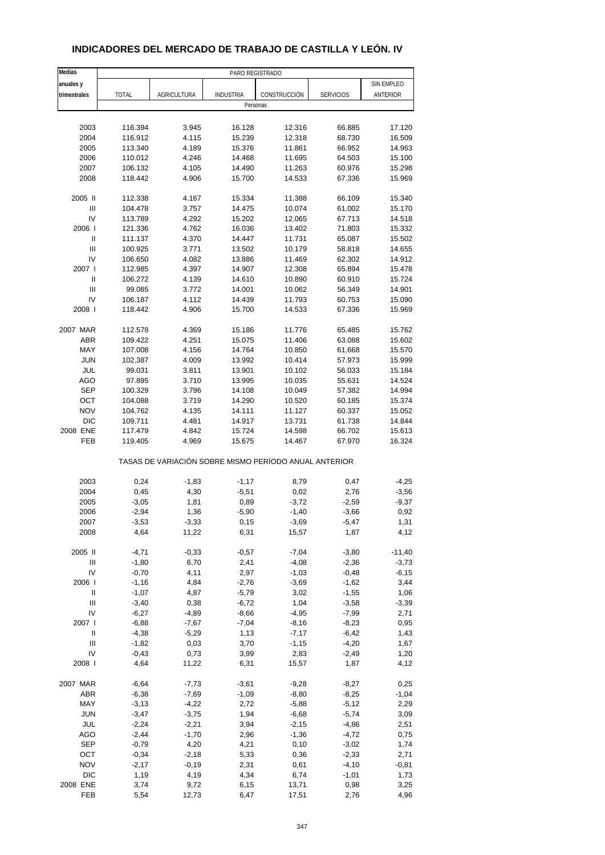| Medias                             |                    |                | PARO REGISTRADO  |                                                       |                  |                  |
|------------------------------------|--------------------|----------------|------------------|-------------------------------------------------------|------------------|------------------|
| anuales y                          |                    |                |                  |                                                       |                  | SIN EMPLEO       |
| trimestrales                       | <b>TOTAL</b>       | AGRICULTURA    | <b>INDUSTRIA</b> | CONSTRUCCIÓN                                          | <b>SERVICIOS</b> | ANTERIOR         |
|                                    |                    |                | Personas         |                                                       |                  |                  |
|                                    |                    |                |                  |                                                       |                  |                  |
| 2003                               | 116.394            | 3.945          | 16.128           | 12.316                                                | 66.885           | 17.120           |
| 2004                               | 116.912            | 4.115          | 15.239           | 12.318                                                | 68.730           | 16.509           |
| 2005                               | 113.340            | 4.189          | 15.376           | 11.861                                                | 66.952           | 14.963           |
| 2006                               | 110.012            | 4.246          | 14.468           | 11.695                                                | 64.503           | 15.100           |
| 2007                               | 106.132            | 4.105          | 14.490           | 11.263                                                | 60.976           | 15.298           |
| 2008                               | 118.442            | 4.906          | 15.700           | 14.533                                                | 67.336           | 15.969           |
|                                    |                    |                |                  |                                                       |                  |                  |
| 2005 II                            | 112.338            | 4.167          | 15.334           | 11.388                                                | 66.109           | 15.340           |
| Ш                                  | 104.478            | 3.757          | 14.475           | 10.074                                                | 61.002           | 15.170           |
| IV                                 | 113.789            | 4.292          | 15.202           | 12.065                                                | 67.713           | 14.518           |
| 2006                               | 121.336            | 4.762          | 16.036           | 13.402                                                | 71.803           | 15.332           |
| $\sf II$                           | 111.137            | 4.370          | 14.447           | 11.731                                                | 65.087           | 15.502           |
| Ш                                  | 100.925            | 3.771          | 13.502           | 10.179                                                | 58.818           | 14.655           |
| IV                                 | 106.650            | 4.082          | 13.886           | 11.469                                                | 62.302           | 14.912           |
| 2007 l                             | 112.985            | 4.397          | 14.907           | 12.308                                                | 65.894           | 15.478           |
| Ш                                  | 106.272            | 4.139          | 14.610           | 10.890                                                | 60.910           | 15.724           |
| $\ensuremath{\mathsf{III}}\xspace$ | 99.085             | 3.772          | 14.001           | 10.062                                                | 56.349           | 14.901           |
| IV                                 | 106.187            | 4.112          | 14.439           | 11.793                                                | 60.753           | 15.090           |
| 2008                               | 118.442            | 4.906          | 15.700           | 14.533                                                | 67.336           | 15.969           |
| 2007 MAR                           |                    | 4.369          |                  |                                                       |                  |                  |
|                                    | 112.578            |                | 15.186<br>15.075 | 11.776                                                | 65.485           | 15.762           |
| <b>ABR</b>                         | 109.422            | 4.251          |                  | 11.406                                                | 63.088           | 15.602           |
| MAY<br><b>JUN</b>                  | 107.008<br>102.387 | 4.156<br>4.009 | 14.764<br>13.992 | 10.850<br>10.414                                      | 61.668<br>57.973 | 15.570<br>15.999 |
|                                    |                    |                |                  |                                                       |                  |                  |
| JUL                                | 99.031             | 3.811          | 13.901           | 10.102                                                | 56.033           | 15.184           |
| <b>AGO</b><br><b>SEP</b>           | 97.895             | 3.710          | 13.995           | 10.035                                                | 55.631           | 14.524           |
|                                    | 100.329            | 3.796          | 14.108           | 10.049                                                | 57.382           | 14.994           |
| OCT<br><b>NOV</b>                  | 104.088            | 3.719          | 14.290           | 10.520                                                | 60.185           | 15.374           |
| <b>DIC</b>                         | 104.762            | 4.135<br>4.481 | 14.111           | 11.127                                                | 60.337           | 15.052           |
| 2008 ENE                           | 109.711            |                | 14.917           | 13.731                                                | 61.738           | 14.844           |
| FEB                                | 117.479<br>119.405 | 4.842<br>4.969 | 15.724<br>15.675 | 14.598<br>14.467                                      | 66.702<br>67.970 | 15.613<br>16.324 |
|                                    |                    |                |                  |                                                       |                  |                  |
|                                    |                    |                |                  | TASAS DE VARIACIÓN SOBRE MISMO PERÍODO ANUAL ANTERIOR |                  |                  |
|                                    |                    |                |                  |                                                       |                  |                  |
| 2003                               | 0,24               | $-1,83$        | $-1,17$          | 8,79                                                  | 0,47             | $-4,25$          |
| 2004                               | 0,45               | 4,30           | $-5,51$          | 0,02                                                  | 2,76             | $-3,56$          |
| 2005                               | $-3,05$            | 1,81           | 0,89             | $-3,72$                                               | $-2,59$          | $-9,37$          |
| 2006                               | $-2,94$            | 1,36           | $-5,90$          | $-1,40$                                               | $-3,66$          | 0,92             |
| 2007                               | $-3,53$            | -3,33          | 0,15             | -3,69                                                 | $-5,47$          | 1,31             |
| 2008                               | 4,64               | 11,22          | 6,31             | 15,57                                                 | 1,87             | 4,12             |
|                                    |                    |                |                  |                                                       |                  |                  |
| 2005 II                            | $-4,71$            | $-0,33$        | $-0,57$          | $-7,04$                                               | $-3,80$          | $-11,40$         |
| Ш                                  | $-1,80$            | 6,70           | 2,41             | $-4,08$                                               | $-2,36$          | $-3,73$          |
| IV                                 | $-0,70$            | 4,11           | 2,97             | $-1,03$                                               | $-0,48$          | $-6, 15$         |
| 2006                               | $-1,16$            | 4,84           | $-2,76$          | $-3,69$                                               | $-1,62$          | 3,44             |
| Ш                                  | $-1,07$            | 4,87           | $-5,79$          | 3,02                                                  | $-1,55$          | 1,06             |
| $\ensuremath{\mathsf{III}}\xspace$ | $-3,40$            | 0,38           | $-6,72$          | 1,04                                                  | $-3,58$          | $-3,39$          |
| IV                                 | $-6,27$            | $-4,89$        | $-8,66$          | $-4,95$                                               | $-7,99$          | 2,71             |
| 2007 l                             | $-6,88$            | $-7,67$        | $-7,04$          | $-8,16$                                               | $-8,23$          | 0,95             |
| $\sf II$                           | $-4,38$            | $-5,29$        | 1,13             | $-7,17$                                               | $-6,42$          | 1,43             |
| Ш                                  | $-1,82$            | 0,03           | 3,70             | $-1,15$                                               | $-4,20$          | 1,67             |
| IV                                 | $-0,43$            | 0,73           | 3,99             | 2,83                                                  | $-2,49$          | 1,20             |
| 2008                               | 4,64               | 11,22          | 6,31             | 15,57                                                 | 1,87             | 4,12             |
| 2007 MAR                           | $-6,64$            | $-7,73$        | $-3,61$          | $-9,28$                                               | $-8,27$          | 0,25             |
| ABR                                | $-6,38$            | $-7,69$        | $-1,09$          | $-8,80$                                               | $-8,25$          | $-1,04$          |
| MAY                                | $-3, 13$           | $-4,22$        | 2,72             | $-5,88$                                               | $-5,12$          | 2,29             |
| JUN                                | $-3,47$            | $-3,75$        | 1,94             | $-6,68$                                               | $-5,74$          | 3,09             |
| JUL                                | $-2,24$            | $-2,21$        | 3,94             | $-2,15$                                               | $-4,86$          | 2,51             |
| AGO                                | $-2,44$            | $-1,70$        | 2,96             | $-1,36$                                               | $-4,72$          | 0,75             |
| <b>SEP</b>                         | $-0,79$            | 4,20           | 4,21             | 0,10                                                  | $-3,02$          | 1,74             |
| OCT                                | $-0,34$            | $-2,18$        | 5,33             | 0,36                                                  | $-2,33$          | 2,71             |
| <b>NOV</b>                         | $-2,17$            | $-0,19$        | 2,31             | 0,61                                                  | $-4,10$          | $-0,81$          |
| DIC                                | 1,19               | 4,19           | 4,34             | 6,74                                                  | $-1,01$          | 1,73             |
| 2008 ENE                           | 3,74               | 9,72           | 6,15             | 13,71                                                 | 0,98             | 3,25             |

# **INDICADORES DEL MERCADO DE TRABAJO DE CASTILLA Y LEÓN. IV**

FEB 5,54 12,73 6,47 17,51 2,76 4,96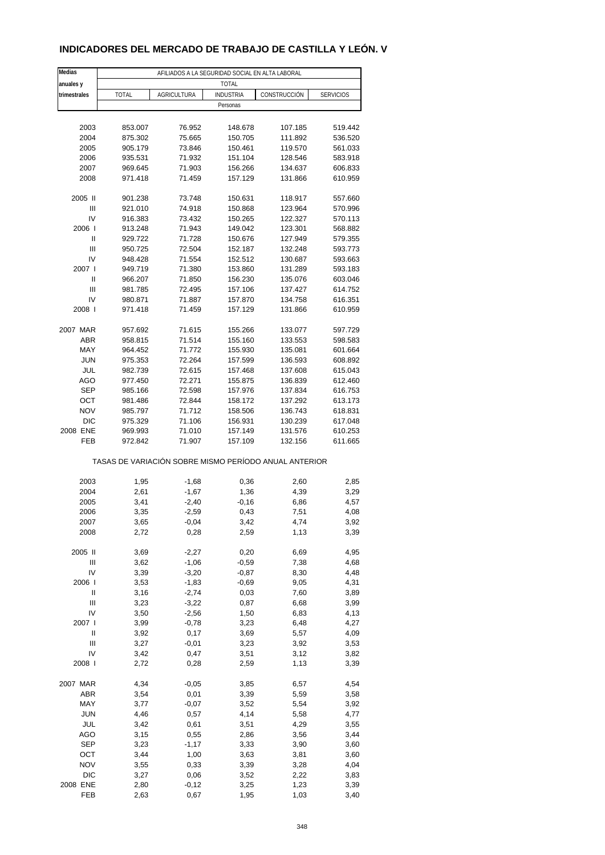# **INDICADORES DEL MERCADO DE TRABAJO DE CASTILLA Y LEÓN. V**

| Medias       | AFILIADOS A LA SEGURIDAD SOCIAL EN ALTA LABORAL       |             |                  |              |                  |  |  |  |
|--------------|-------------------------------------------------------|-------------|------------------|--------------|------------------|--|--|--|
| anuales y    | <b>TOTAL</b>                                          |             |                  |              |                  |  |  |  |
| trimestrales | <b>TOTAL</b>                                          | AGRICULTURA | <b>INDUSTRIA</b> | CONSTRUCCIÓN | <b>SERVICIOS</b> |  |  |  |
|              |                                                       |             | Personas         |              |                  |  |  |  |
|              |                                                       |             |                  |              |                  |  |  |  |
| 2003         | 853.007                                               | 76.952      | 148.678          | 107.185      | 519.442          |  |  |  |
| 2004         | 875.302                                               | 75.665      | 150.705          | 111.892      | 536.520          |  |  |  |
| 2005         | 905.179                                               | 73.846      | 150.461          | 119.570      | 561.033          |  |  |  |
| 2006         | 935.531                                               | 71.932      | 151.104          | 128.546      | 583.918          |  |  |  |
| 2007         | 969.645                                               | 71.903      | 156.266          | 134.637      | 606.833          |  |  |  |
| 2008         | 971.418                                               | 71.459      | 157.129          | 131.866      | 610.959          |  |  |  |
|              |                                                       |             |                  |              |                  |  |  |  |
| 2005 II      | 901.238                                               | 73.748      | 150.631          | 118.917      | 557.660          |  |  |  |
| Ш            | 921.010                                               | 74.918      | 150.868          | 123.964      | 570.996          |  |  |  |
| IV           | 916.383                                               | 73.432      | 150.265          | 122.327      | 570.113          |  |  |  |
| 2006         | 913.248                                               | 71.943      | 149.042          | 123.301      | 568.882          |  |  |  |
| Ш            | 929.722                                               | 71.728      | 150.676          | 127.949      | 579.355          |  |  |  |
| Ш            | 950.725                                               | 72.504      | 152.187          | 132.248      | 593.773          |  |  |  |
| IV           | 948.428                                               | 71.554      | 152.512          | 130.687      | 593.663          |  |  |  |
| 2007 l       | 949.719                                               | 71.380      | 153.860          | 131.289      | 593.183          |  |  |  |
| Ш            | 966.207                                               | 71.850      | 156.230          | 135.076      | 603.046          |  |  |  |
| Ш            | 981.785                                               | 72.495      | 157.106          | 137.427      | 614.752          |  |  |  |
| IV           | 980.871                                               | 71.887      | 157.870          | 134.758      | 616.351          |  |  |  |
| 2008         | 971.418                                               | 71.459      | 157.129          | 131.866      | 610.959          |  |  |  |
|              |                                                       |             |                  |              |                  |  |  |  |
| 2007 MAR     | 957.692                                               | 71.615      | 155.266          | 133.077      | 597.729          |  |  |  |
| <b>ABR</b>   | 958.815                                               | 71.514      | 155.160          | 133.553      | 598.583          |  |  |  |
| MAY          | 964.452                                               | 71.772      | 155.930          | 135.081      | 601.664          |  |  |  |
| <b>JUN</b>   | 975.353                                               | 72.264      | 157.599          | 136.593      | 608.892          |  |  |  |
| JUL          | 982.739                                               | 72.615      | 157.468          | 137.608      | 615.043          |  |  |  |
| AGO          | 977.450                                               | 72.271      | 155.875          | 136.839      | 612.460          |  |  |  |
| <b>SEP</b>   | 985.166                                               | 72.598      | 157.976          | 137.834      | 616.753          |  |  |  |
| OCT          | 981.486                                               | 72.844      | 158.172          | 137.292      | 613.173          |  |  |  |
| <b>NOV</b>   | 985.797                                               | 71.712      | 158.506          | 136.743      | 618.831          |  |  |  |
| <b>DIC</b>   | 975.329                                               | 71.106      | 156.931          | 130.239      | 617.048          |  |  |  |
| 2008 ENE     | 969.993                                               | 71.010      | 157.149          | 131.576      | 610.253          |  |  |  |
| FEB          | 972.842                                               | 71.907      | 157.109          | 132.156      | 611.665          |  |  |  |
|              | TASAS DE VARIACIÓN SOBRE MISMO PERÍODO ANUAL ANTERIOR |             |                  |              |                  |  |  |  |
| 2003         | 1,95                                                  | $-1,68$     | 0,36             | 2,60         | 2,85             |  |  |  |
| 2004         | 2,61                                                  | $-1,67$     | 1,36             | 4,39         | 3,29             |  |  |  |
| 2005         | 3,41                                                  | $-2,40$     | $-0,16$          | 6,86         | 4,57             |  |  |  |
| 2006         | 3,35                                                  | $-2,59$     | 0,43             | 7,51         | 4,08             |  |  |  |
| 2007         | 3,65                                                  | -0,04       | 3,42             | 4,74         | 3,92             |  |  |  |
| 2008         | 2,72                                                  | 0,28        | 2,59             | 1,13         | 3,39             |  |  |  |
|              |                                                       |             |                  |              |                  |  |  |  |
| 2005 II      | 3,69                                                  | $-2,27$     | 0,20             | 6,69         | 4,95             |  |  |  |
| Ш            | 3,62                                                  | $-1,06$     | $-0,59$          | 7,38         | 4,68             |  |  |  |
| IV           | 3,39                                                  | $-3,20$     | $-0,87$          | 8,30         | 4,48             |  |  |  |
| 2006         | 3,53                                                  | $-1,83$     | $-0,69$          | 9,05         | 4,31             |  |  |  |
| Ш            | 3,16                                                  | $-2,74$     | 0,03             | 7,60         | 3,89             |  |  |  |
| Ш            | 3,23                                                  | $-3,22$     | 0,87             | 6,68         | 3,99             |  |  |  |
| IV           | 3,50                                                  | $-2,56$     | 1,50             | 6,83         | 4,13             |  |  |  |
| 2007 l       | 3,99                                                  | $-0,78$     | 3,23             | 6,48         | 4,27             |  |  |  |
| Ш            | 3,92                                                  | 0,17        | 3,69             | 5,57         | 4,09             |  |  |  |
| Ш            | 3,27                                                  | $-0,01$     | 3,23             | 3,92         | 3,53             |  |  |  |
| IV           | 3,42                                                  | 0,47        | 3,51             | 3,12         | 3,82             |  |  |  |
| 2008         | 2,72                                                  | 0,28        | 2,59             | 1,13         | 3,39             |  |  |  |
|              |                                                       |             |                  |              |                  |  |  |  |
| 2007 MAR     | 4,34                                                  | $-0,05$     | 3,85             | 6,57         | 4,54             |  |  |  |
| ABR          | 3,54                                                  | 0,01        | 3,39             | 5,59         | 3,58             |  |  |  |
| MAY          | 3,77                                                  | $-0,07$     | 3,52             | 5,54         | 3,92             |  |  |  |
| <b>JUN</b>   | 4,46                                                  | 0,57        | 4,14             | 5,58         | 4,77             |  |  |  |
| JUL          | 3,42                                                  | 0,61        | 3,51             | 4,29         | 3,55             |  |  |  |
| AGO          | 3,15                                                  | 0,55        | 2,86             | 3,56         | 3,44             |  |  |  |
| <b>SEP</b>   | 3,23                                                  | $-1,17$     | 3,33             | 3,90         | 3,60             |  |  |  |
| OCT          | 3,44                                                  | 1,00        | 3,63             | 3,81         | 3,60             |  |  |  |
| <b>NOV</b>   | 3,55                                                  | 0,33        | 3,39             | 3,28         | 4,04             |  |  |  |
| DIC          | 3,27                                                  | 0,06        | 3,52             | 2,22         | 3,83             |  |  |  |
| 2008 ENE     | 2,80                                                  | $-0,12$     | 3,25             | 1,23         | 3,39             |  |  |  |
| FEB          | 2,63                                                  | 0,67        | 1,95             | 1,03         | 3,40             |  |  |  |
|              |                                                       |             |                  |              |                  |  |  |  |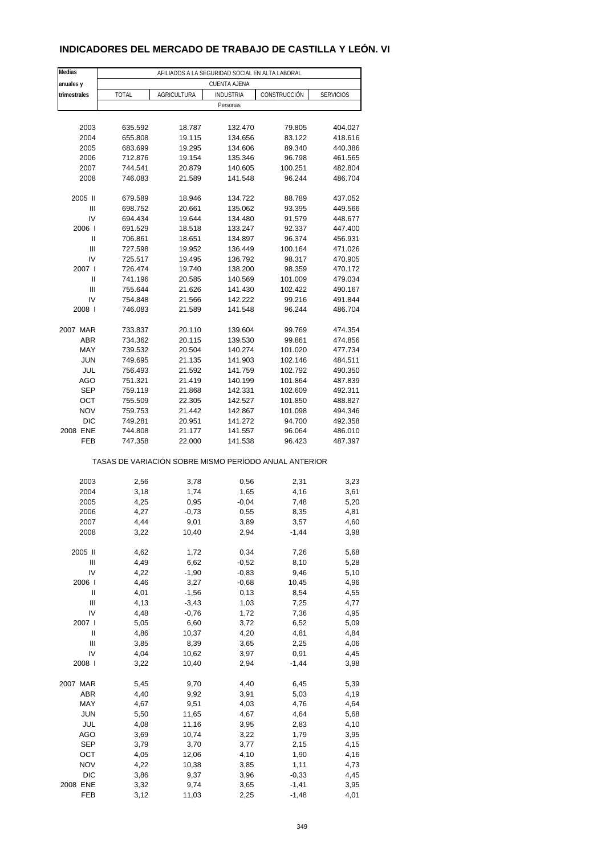# **INDICADORES DEL MERCADO DE TRABAJO DE CASTILLA Y LEÓN. VI**

| Medias                                                | AFILIADOS A LA SEGURIDAD SOCIAL EN ALTA LABORAL |               |                     |              |                  |  |  |  |
|-------------------------------------------------------|-------------------------------------------------|---------------|---------------------|--------------|------------------|--|--|--|
| anuales y                                             |                                                 |               | <b>CUENTA AJENA</b> |              |                  |  |  |  |
| trimestrales                                          | <b>TOTAL</b>                                    | AGRICULTURA   | <b>INDUSTRIA</b>    | CONSTRUCCIÓN | <b>SERVICIOS</b> |  |  |  |
|                                                       |                                                 |               | Personas            |              |                  |  |  |  |
|                                                       |                                                 |               |                     |              |                  |  |  |  |
| 2003                                                  | 635.592                                         | 18.787        | 132.470             | 79.805       | 404.027          |  |  |  |
| 2004                                                  | 655.808                                         | 19.115        | 134.656             | 83.122       | 418.616          |  |  |  |
| 2005                                                  | 683.699                                         | 19.295        | 134.606             | 89.340       | 440.386          |  |  |  |
| 2006                                                  | 712.876                                         | 19.154        | 135.346             | 96.798       | 461.565          |  |  |  |
| 2007                                                  | 744.541                                         | 20.879        | 140.605             | 100.251      | 482.804          |  |  |  |
| 2008                                                  | 746.083                                         | 21.589        | 141.548             | 96.244       | 486.704          |  |  |  |
| 2005 II                                               | 679.589                                         | 18.946        | 134.722             | 88.789       | 437.052          |  |  |  |
| Ш                                                     | 698.752                                         | 20.661        | 135.062             | 93.395       | 449.566          |  |  |  |
| IV                                                    | 694.434                                         | 19.644        | 134.480             | 91.579       | 448.677          |  |  |  |
| 2006                                                  | 691.529                                         | 18.518        | 133.247             | 92.337       | 447.400          |  |  |  |
| Ш                                                     | 706.861                                         | 18.651        | 134.897             | 96.374       | 456.931          |  |  |  |
| Ш                                                     | 727.598                                         | 19.952        | 136.449             | 100.164      | 471.026          |  |  |  |
| IV                                                    | 725.517                                         | 19.495        | 136.792             | 98.317       | 470.905          |  |  |  |
| 2007 l                                                | 726.474                                         | 19.740        | 138.200             | 98.359       | 470.172          |  |  |  |
| Ш                                                     | 741.196                                         | 20.585        | 140.569             | 101.009      | 479.034          |  |  |  |
| Ш                                                     | 755.644                                         | 21.626        | 141.430             | 102.422      | 490.167          |  |  |  |
| IV                                                    | 754.848                                         | 21.566        | 142.222             | 99.216       | 491.844          |  |  |  |
| 2008                                                  | 746.083                                         | 21.589        | 141.548             | 96.244       | 486.704          |  |  |  |
|                                                       |                                                 |               |                     |              |                  |  |  |  |
| 2007 MAR                                              | 733.837                                         | 20.110        | 139.604             | 99.769       | 474.354          |  |  |  |
| <b>ABR</b>                                            | 734.362                                         | 20.115        | 139.530             | 99.861       | 474.856          |  |  |  |
| MAY                                                   | 739.532                                         | 20.504        | 140.274             | 101.020      | 477.734          |  |  |  |
| <b>JUN</b>                                            | 749.695                                         | 21.135        | 141.903             | 102.146      | 484.511          |  |  |  |
| JUL                                                   | 756.493                                         | 21.592        | 141.759             | 102.792      | 490.350          |  |  |  |
| AGO                                                   | 751.321                                         | 21.419        | 140.199             | 101.864      | 487.839          |  |  |  |
| <b>SEP</b>                                            | 759.119                                         | 21.868        | 142.331             | 102.609      | 492.311          |  |  |  |
| OCT                                                   | 755.509                                         | 22.305        | 142.527             | 101.850      | 488.827          |  |  |  |
| <b>NOV</b>                                            | 759.753                                         | 21.442        | 142.867             | 101.098      | 494.346          |  |  |  |
| <b>DIC</b>                                            | 749.281                                         | 20.951        | 141.272             | 94.700       | 492.358          |  |  |  |
| 2008 ENE                                              | 744.808                                         | 21.177        | 141.557             | 96.064       | 486.010          |  |  |  |
| FEB                                                   | 747.358                                         | 22.000        | 141.538             | 96.423       | 487.397          |  |  |  |
| TASAS DE VARIACIÓN SOBRE MISMO PERÍODO ANUAL ANTERIOR |                                                 |               |                     |              |                  |  |  |  |
| 2003                                                  | 2,56                                            | 3,78          | 0,56                | 2,31         | 3,23             |  |  |  |
| 2004                                                  | 3,18                                            | 1,74          | 1,65                | 4,16         | 3,61             |  |  |  |
| 2005                                                  | 4,25                                            | 0,95          | $-0,04$             | 7,48         | 5,20             |  |  |  |
| 2006                                                  | 4,27                                            | $-0,73$       | 0,55                | 8,35         | 4,81             |  |  |  |
|                                                       |                                                 |               |                     | 3,57         |                  |  |  |  |
| 2007<br>2008                                          | 4,44<br>3,22                                    | 9,01<br>10,40 | 3,89<br>2,94        | $-1,44$      | 4,60<br>3,98     |  |  |  |
|                                                       |                                                 |               |                     |              |                  |  |  |  |
| 2005 II                                               | 4,62                                            | 1,72          | 0,34                | 7,26         | 5,68             |  |  |  |
| Ш                                                     | 4,49                                            | 6,62          | $-0,52$             | 8,10         | 5,28             |  |  |  |
| IV                                                    | 4,22                                            | $-1,90$       | $-0,83$             | 9,46         | 5,10             |  |  |  |
| 2006                                                  | 4,46                                            | 3,27          | $-0,68$             | 10,45        | 4,96             |  |  |  |
| Ш                                                     | 4,01                                            | $-1,56$       | 0,13                | 8,54         | 4,55             |  |  |  |
| Ш                                                     | 4,13                                            | $-3,43$       | 1,03                | 7,25         | 4,77             |  |  |  |
| IV                                                    | 4,48                                            | $-0,76$       | 1,72                | 7,36         | 4,95             |  |  |  |
| 2007 l                                                | 5,05                                            | 6,60          | 3,72                | 6,52         | 5,09             |  |  |  |
| Ш                                                     | 4,86                                            | 10,37         | 4,20                | 4,81         | 4,84             |  |  |  |
| Ш                                                     | 3,85                                            | 8,39          | 3,65                | 2,25         | 4,06             |  |  |  |
| IV                                                    | 4,04                                            | 10,62         | 3,97                | 0,91         | 4,45             |  |  |  |
| 2008                                                  | 3,22                                            | 10,40         | 2,94                | $-1,44$      | 3,98             |  |  |  |
| 2007 MAR                                              |                                                 |               |                     |              |                  |  |  |  |
|                                                       | 5,45                                            | 9,70          | 4,40                | 6,45         | 5,39             |  |  |  |
| ABR                                                   | 4,40                                            | 9,92          | 3,91                | 5,03         | 4,19             |  |  |  |
| MAY                                                   | 4,67                                            | 9,51          | 4,03                | 4,76         | 4,64             |  |  |  |
| <b>JUN</b>                                            | 5,50                                            | 11,65         | 4,67                | 4,64         | 5,68             |  |  |  |
| JUL                                                   | 4,08                                            | 11,16         | 3,95                | 2,83         | 4,10             |  |  |  |
| AGO                                                   | 3,69                                            | 10,74         | 3,22                | 1,79         | 3,95             |  |  |  |
| SEP                                                   | 3,79                                            | 3,70          | 3,77                | 2,15         | 4,15             |  |  |  |
| OCT                                                   | 4,05                                            | 12,06         | 4,10                | 1,90         | 4,16             |  |  |  |
| <b>NOV</b>                                            | 4,22                                            | 10,38         | 3,85                | 1,11         | 4,73             |  |  |  |
| DIC                                                   | 3,86                                            | 9,37          | 3,96                | $-0,33$      | 4,45             |  |  |  |
| 2008 ENE                                              | 3,32                                            | 9,74          | 3,65                | $-1,41$      | 3,95             |  |  |  |
| FEB                                                   | 3,12                                            | 11,03         | 2,25                | $-1,48$      | 4,01             |  |  |  |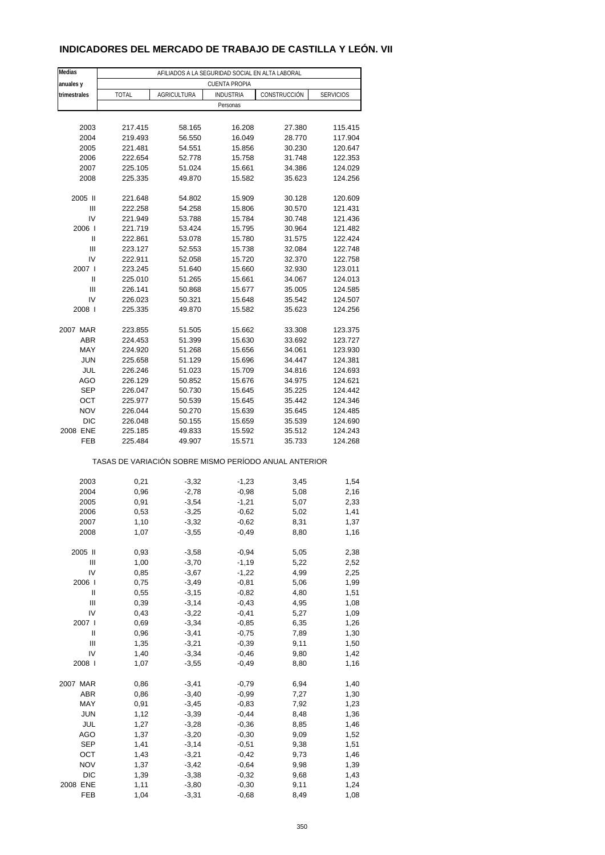# **INDICADORES DEL MERCADO DE TRABAJO DE CASTILLA Y LEÓN. VII**

| Medias         | AFILIADOS A LA SEGURIDAD SOCIAL EN ALTA LABORAL       |                    |                      |              |                  |  |  |  |
|----------------|-------------------------------------------------------|--------------------|----------------------|--------------|------------------|--|--|--|
| anuales y      |                                                       |                    | <b>CUENTA PROPIA</b> |              |                  |  |  |  |
| trimestrales   | TOTAL                                                 | <b>AGRICULTURA</b> | <b>INDUSTRIA</b>     | CONSTRUCCIÓN | <b>SERVICIOS</b> |  |  |  |
|                |                                                       |                    | Personas             |              |                  |  |  |  |
|                |                                                       |                    |                      |              |                  |  |  |  |
| 2003           | 217.415                                               | 58.165             | 16.208               | 27.380       | 115.415          |  |  |  |
| 2004           | 219.493                                               | 56.550             | 16.049               | 28.770       | 117.904          |  |  |  |
| 2005           | 221.481                                               | 54.551             | 15.856               | 30.230       | 120.647          |  |  |  |
| 2006           | 222.654                                               | 52.778             | 15.758               | 31.748       | 122.353          |  |  |  |
| 2007           | 225.105                                               | 51.024             | 15.661               | 34.386       | 124.029          |  |  |  |
| 2008           | 225.335                                               | 49.870             | 15.582               | 35.623       | 124.256          |  |  |  |
|                |                                                       |                    |                      |              |                  |  |  |  |
| 2005 II        | 221.648                                               | 54.802             | 15.909               | 30.128       | 120.609          |  |  |  |
| $\mathsf{III}$ | 222.258                                               | 54.258             | 15.806               | 30.570       | 121.431          |  |  |  |
| IV             | 221.949                                               | 53.788             | 15.784               | 30.748       | 121.436          |  |  |  |
| 2006           | 221.719                                               | 53.424             | 15.795               | 30.964       | 121.482          |  |  |  |
| $\mathsf{II}$  | 222.861                                               | 53.078             | 15.780               | 31.575       | 122.424          |  |  |  |
| Ш              | 223.127                                               | 52.553             | 15.738               | 32.084       | 122.748          |  |  |  |
| IV             | 222.911                                               | 52.058             | 15.720               | 32.370       | 122.758          |  |  |  |
| 2007 l         | 223.245                                               | 51.640             | 15.660               | 32.930       | 123.011          |  |  |  |
| Ш              | 225.010                                               | 51.265             | 15.661               | 34.067       | 124.013          |  |  |  |
| $\mathsf{III}$ | 226.141                                               | 50.868             | 15.677               | 35.005       | 124.585          |  |  |  |
| IV             | 226.023                                               | 50.321             | 15.648               | 35.542       | 124.507          |  |  |  |
| 2008           | 225.335                                               | 49.870             | 15.582               | 35.623       | 124.256          |  |  |  |
|                |                                                       |                    |                      |              |                  |  |  |  |
| 2007 MAR       | 223.855                                               | 51.505             | 15.662               | 33.308       | 123.375          |  |  |  |
| <b>ABR</b>     | 224.453                                               | 51.399             | 15.630               | 33.692       | 123.727          |  |  |  |
| MAY            | 224.920                                               | 51.268             | 15.656               | 34.061       | 123.930          |  |  |  |
| <b>JUN</b>     | 225.658                                               | 51.129             | 15.696               | 34.447       | 124.381          |  |  |  |
| JUL            | 226.246                                               | 51.023             | 15.709               | 34.816       | 124.693          |  |  |  |
| AGO            | 226.129                                               | 50.852             | 15.676               | 34.975       | 124.621          |  |  |  |
| <b>SEP</b>     | 226.047                                               | 50.730             | 15.645               | 35.225       | 124.442          |  |  |  |
| OCT            | 225.977                                               | 50.539             | 15.645               | 35.442       | 124.346          |  |  |  |
| <b>NOV</b>     | 226.044                                               | 50.270             | 15.639               | 35.645       | 124.485          |  |  |  |
| <b>DIC</b>     | 226.048                                               | 50.155             | 15.659               | 35.539       | 124.690          |  |  |  |
| 2008 ENE       | 225.185                                               | 49.833             | 15.592               | 35.512       | 124.243          |  |  |  |
| <b>FEB</b>     | 225.484                                               | 49.907             | 15.571               | 35.733       | 124.268          |  |  |  |
|                | TASAS DE VARIACIÓN SOBRE MISMO PERÍODO ANUAL ANTERIOR |                    |                      |              |                  |  |  |  |
|                |                                                       |                    |                      |              |                  |  |  |  |
| 2003           | 0,21                                                  | $-3,32$            | $-1,23$              | 3,45         | 1,54             |  |  |  |
| 2004           | 0,96                                                  | $-2,78$            | $-0,98$              | 5,08         | 2,16             |  |  |  |
| 2005           | 0,91                                                  | $-3,54$            | $-1,21$              | 5,07         | 2,33             |  |  |  |
| 2006           | 0,53                                                  | $-3,25$            | $-0,62$              | 5,02         | 1,41             |  |  |  |
| 2007           | 1,10                                                  | -3,32              | -0,62                | 8,31         | 1,37             |  |  |  |
| 2008           | 1,07                                                  | $-3,55$            | $-0,49$              | 8,80         | 1,16             |  |  |  |
|                |                                                       |                    |                      |              |                  |  |  |  |
| 2005 II        | 0,93                                                  | $-3,58$            | $-0,94$              | 5,05         | 2,38             |  |  |  |
| Ш              | 1,00                                                  | $-3,70$            | $-1,19$              | 5,22         | 2,52             |  |  |  |
| IV             | 0,85                                                  | $-3,67$            | $-1,22$              | 4,99         | 2,25             |  |  |  |
| 2006           | 0,75                                                  | $-3,49$            | $-0,81$              | 5,06         | 1,99             |  |  |  |
| Ш              | 0,55                                                  | $-3,15$            | $-0,82$              | 4,80         | 1,51             |  |  |  |
| Ш              | 0,39                                                  | $-3,14$            | $-0,43$              | 4,95         | 1,08             |  |  |  |
| IV             | 0,43                                                  | $-3,22$            | $-0,41$              | 5,27         | 1,09             |  |  |  |
| 2007 l         | 0,69                                                  | $-3,34$            | $-0,85$              | 6,35         | 1,26             |  |  |  |
| Ш              | 0,96                                                  | $-3,41$            | $-0,75$              | 7,89         | 1,30             |  |  |  |
| Ш              | 1,35                                                  | $-3,21$            | $-0,39$              | 9,11         | 1,50             |  |  |  |
| IV             | 1,40                                                  | $-3,34$            | $-0,46$              | 9,80         | 1,42             |  |  |  |
| 2008           | 1,07                                                  | $-3,55$            | $-0,49$              | 8,80         | 1,16             |  |  |  |
|                |                                                       |                    |                      |              |                  |  |  |  |
| 2007 MAR       | 0,86                                                  | $-3,41$            | $-0,79$              | 6,94         | 1,40             |  |  |  |
| <b>ABR</b>     | 0,86                                                  | $-3,40$            | $-0,99$              | 7,27         | 1,30             |  |  |  |
| MAY            | 0,91                                                  | $-3,45$            | $-0,83$              | 7,92         | 1,23             |  |  |  |
| <b>JUN</b>     | 1,12                                                  | $-3,39$            | $-0,44$              | 8,48         | 1,36             |  |  |  |
| JUL            | 1,27                                                  | $-3,28$            | $-0,36$              | 8,85         | 1,46             |  |  |  |
| AGO            | 1,37                                                  | $-3,20$            | $-0,30$              | 9,09         | 1,52             |  |  |  |
| <b>SEP</b>     | 1,41                                                  | $-3,14$            | $-0,51$              | 9,38         | 1,51             |  |  |  |
| OCT            | 1,43                                                  | $-3,21$            | $-0,42$              | 9,73         | 1,46             |  |  |  |
| <b>NOV</b>     | 1,37                                                  | $-3,42$            | $-0,64$              | 9,98         | 1,39             |  |  |  |
| DIC            | 1,39                                                  | $-3,38$            | $-0,32$              | 9,68         | 1,43             |  |  |  |
| 2008 ENE       | 1,11                                                  | $-3,80$            | $-0,30$              | 9,11         | 1,24             |  |  |  |
| FEB            | 1,04                                                  | $-3,31$            | $-0,68$              | 8,49         | 1,08             |  |  |  |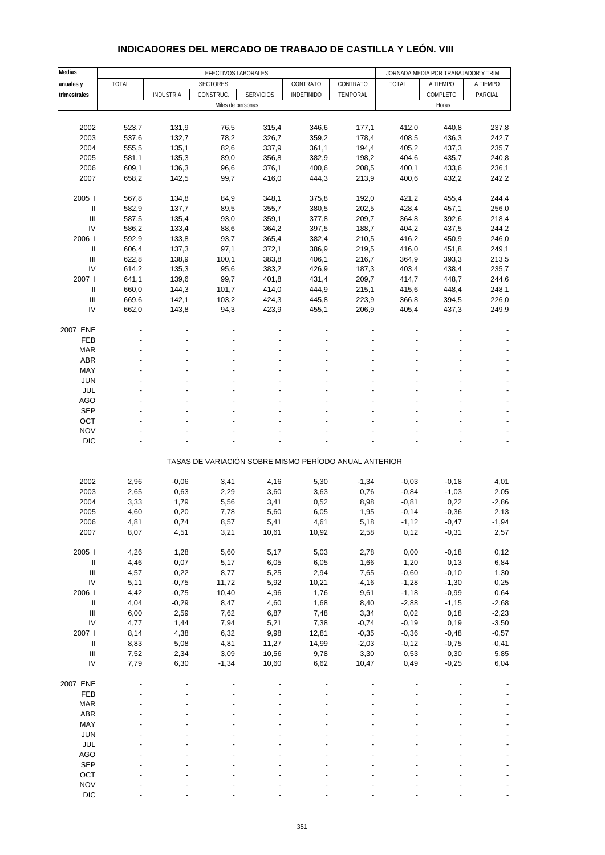| Medias                             |                | EFECTIVOS LABORALES |                 |                   |                                                       |                |                | JORNADA MEDIA POR TRABAJADOR Y TRIM. |                 |
|------------------------------------|----------------|---------------------|-----------------|-------------------|-------------------------------------------------------|----------------|----------------|--------------------------------------|-----------------|
| anuales y                          | <b>TOTAL</b>   |                     | <b>SECTORES</b> |                   | CONTRATO                                              | CONTRATO       | <b>TOTAL</b>   | A TIEMPO                             | A TIEMPO        |
| trimestrales                       |                | <b>INDUSTRIA</b>    | CONSTRUC.       | <b>SERVICIOS</b>  | <b>INDEFINIDO</b>                                     | TEMPORAL       |                | COMPLETO                             | PARCIAL         |
|                                    |                |                     |                 | Miles de personas |                                                       |                |                | Horas                                |                 |
|                                    |                |                     |                 |                   |                                                       |                |                |                                      |                 |
| 2002                               | 523,7          | 131,9               | 76,5            | 315,4             | 346,6                                                 | 177,1          | 412,0          | 440,8                                | 237,8           |
| 2003                               | 537,6          | 132,7               | 78,2            | 326,7             | 359,2                                                 | 178,4          | 408,5          | 436,3                                | 242,7           |
| 2004                               | 555,5          | 135,1               | 82,6            | 337,9             | 361,1                                                 | 194,4          | 405,2          | 437,3                                | 235,7           |
| 2005                               | 581,1          | 135,3               | 89,0            | 356,8             | 382,9                                                 | 198,2          | 404,6          | 435,7                                | 240,8           |
| 2006                               | 609,1          | 136,3               | 96,6            | 376,1             | 400,6                                                 | 208,5          | 400,1          | 433,6                                | 236,1           |
| 2007                               | 658,2          | 142,5               | 99,7            | 416,0             | 444,3                                                 | 213,9          | 400,6          | 432,2                                | 242,2           |
|                                    |                |                     |                 |                   |                                                       |                |                |                                      |                 |
| 2005                               | 567,8          | 134,8               | 84,9            | 348,1             | 375,8                                                 | 192,0          | 421,2          | 455,4                                | 244,4           |
| Ш<br>Ш                             | 582,9          | 137,7               | 89,5            | 355,7             | 380,5                                                 | 202,5          | 428,4          | 457,1                                | 256,0           |
| IV                                 | 587,5          | 135,4               | 93,0            | 359,1             | 377,8                                                 | 209,7          | 364,8          | 392,6                                | 218,4           |
| 2006                               | 586,2<br>592,9 | 133,4<br>133,8      | 88,6<br>93,7    | 364,2<br>365,4    | 397,5<br>382,4                                        | 188,7<br>210,5 | 404,2<br>416,2 | 437,5<br>450,9                       | 244,2<br>246,0  |
| $\ensuremath{\mathsf{II}}$         |                |                     |                 |                   |                                                       |                |                |                                      |                 |
| $\ensuremath{\mathsf{III}}\xspace$ | 606,4          | 137,3               | 97,1            | 372,1             | 386,9                                                 | 219,5          | 416,0          | 451,8                                | 249,1           |
| IV                                 | 622,8<br>614,2 | 138,9<br>135,3      | 100,1<br>95,6   | 383,8<br>383,2    | 406,1<br>426,9                                        | 216,7<br>187,3 | 364,9<br>403,4 | 393,3<br>438,4                       | 213,5<br>235,7  |
| 2007 l                             |                |                     |                 |                   |                                                       |                |                |                                      |                 |
| $\ensuremath{\mathsf{II}}$         | 641,1<br>660,0 | 139,6<br>144,3      | 99,7<br>101,7   | 401,8<br>414,0    | 431,4<br>444,9                                        | 209,7<br>215,1 | 414,7<br>415,6 | 448,7<br>448,4                       | 244,6<br>248,1  |
| Ш                                  |                | 142,1               | 103,2           |                   |                                                       |                |                |                                      |                 |
| IV                                 | 669,6<br>662,0 | 143,8               | 94,3            | 424,3<br>423,9    | 445,8<br>455,1                                        | 223,9<br>206,9 | 366,8<br>405,4 | 394,5<br>437,3                       | 226,0<br>249,9  |
|                                    |                |                     |                 |                   |                                                       |                |                |                                      |                 |
| 2007 ENE                           |                |                     |                 |                   |                                                       |                |                |                                      |                 |
| <b>FEB</b>                         |                |                     |                 |                   |                                                       |                |                |                                      |                 |
| <b>MAR</b>                         |                |                     |                 |                   |                                                       |                |                |                                      |                 |
| <b>ABR</b>                         |                |                     |                 |                   |                                                       |                |                |                                      |                 |
| MAY                                |                |                     |                 |                   |                                                       |                |                |                                      |                 |
| <b>JUN</b>                         |                |                     |                 |                   |                                                       |                |                |                                      |                 |
| <b>JUL</b>                         |                |                     |                 |                   |                                                       |                |                |                                      |                 |
| <b>AGO</b>                         |                |                     |                 |                   |                                                       |                |                |                                      |                 |
| <b>SEP</b>                         |                |                     |                 |                   |                                                       |                |                |                                      |                 |
| OCT                                |                |                     |                 |                   |                                                       |                |                |                                      |                 |
| <b>NOV</b>                         |                |                     |                 |                   |                                                       |                |                |                                      |                 |
| <b>DIC</b>                         |                |                     |                 |                   |                                                       |                |                |                                      |                 |
|                                    |                |                     |                 |                   |                                                       |                |                |                                      |                 |
|                                    |                |                     |                 |                   | TASAS DE VARIACIÓN SOBRE MISMO PERÍODO ANUAL ANTERIOR |                |                |                                      |                 |
|                                    |                |                     |                 |                   |                                                       |                |                |                                      |                 |
| 2002                               | 2,96           | $-0,06$             | 3,41            | 4,16              | 5,30                                                  | $-1,34$        | $-0,03$        | $-0,18$                              | 4,01            |
| 2003                               | 2,65           | 0,63                | 2,29            | 3,60              | 3,63                                                  | 0,76           | $-0,84$        | $-1,03$                              | 2,05            |
| 2004                               | 3,33           | 1,79                | 5,56            | 3,41              | 0,52                                                  | 8,98           | $-0,81$        | 0,22                                 | $-2,86$<br>2,13 |
| 2005<br>2006                       | 4,60           | 0,20                | 7,78            | 5,60              | 6,05                                                  | 1,95           | $-0,14$        | $-0,36$                              |                 |
|                                    | 4,81<br>8,07   | 0,74                | 8,57            | 5,41              | 4,61                                                  | 5,18           | $-1,12$        | $-0,47$                              | $-1,94$         |
| 2007                               |                | 4,51                | 3,21            | 10,61             | 10,92                                                 | 2,58           | 0,12           | $-0,31$                              | 2,57            |
| 2005                               | 4,26           | 1,28                | 5,60            | 5,17              | 5,03                                                  | 2,78           | 0,00           | $-0,18$                              | 0,12            |
| $\sf II$                           | 4,46           | 0,07                | 5,17            | 6,05              | 6,05                                                  | 1,66           | 1,20           | 0,13                                 | 6,84            |
| $\ensuremath{\mathsf{III}}\xspace$ | 4,57           | 0,22                | 8,77            | 5,25              | 2,94                                                  | 7,65           | $-0,60$        | $-0,10$                              | 1,30            |
| IV                                 | 5,11           | $-0,75$             | 11,72           | 5,92              | 10,21                                                 | $-4,16$        | $-1,28$        | $-1,30$                              | 0,25            |
| 2006                               | 4,42           | $-0,75$             | 10,40           | 4,96              | 1,76                                                  | 9,61           | $-1,18$        | $-0,99$                              | 0,64            |
| $\ensuremath{\mathsf{II}}$         | 4,04           | $-0,29$             | 8,47            | 4,60              | 1,68                                                  | 8,40           | $-2,88$        | $-1,15$                              | $-2,68$         |
| $\ensuremath{\mathsf{III}}\xspace$ | 6,00           | 2,59                | 7,62            | 6,87              | 7,48                                                  | 3,34           | 0,02           | 0,18                                 | $-2,23$         |
| ${\sf IV}$                         | 4,77           | 1,44                | 7,94            | 5,21              | 7,38                                                  | $-0,74$        | $-0,19$        | 0,19                                 | $-3,50$         |
| 2007 l                             | 8,14           | 4,38                | 6,32            | 9,98              | 12,81                                                 | $-0,35$        | $-0,36$        | $-0,48$                              | $-0,57$         |
| $\ensuremath{\mathsf{II}}$         | 8,83           | 5,08                | 4,81            | 11,27             | 14,99                                                 | $-2,03$        | $-0,12$        | $-0,75$                              | $-0,41$         |
| $\ensuremath{\mathsf{III}}\xspace$ | 7,52           | 2,34                | 3,09            | 10,56             | 9,78                                                  | 3,30           | 0,53           | 0,30                                 | 5,85            |
| IV                                 | 7,79           | 6,30                | $-1,34$         | 10,60             | 6,62                                                  | 10,47          | 0,49           | $-0,25$                              | 6,04            |
|                                    |                |                     |                 |                   |                                                       |                |                |                                      |                 |
| 2007 ENE                           |                |                     |                 |                   |                                                       |                |                |                                      |                 |
| FEB                                |                |                     |                 |                   |                                                       |                |                |                                      |                 |
| <b>MAR</b>                         |                |                     |                 |                   |                                                       |                |                |                                      |                 |
| ABR                                |                |                     |                 |                   |                                                       |                |                |                                      |                 |
| MAY                                |                |                     |                 |                   |                                                       |                |                |                                      |                 |
| JUN                                |                |                     |                 |                   |                                                       |                |                |                                      |                 |
| JUL                                |                |                     |                 |                   |                                                       |                |                |                                      |                 |
| AGO                                |                |                     |                 |                   |                                                       |                |                |                                      |                 |
| SEP                                |                |                     |                 |                   |                                                       |                |                |                                      |                 |
| OCT                                |                |                     |                 |                   |                                                       |                |                |                                      |                 |
| <b>NOV</b>                         |                |                     |                 |                   |                                                       |                |                |                                      |                 |

#### **INDICADORES DEL MERCADO DE TRABAJO DE CASTILLA Y LEÓN. VIII**

DIC  $\qquad \qquad \qquad \qquad \qquad \qquad \qquad \qquad \qquad \qquad \qquad \qquad \qquad \qquad \qquad \qquad \qquad \qquad -$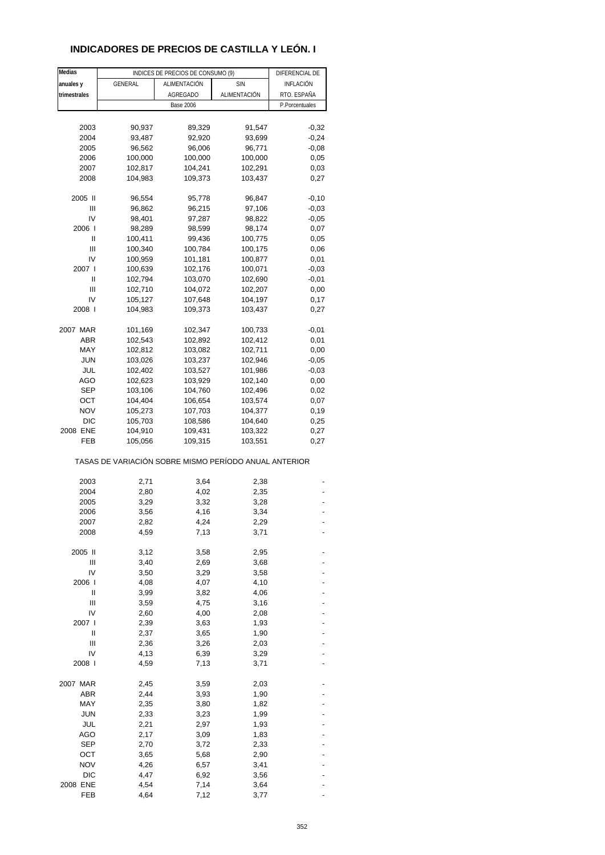# **INDICADORES DE PRECIOS DE CASTILLA Y LEÓN. I**

| Medias       |                                                       | INDICES DE PRECIOS DE CONSUMO (9) |              | DIFERENCIAL DE   |
|--------------|-------------------------------------------------------|-----------------------------------|--------------|------------------|
| anuales y    | GENERAL                                               | ALIMENTACIÓN                      | <b>SIN</b>   | <b>INFLACIÓN</b> |
| trimestrales |                                                       | <b>AGREGADO</b>                   | ALIMENTACIÓN | RTO. ESPAÑA      |
|              |                                                       | <b>Base 2006</b>                  |              | P.Porcentuales   |
|              |                                                       |                                   |              |                  |
| 2003         | 90,937                                                | 89,329                            | 91,547       | $-0,32$          |
| 2004         | 93,487                                                | 92,920                            | 93,699       | $-0,24$          |
| 2005         | 96,562                                                | 96,006                            | 96,771       | $-0,08$          |
| 2006         | 100,000                                               | 100,000                           | 100,000      | 0,05             |
| 2007         | 102,817                                               | 104,241                           | 102,291      | 0,03             |
| 2008         | 104,983                                               | 109,373                           | 103,437      | 0,27             |
|              |                                                       |                                   |              |                  |
| 2005 II      | 96,554                                                | 95,778                            | 96,847       | $-0,10$          |
| Ш            | 96,862                                                | 96,215                            | 97,106       | $-0,03$          |
| IV           | 98,401                                                | 97,287                            | 98,822       | $-0,05$          |
| 2006         | 98,289                                                | 98,599                            | 98,174       | 0,07             |
| Ш            | 100,411                                               | 99,436                            | 100,775      | 0,05             |
| Ш            | 100,340                                               | 100,784                           | 100,175      | 0,06             |
| IV           | 100,959                                               | 101,181                           | 100,877      | 0,01             |
| 2007 l       | 100,639                                               | 102,176                           | 100,071      | $-0.03$          |
| Ш            | 102,794                                               | 103,070                           | 102,690      | $-0,01$          |
| Ш            | 102,710                                               | 104,072                           | 102,207      | 0,00             |
| IV           | 105,127                                               | 107,648                           | 104,197      | 0,17             |
| 2008 l       | 104,983                                               | 109,373                           | 103,437      | 0,27             |
| 2007 MAR     | 101,169                                               | 102,347                           | 100,733      |                  |
| ABR          | 102,543                                               | 102,892                           | 102,412      | $-0,01$<br>0,01  |
| MAY          | 102,812                                               | 103,082                           | 102,711      | 0,00             |
| <b>JUN</b>   | 103,026                                               | 103,237                           | 102,946      | $-0,05$          |
| JUL          | 102,402                                               | 103,527                           | 101,986      | $-0,03$          |
| AGO          | 102,623                                               | 103,929                           | 102,140      | 0,00             |
| <b>SEP</b>   | 103,106                                               | 104,760                           | 102,496      | 0,02             |
| ОСТ          | 104,404                                               | 106,654                           | 103,574      | 0,07             |
| <b>NOV</b>   | 105,273                                               | 107,703                           | 104,377      | 0,19             |
| <b>DIC</b>   | 105,703                                               | 108,586                           | 104,640      | 0,25             |
| 2008 ENE     | 104,910                                               | 109,431                           | 103,322      | 0,27             |
| FEB          | 105,056                                               | 109,315                           | 103,551      | 0,27             |
|              | TASAS DE VARIACIÓN SOBRE MISMO PERÍODO ANUAL ANTERIOR |                                   |              |                  |
| 2003         | 2,71                                                  | 3,64                              | 2,38         |                  |
| 2004         | 2,80                                                  | 4,02                              | 2,35         |                  |
| 2005         | 3,29                                                  | 3,32                              | 3,28         |                  |
| 2006         | 3,56                                                  | 4,16                              | 3,34         |                  |
| 2007         | 2,82                                                  | 4,24                              | 2,29         |                  |
| 2008         | 4,59                                                  | 7,13                              | 3,71         |                  |
|              |                                                       |                                   |              |                  |
| 2005 II      | 3,12                                                  | 3,58                              | 2,95         |                  |
| Ш            | 3,40                                                  | 2,69                              | 3,68         |                  |
| IV           | 3,50                                                  | 3,29                              | 3,58         |                  |
| 2006 l       | 4,08                                                  | 4,07                              | 4,10         |                  |
| Ш            | 3,99                                                  | 3,82                              | 4,06         |                  |
| Ш            | 3,59                                                  | 4,75                              | 3,16         |                  |
| IV           | 2,60                                                  | 4,00                              | 2,08         |                  |
| 2007 l       | 2,39                                                  | 3,63                              | 1,93         |                  |
| Ш            | 2,37                                                  | 3,65                              | 1,90         |                  |
| Ш            | 2,36                                                  | 3,26                              | 2,03         |                  |
| IV           | 4,13                                                  | 6,39                              | 3,29         |                  |
| 2008 l       | 4,59                                                  | 7,13                              | 3,71         |                  |
| 2007 MAR     |                                                       |                                   |              |                  |
| ABR          | 2,45<br>2,44                                          | 3,59<br>3,93                      | 2,03<br>1,90 |                  |
| MAY          | 2,35                                                  | 3,80                              | 1,82         |                  |
| <b>JUN</b>   | 2,33                                                  | 3,23                              | 1,99         |                  |
| JUL          | 2,21                                                  | 2,97                              | 1,93         |                  |
| AGO          | 2,17                                                  | 3,09                              | 1,83         |                  |
| <b>SEP</b>   | 2,70                                                  | 3,72                              | 2,33         |                  |
| OCT          | 3,65                                                  | 5,68                              | 2,90         |                  |
| <b>NOV</b>   | 4,26                                                  | 6,57                              | 3,41         |                  |
| DIC          | 4,47                                                  | 6,92                              | 3,56         |                  |
| 2008 ENE     | 4,54                                                  | 7,14                              | 3,64         |                  |
| FEB          | 4,64                                                  | 7,12                              | 3,77         |                  |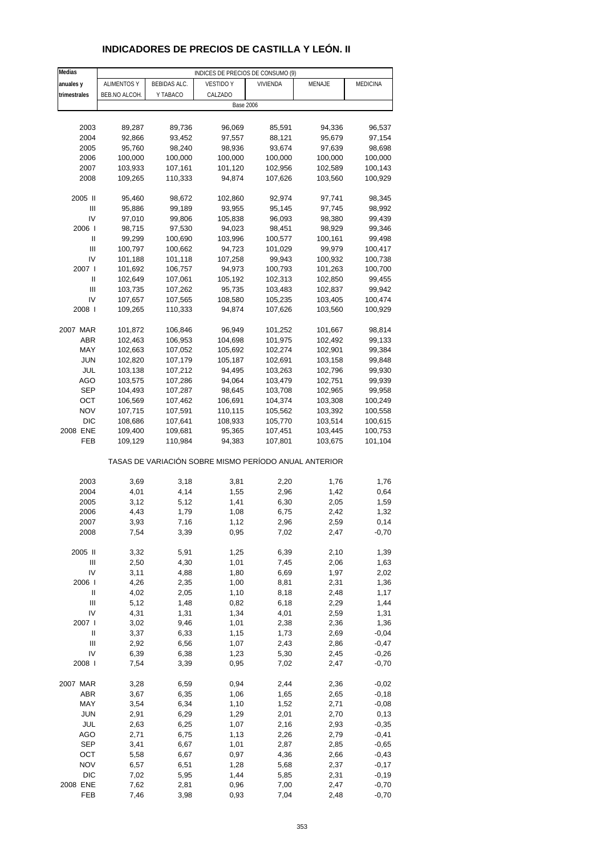# **INDICADORES DE PRECIOS DE CASTILLA Y LEÓN. II**

| Medias                                                |                    |              | INDICES DE PRECIOS DE CONSUMO (9) |          |         |                 |  |  |
|-------------------------------------------------------|--------------------|--------------|-----------------------------------|----------|---------|-----------------|--|--|
| anuales y                                             | <b>ALIMENTOS Y</b> | BEBIDAS ALC. | <b>VESTIDO Y</b>                  | VIVIENDA | MENAJE  | <b>MEDICINA</b> |  |  |
| trimestrales                                          | BEB.NO ALCOH.      | Y TABACO     | CALZADO                           |          |         |                 |  |  |
|                                                       |                    |              | <b>Base 2006</b>                  |          |         |                 |  |  |
|                                                       |                    |              |                                   |          |         |                 |  |  |
|                                                       |                    |              |                                   |          |         |                 |  |  |
| 2003                                                  | 89,287             | 89,736       | 96,069                            | 85,591   | 94,336  | 96,537          |  |  |
| 2004                                                  | 92,866             | 93,452       | 97,557                            | 88,121   | 95,679  | 97,154          |  |  |
| 2005                                                  | 95,760             | 98,240       | 98,936                            | 93,674   | 97,639  | 98,698          |  |  |
| 2006                                                  | 100,000            | 100,000      | 100,000                           | 100,000  | 100,000 | 100,000         |  |  |
| 2007                                                  | 103,933            | 107,161      | 101,120                           | 102,956  | 102,589 | 100,143         |  |  |
| 2008                                                  | 109,265            | 110,333      | 94,874                            | 107,626  | 103,560 | 100,929         |  |  |
|                                                       |                    |              |                                   |          |         |                 |  |  |
| 2005 II                                               | 95,460             | 98,672       | 102,860                           | 92,974   | 97,741  | 98,345          |  |  |
| $\mathsf{III}$                                        | 95,886             | 99,189       | 93,955                            | 95,145   | 97,745  | 98,992          |  |  |
| IV                                                    | 97,010             | 99,806       | 105,838                           | 96,093   | 98,380  | 99,439          |  |  |
| 2006                                                  | 98,715             | 97,530       | 94,023                            | 98,451   | 98,929  | 99,346          |  |  |
| Ш                                                     | 99,299             | 100,690      | 103,996                           | 100,577  | 100,161 | 99,498          |  |  |
| Ш                                                     |                    |              |                                   |          | 99,979  | 100,417         |  |  |
|                                                       | 100,797            | 100,662      | 94,723                            | 101,029  |         |                 |  |  |
| IV                                                    | 101,188            | 101,118      | 107,258                           | 99,943   | 100,932 | 100,738         |  |  |
| 2007 l                                                | 101,692            | 106,757      | 94,973                            | 100,793  | 101,263 | 100,700         |  |  |
| Ш                                                     | 102,649            | 107,061      | 105,192                           | 102,313  | 102,850 | 99,455          |  |  |
| Ш                                                     | 103,735            | 107,262      | 95,735                            | 103,483  | 102,837 | 99,942          |  |  |
| IV                                                    | 107,657            | 107,565      | 108,580                           | 105,235  | 103,405 | 100,474         |  |  |
| 2008                                                  | 109,265            | 110,333      | 94,874                            | 107,626  | 103,560 | 100,929         |  |  |
|                                                       |                    |              |                                   |          |         |                 |  |  |
| 2007 MAR                                              | 101,872            | 106,846      | 96,949                            | 101,252  | 101,667 | 98,814          |  |  |
| <b>ABR</b>                                            | 102,463            | 106,953      | 104,698                           | 101,975  | 102,492 | 99,133          |  |  |
| MAY                                                   | 102,663            | 107,052      | 105,692                           | 102,274  | 102,901 | 99,384          |  |  |
| <b>JUN</b>                                            | 102,820            | 107,179      | 105,187                           | 102,691  | 103,158 | 99,848          |  |  |
| JUL                                                   | 103,138            | 107,212      | 94,495                            | 103,263  | 102,796 | 99,930          |  |  |
| <b>AGO</b>                                            |                    |              |                                   |          |         |                 |  |  |
|                                                       | 103,575            | 107,286      | 94,064                            | 103,479  | 102,751 | 99,939          |  |  |
| SEP                                                   | 104,493            | 107,287      | 98,645                            | 103,708  | 102,965 | 99,958          |  |  |
| OCT                                                   | 106,569            | 107,462      | 106,691                           | 104,374  | 103,308 | 100,249         |  |  |
| <b>NOV</b>                                            | 107,715            | 107,591      | 110,115                           | 105,562  | 103,392 | 100,558         |  |  |
| <b>DIC</b>                                            | 108,686            | 107,641      | 108,933                           | 105,770  | 103,514 | 100,615         |  |  |
| 2008 ENE                                              | 109,400            | 109,681      | 95,365                            | 107,451  | 103,445 | 100,753         |  |  |
| FEB                                                   | 109,129            | 110,984      | 94,383                            | 107,801  | 103,675 | 101,104         |  |  |
| TASAS DE VARIACIÓN SOBRE MISMO PERÍODO ANUAL ANTERIOR |                    |              |                                   |          |         |                 |  |  |
|                                                       |                    |              |                                   |          |         |                 |  |  |
| 2003                                                  | 3,69               | 3,18         | 3,81                              | 2,20     | 1,76    | 1,76            |  |  |
| 2004                                                  | 4,01               | 4,14         | 1,55                              | 2,96     | 1,42    | 0,64            |  |  |
| 2005                                                  | 3,12               | 5,12         | 1,41                              | 6,30     | 2,05    | 1,59            |  |  |
| 2006                                                  | 4,43               | 1,79         | 1,08                              | 6,75     | 2,42    | 1,32            |  |  |
| 2007                                                  | 3,93               | 7,16         | 1,12                              | 2,96     | 2,59    | 0,14            |  |  |
| 2008                                                  | 7,54               | 3,39         | 0,95                              | 7,02     | 2,47    | $-0,70$         |  |  |
|                                                       |                    |              |                                   |          |         |                 |  |  |
| 2005 II                                               | 3,32               | 5,91         | 1,25                              | 6,39     | 2,10    | 1,39            |  |  |
| Ш                                                     | 2,50               | 4,30         | 1,01                              | 7,45     | 2,06    | 1,63            |  |  |
| IV                                                    | 3,11               | 4,88         | 1,80                              | 6,69     | 1,97    | 2,02            |  |  |
| 2006                                                  | 4,26               | 2,35         | 1,00                              | 8,81     | 2,31    | 1,36            |  |  |
| Ш                                                     | 4,02               | 2,05         | 1,10                              | 8,18     | 2,48    | 1,17            |  |  |
| Ш                                                     | 5,12               | 1,48         | 0,82                              | 6,18     | 2,29    | 1,44            |  |  |
| IV                                                    | 4,31               | 1,31         | 1,34                              | 4,01     | 2,59    | 1,31            |  |  |
| 2007 l                                                | 3,02               | 9,46         | 1,01                              | 2,38     | 2,36    | 1,36            |  |  |
|                                                       |                    |              |                                   |          |         |                 |  |  |
| Ш                                                     | 3,37               | 6,33         | 1,15                              | 1,73     | 2,69    | $-0,04$         |  |  |
| Ш                                                     | 2,92               | 6,56         | 1,07                              | 2,43     | 2,86    | $-0,47$         |  |  |
| IV                                                    | 6,39               | 6,38         | 1,23                              | 5,30     | 2,45    | $-0,26$         |  |  |
| 2008 l                                                | 7,54               | 3,39         | 0,95                              | 7,02     | 2,47    | $-0,70$         |  |  |
|                                                       |                    |              |                                   |          |         |                 |  |  |
| 2007 MAR                                              | 3,28               | 6,59         | 0,94                              | 2,44     | 2,36    | $-0,02$         |  |  |
| <b>ABR</b>                                            | 3,67               | 6,35         | 1,06                              | 1,65     | 2,65    | $-0,18$         |  |  |
| MAY                                                   | 3,54               | 6,34         | 1,10                              | 1,52     | 2,71    | $-0,08$         |  |  |
| <b>JUN</b>                                            | 2,91               | 6,29         | 1,29                              | 2,01     | 2,70    | 0,13            |  |  |
| JUL                                                   | 2,63               | 6,25         | 1,07                              | 2,16     | 2,93    | $-0,35$         |  |  |
| AGO                                                   | 2,71               | 6,75         | 1,13                              | 2,26     | 2,79    | $-0,41$         |  |  |
| <b>SEP</b>                                            | 3,41               | 6,67         | 1,01                              | 2,87     | 2,85    | $-0,65$         |  |  |
| OCT                                                   | 5,58               | 6,67         | 0,97                              | 4,36     | 2,66    | $-0,43$         |  |  |
|                                                       |                    |              |                                   |          |         |                 |  |  |
| <b>NOV</b>                                            | 6,57               | 6,51         | 1,28                              | 5,68     | 2,37    | $-0,17$         |  |  |
| <b>DIC</b>                                            | 7,02               | 5,95         | 1,44                              | 5,85     | 2,31    | $-0,19$         |  |  |
| 2008 ENE                                              | 7,62               | 2,81         | 0,96                              | 7,00     | 2,47    | $-0,70$         |  |  |
| FEB                                                   | 7,46               | 3,98         | 0,93                              | 7,04     | 2,48    | $-0,70$         |  |  |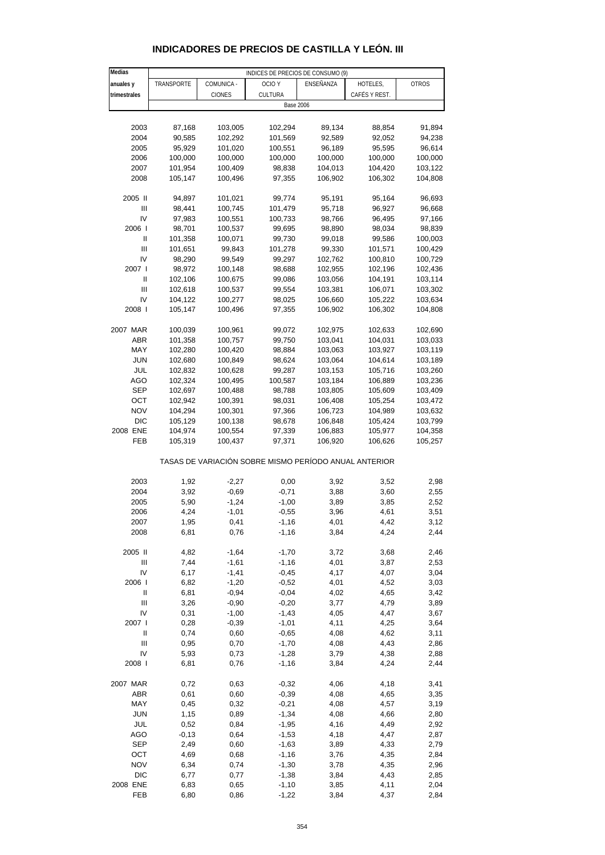| Medias                     | INDICES DE PRECIOS DE CONSUMO (9) |               |                                                       |           |               |              |  |  |
|----------------------------|-----------------------------------|---------------|-------------------------------------------------------|-----------|---------------|--------------|--|--|
| anuales y                  | TRANSPORTE                        | COMUNICA -    | OCIO Y                                                | ENSEÑANZA | HOTELES,      | <b>OTROS</b> |  |  |
| trimestrales               |                                   | <b>CIONES</b> | CULTURA                                               |           | CAFÉS Y REST. |              |  |  |
|                            |                                   |               | <b>Base 2006</b>                                      |           |               |              |  |  |
|                            |                                   |               |                                                       |           |               |              |  |  |
| 2003                       | 87,168                            | 103,005       | 102,294                                               | 89,134    | 88,854        | 91,894       |  |  |
| 2004                       | 90,585                            | 102,292       | 101,569                                               | 92,589    | 92,052        | 94,238       |  |  |
| 2005                       | 95,929                            | 101,020       | 100,551                                               | 96,189    | 95,595        | 96,614       |  |  |
| 2006                       | 100,000                           | 100,000       | 100,000                                               | 100,000   | 100,000       | 100,000      |  |  |
| 2007                       | 101,954                           | 100,409       | 98,838                                                | 104,013   | 104,420       | 103,122      |  |  |
| 2008                       | 105,147                           | 100,496       | 97,355                                                | 106,902   | 106,302       | 104,808      |  |  |
|                            |                                   |               |                                                       |           |               |              |  |  |
| 2005 II                    | 94,897                            | 101,021       | 99,774                                                | 95,191    | 95,164        | 96,693       |  |  |
| Ш                          | 98,441                            | 100,745       | 101,479                                               | 95,718    | 96,927        | 96,668       |  |  |
| IV                         | 97,983                            | 100,551       | 100,733                                               | 98,766    | 96,495        | 97,166       |  |  |
| 2006                       | 98,701                            | 100,537       | 99,695                                                | 98,890    | 98,034        | 98,839       |  |  |
| Ш                          | 101,358                           | 100,071       | 99,730                                                | 99,018    | 99,586        | 100,003      |  |  |
| $\mathbf{III}$             | 101,651                           | 99,843        | 101,278                                               | 99,330    | 101,571       | 100,429      |  |  |
| IV                         | 98,290                            | 99,549        | 99,297                                                | 102,762   | 100,810       | 100,729      |  |  |
| 2007 l                     | 98,972                            | 100,148       | 98,688                                                | 102,955   | 102,196       | 102,436      |  |  |
| Ш                          | 102,106                           | 100,675       | 99,086                                                | 103,056   | 104,191       | 103,114      |  |  |
| $\mathbf{III}$             | 102,618                           | 100,537       | 99,554                                                | 103,381   | 106,071       | 103,302      |  |  |
| IV                         | 104,122                           | 100,277       | 98,025                                                | 106,660   | 105,222       | 103,634      |  |  |
| 2008                       | 105,147                           | 100,496       | 97,355                                                | 106,902   | 106,302       | 104,808      |  |  |
|                            |                                   |               |                                                       |           |               |              |  |  |
| 2007 MAR                   | 100,039                           | 100,961       | 99,072                                                | 102,975   | 102,633       | 102,690      |  |  |
| ABR                        | 101,358                           | 100,757       | 99,750                                                | 103,041   | 104,031       | 103,033      |  |  |
| MAY                        | 102,280                           | 100,420       | 98,884                                                | 103,063   | 103,927       | 103,119      |  |  |
| <b>JUN</b>                 | 102,680                           | 100,849       | 98,624                                                | 103,064   | 104,614       | 103,189      |  |  |
| JUL                        | 102,832                           | 100,628       | 99,287                                                | 103,153   | 105,716       | 103,260      |  |  |
| <b>AGO</b>                 | 102,324                           | 100,495       | 100,587                                               | 103,184   | 106,889       | 103,236      |  |  |
| SEP                        | 102,697                           | 100,488       | 98,788                                                | 103,805   | 105,609       | 103,409      |  |  |
| OCT                        | 102,942                           | 100,391       | 98,031                                                | 106,408   | 105,254       | 103,472      |  |  |
| <b>NOV</b>                 | 104,294                           | 100,301       | 97,366                                                | 106,723   | 104,989       | 103,632      |  |  |
| DIC                        | 105,129                           | 100,138       | 98,678                                                | 106,848   | 105,424       | 103,799      |  |  |
| 2008 ENE                   | 104,974                           | 100,554       | 97,339                                                | 106,883   | 105,977       | 104,358      |  |  |
| FEB                        | 105,319                           | 100,437       | 97,371                                                | 106,920   | 106,626       | 105,257      |  |  |
|                            |                                   |               |                                                       |           |               |              |  |  |
|                            |                                   |               | TASAS DE VARIACIÓN SOBRE MISMO PERÍODO ANUAL ANTERIOR |           |               |              |  |  |
|                            |                                   |               |                                                       |           |               |              |  |  |
| 2003                       | 1,92                              | $-2,27$       | 0,00                                                  | 3,92      | 3,52          | 2,98         |  |  |
| 2004                       | 3,92                              | $-0.69$       | $-0,71$                                               | 3,88      | 3,60          | 2,55         |  |  |
| 2005                       | 5,90                              | $-1,24$       | $-1,00$                                               | 3,89      | 3,85          | 2,52         |  |  |
| 2006                       | 4,24                              | $-1,01$       | $-0.55$                                               | 3,96      | 4,61          | 3,51         |  |  |
| 2007                       | 1,95                              | 0,41          | $-1,16$                                               | 4,01      | 4,42          | 3,12         |  |  |
| 2008                       | 6,81                              | 0,76          | $-1,16$                                               | 3,84      | 4,24          | 2,44         |  |  |
|                            |                                   |               |                                                       |           |               |              |  |  |
| 2005 II                    | 4,82                              | $-1,64$       | $-1,70$                                               | 3,72      | 3,68          | 2,46         |  |  |
| Ш                          | 7,44                              | $-1,61$       | $-1,16$                                               | 4,01      | 3,87          | 2,53         |  |  |
| IV                         | 6,17                              | $-1,41$       | $-0,45$                                               | 4,17      | 4,07          | 3,04         |  |  |
| 2006                       | 6,82                              | $-1,20$       | $-0,52$                                               | 4,01      | 4,52          | 3,03         |  |  |
| $\ensuremath{\mathsf{II}}$ | 6,81                              | $-0,94$       | $-0,04$                                               | 4,02      | 4,65          | 3,42         |  |  |
| $\mathbf{III}$             | 3,26                              | $-0,90$       | $-0,20$                                               | 3,77      | 4,79          | 3,89         |  |  |
| IV                         | 0,31                              | $-1,00$       | $-1,43$                                               | 4,05      | 4,47          | 3,67         |  |  |
| 2007 l                     | 0,28                              | $-0,39$       | $-1,01$                                               | 4,11      | 4,25          | 3,64         |  |  |
| $\ensuremath{\mathsf{II}}$ | 0,74                              | 0,60          | $-0,65$                                               | 4,08      | 4,62          | 3,11         |  |  |
| Ш                          | 0,95                              | 0,70          | $-1,70$                                               | 4,08      | 4,43          | 2,86         |  |  |
| IV                         | 5,93                              | 0,73          | $-1,28$                                               | 3,79      | 4,38          | 2,88         |  |  |
| 2008                       | 6,81                              | 0,76          | $-1,16$                                               | 3,84      | 4,24          | 2,44         |  |  |
|                            |                                   |               |                                                       |           |               |              |  |  |
| 2007 MAR                   | 0,72                              | 0,63          | $-0,32$                                               | 4,06      | 4,18          | 3,41         |  |  |
| ABR                        | 0,61                              | 0,60          | $-0,39$                                               | 4,08      | 4,65          | 3,35         |  |  |
| MAY                        | 0,45                              | 0,32          | $-0,21$                                               | 4,08      | 4,57          | 3,19         |  |  |
| <b>JUN</b>                 | 1,15                              | 0,89          | $-1,34$                                               | 4,08      | 4,66          | 2,80         |  |  |
| JUL                        | 0,52                              | 0,84          | $-1,95$                                               | 4,16      | 4,49          | 2,92         |  |  |
| AGO                        | $-0, 13$                          | 0,64          | $-1,53$                                               | 4,18      | 4,47          | 2,87         |  |  |
| SEP                        | 2,49                              | 0,60          | $-1,63$                                               | 3,89      | 4,33          | 2,79         |  |  |
| OCT                        | 4,69                              | 0,68          | $-1,16$                                               | 3,76      | 4,35          | 2,84         |  |  |
| <b>NOV</b>                 | 6,34                              | 0,74          | $-1,30$                                               | 3,78      | 4,35          | 2,96         |  |  |
| <b>DIC</b>                 | 6,77                              | 0,77          | $-1,38$                                               | 3,84      | 4,43          | 2,85         |  |  |
| 2008 ENE                   | 6,83                              | 0,65          | $-1,10$                                               | 3,85      | 4,11          | 2,04         |  |  |

# **INDICADORES DE PRECIOS DE CASTILLA Y LEÓN. III**

FEB 6,80 0,86 -1,22 3,84 4,37 2,84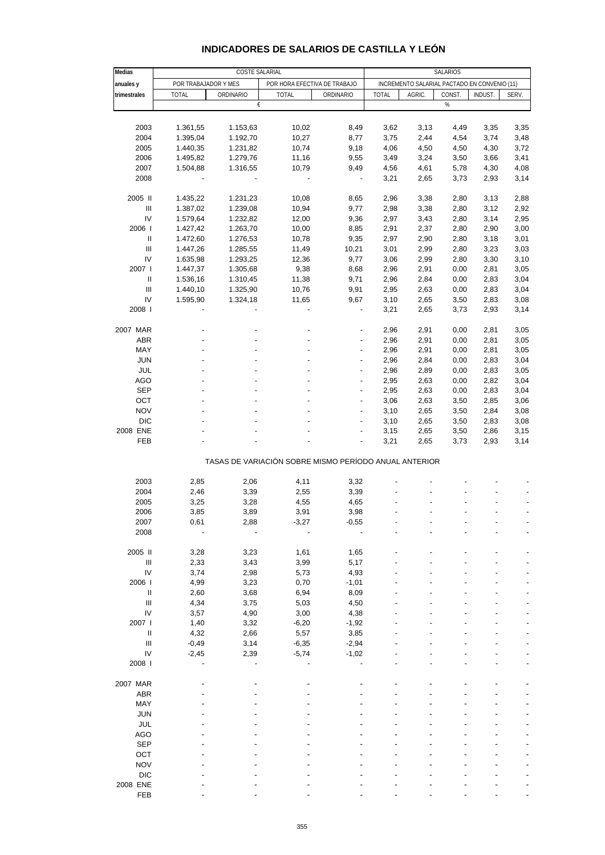| Medias                                    | COSTE SALARIAL       |                                                       |                              |                          | SALARIOS     |                                              |             |         |       |
|-------------------------------------------|----------------------|-------------------------------------------------------|------------------------------|--------------------------|--------------|----------------------------------------------|-------------|---------|-------|
|                                           |                      |                                                       |                              |                          |              |                                              |             |         |       |
| anuales y                                 | POR TRABAJADOR Y MES |                                                       | POR HORA EFECTIVA DE TRABAJO |                          |              | INCREMENTO SALARIAL PACTADO EN CONVENIO (11) |             |         |       |
| trimestrales                              | TOTAL                | ORDINARIO<br>€                                        | <b>TOTAL</b>                 | ORDINARIO                | <b>TOTAL</b> | AGRIC.                                       | CONST.<br>% | INDUST. | SERV. |
|                                           |                      |                                                       |                              |                          |              |                                              |             |         |       |
|                                           |                      |                                                       |                              |                          |              |                                              |             |         |       |
| 2003                                      | 1.361,55             | 1.153,63                                              | 10,02                        | 8,49                     | 3,62         | 3,13                                         | 4,49        | 3,35    | 3,35  |
| 2004                                      | 1.395,04             | 1.192,70                                              | 10,27                        | 8,77                     | 3,75         | 2,44                                         | 4,54        | 3,74    | 3,48  |
| 2005                                      | 1.440,35             | 1.231,82                                              | 10,74                        | 9,18                     | 4,06         | 4,50                                         | 4,50        | 4,30    | 3,72  |
| 2006                                      | 1.495,82             | 1.279,76                                              | 11,16                        | 9,55                     | 3,49         | 3,24                                         | 3,50        | 3,66    | 3,41  |
| 2007                                      | 1.504,88             | 1.316,55                                              | 10,79                        | 9,49                     | 4,56         | 4,61                                         | 5,78        | 4,30    | 4,08  |
| 2008                                      |                      |                                                       |                              | $\overline{a}$           | 3,21         | 2,65                                         | 3,73        | 2,93    | 3,14  |
| 2005 II                                   | 1.435,22             | 1.231,23                                              | 10,08                        | 8,65                     | 2,96         | 3,38                                         | 2,80        | 3,13    | 2,88  |
| Ш                                         | 1.387,02             | 1.239,08                                              | 10,94                        | 9,77                     | 2,98         | 3,38                                         | 2,80        | 3,12    | 2,92  |
| IV                                        | 1.579,64             | 1.232,82                                              | 12,00                        | 9,36                     | 2,97         | 3,43                                         | 2,80        | 3,14    | 2,95  |
| 2006                                      | 1.427,42             | 1.263,70                                              | 10,00                        | 8,85                     | 2,91         | 2,37                                         | 2,80        | 2,90    | 3,00  |
| $\ensuremath{\mathsf{II}}$                | 1.472,60             | 1.276,53                                              | 10,78                        | 9,35                     | 2,97         | 2,90                                         | 2,80        | 3,18    | 3,01  |
| III                                       | 1.447,26             | 1.285,55                                              | 11,49                        | 10,21                    | 3,01         | 2,99                                         | 2,80        | 3,23    | 3,03  |
| IV                                        |                      |                                                       |                              |                          |              |                                              |             |         |       |
|                                           | 1.635,98             | 1.293,25                                              | 12,36                        | 9,77                     | 3,06         | 2,99                                         | 2,80        | 3,30    | 3,10  |
| 2007 l                                    | 1.447,37             | 1.305,68                                              | 9,38                         | 8,68                     | 2,96         | 2,91                                         | 0,00        | 2,81    | 3,05  |
| $\mathbf l$                               | 1.536,16             | 1.310,45                                              | 11,38                        | 9,71                     | 2,96         | 2,84                                         | 0,00        | 2,83    | 3,04  |
| Ш                                         | 1.440,10             | 1.325,90                                              | 10,76                        | 9,91                     | 2,95         | 2,63                                         | 0,00        | 2,83    | 3,04  |
| IV                                        | 1.595,90             | 1.324,18                                              | 11,65                        | 9,67                     | 3,10         | 2,65                                         | 3,50        | 2,83    | 3,08  |
| 2008                                      |                      |                                                       |                              | $\overline{\phantom{a}}$ | 3,21         | 2,65                                         | 3,73        | 2,93    | 3,14  |
| 2007 MAR                                  |                      |                                                       |                              |                          | 2,96         | 2,91                                         | 0,00        | 2,81    | 3,05  |
| <b>ABR</b>                                |                      |                                                       |                              | $\overline{\phantom{a}}$ | 2,96         | 2,91                                         | 0,00        | 2,81    | 3,05  |
| MAY                                       |                      |                                                       |                              |                          | 2,96         | 2,91                                         | 0,00        | 2,81    | 3,05  |
| <b>JUN</b>                                |                      |                                                       |                              |                          | 2,96         | 2,84                                         | 0,00        | 2,83    | 3,04  |
| JUL                                       |                      |                                                       |                              |                          | 2,96         | 2,89                                         | 0,00        | 2,83    | 3,05  |
| <b>AGO</b>                                |                      |                                                       |                              | $\blacksquare$           | 2,95         | 2,63                                         | 0,00        | 2,82    | 3,04  |
| <b>SEP</b>                                |                      |                                                       |                              |                          |              |                                              |             |         |       |
|                                           |                      |                                                       |                              |                          | 2,95         | 2,63                                         | 0,00        | 2,83    | 3,04  |
| OCT                                       |                      |                                                       |                              |                          | 3,06         | 2,63                                         | 3,50        | 2,85    | 3,06  |
| <b>NOV</b>                                |                      |                                                       |                              | $\blacksquare$           | 3,10         | 2,65                                         | 3,50        | 2,84    | 3,08  |
| <b>DIC</b>                                |                      |                                                       |                              |                          | 3,10         | 2,65                                         | 3,50        | 2,83    | 3,08  |
| 2008 ENE                                  |                      |                                                       |                              |                          | 3,15         | 2,65                                         | 3,50        | 2,86    | 3,15  |
| FEB                                       |                      |                                                       |                              |                          | 3,21         | 2,65                                         | 3,73        | 2,93    | 3,14  |
|                                           |                      | TASAS DE VARIACIÓN SOBRE MISMO PERÍODO ANUAL ANTERIOR |                              |                          |              |                                              |             |         |       |
|                                           |                      |                                                       |                              |                          |              |                                              |             |         |       |
| 2003                                      | 2,85                 | 2,06                                                  | 4,11                         | 3,32                     |              |                                              |             |         |       |
| 2004                                      | 2,46                 | 3,39                                                  | 2,55                         | 3,39                     |              |                                              |             |         |       |
| 2005                                      | 3,25                 | 3,28                                                  | 4,55                         | 4,65                     |              |                                              |             |         |       |
| 2006                                      | 3,85                 | 3,89                                                  | 3,91                         | 3,98                     |              |                                              |             |         |       |
| 2007                                      | 0,61                 | 2,88                                                  | $-3,27$                      | $-0,55$                  |              |                                              |             |         |       |
| 2008                                      |                      |                                                       |                              |                          |              |                                              |             |         |       |
|                                           |                      |                                                       |                              |                          |              |                                              |             |         |       |
| 2005 II                                   | 3,28                 | 3,23                                                  | 1,61                         | 1,65                     |              |                                              |             |         |       |
| $\mathbf{III}$                            | 2,33                 | 3,43                                                  | 3,99                         | 5,17                     |              |                                              |             |         |       |
| IV                                        | 3,74                 | 2,98                                                  | 5,73                         | 4,93                     |              |                                              |             |         |       |
| 2006 l                                    | 4,99                 | 3,23                                                  | 0,70                         | $-1,01$                  |              |                                              |             |         |       |
| $\ensuremath{\mathsf{II}}$                | 2,60                 | 3,68                                                  | 6,94                         | 8,09                     |              |                                              |             |         |       |
| Ш                                         | 4,34                 | 3,75                                                  | 5,03                         | 4,50                     |              |                                              |             |         |       |
| IV                                        | 3,57                 | 4,90                                                  | 3,00                         | 4,38                     |              |                                              |             |         |       |
| 2007 l                                    | 1,40                 | 3,32                                                  | $-6,20$                      | $-1,92$                  |              |                                              |             |         |       |
| $\label{eq:1} \prod_{i=1}^n \mathbb{I}_i$ | 4,32                 | 2,66                                                  | 5,57                         | 3,85                     |              |                                              |             |         |       |
| Ш                                         | $-0,49$              | 3,14                                                  | $-6,35$                      | $-2,94$                  |              |                                              |             |         |       |
| IV                                        | $-2,45$              | 2,39                                                  | $-5,74$                      | $-1,02$                  |              |                                              |             |         |       |
| 2008 l                                    |                      |                                                       |                              |                          |              |                                              |             |         |       |
| 2007 MAR                                  |                      |                                                       |                              |                          |              |                                              |             |         |       |
|                                           |                      |                                                       |                              |                          |              |                                              |             |         |       |
| <b>ABR</b>                                |                      |                                                       |                              |                          |              |                                              |             |         |       |
| MAY                                       |                      |                                                       |                              |                          |              |                                              |             |         |       |
| <b>JUN</b>                                |                      |                                                       |                              |                          |              |                                              |             |         |       |
| JUL                                       |                      |                                                       |                              |                          |              |                                              |             |         |       |
| <b>AGO</b>                                |                      |                                                       |                              |                          |              |                                              |             |         |       |
| <b>SEP</b>                                |                      |                                                       |                              |                          |              |                                              |             |         |       |
| OCT                                       |                      |                                                       |                              |                          |              |                                              |             |         |       |
| <b>NOV</b>                                |                      |                                                       |                              |                          |              |                                              |             |         |       |
| <b>DIC</b>                                |                      |                                                       |                              |                          |              |                                              |             |         |       |
| 2008 ENE                                  |                      |                                                       |                              |                          |              |                                              |             |         |       |

## **INDICADORES DE SALARIOS DE CASTILLA Y LEÓN**

FEB - - - - - - ---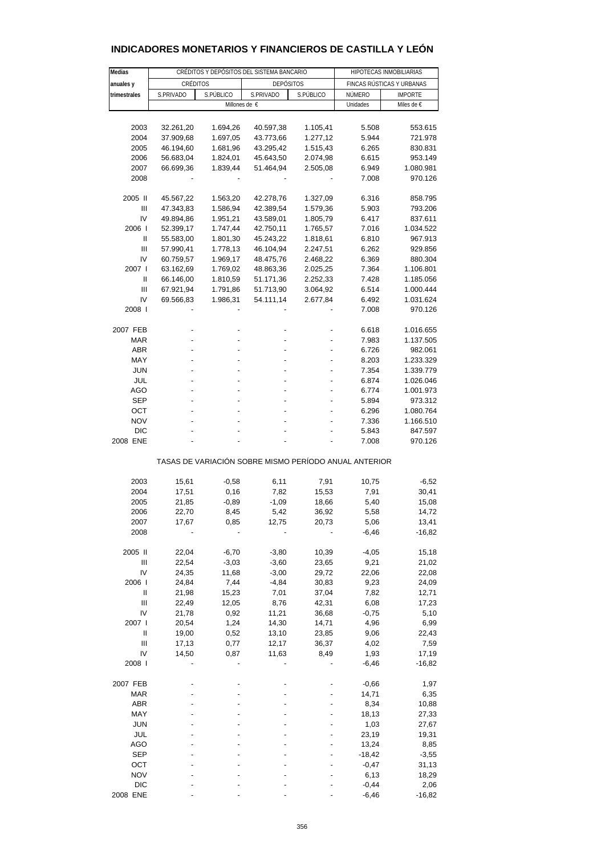| Medias                                | CRÉDITOS Y DEPÓSITOS DEL SISTEMA BANCARIO |           |                                                       |           | HIPOTECAS INMOBILIARIAS |                           |  |
|---------------------------------------|-------------------------------------------|-----------|-------------------------------------------------------|-----------|-------------------------|---------------------------|--|
| anuales y                             | CRÉDITOS                                  |           | <b>DEPÓSITOS</b>                                      |           |                         | FINCAS RÚSTICAS Y URBANAS |  |
| trimestrales                          | S.PRIVADO                                 | S.PÚBLICO | S.PRIVADO                                             | S.PÚBLICO | NÚMERO                  | <b>IMPORTE</b>            |  |
|                                       |                                           |           | Millones de €                                         |           | Unidades                | Miles de €                |  |
|                                       |                                           |           |                                                       |           |                         |                           |  |
| 2003                                  | 32.261,20                                 | 1.694,26  | 40.597,38                                             | 1.105,41  | 5.508                   | 553.615                   |  |
| 2004                                  | 37.909,68                                 | 1.697,05  | 43.773,66                                             | 1.277,12  | 5.944                   | 721.978                   |  |
| 2005                                  | 46.194,60                                 | 1.681,96  | 43.295,42                                             | 1.515,43  | 6.265                   | 830.831                   |  |
| 2006                                  | 56.683,04                                 | 1.824,01  | 45.643,50                                             | 2.074,98  | 6.615                   | 953.149                   |  |
| 2007                                  | 66.699,36                                 | 1.839,44  | 51.464,94                                             | 2.505,08  | 6.949                   | 1.080.981                 |  |
| 2008                                  |                                           |           |                                                       |           | 7.008                   | 970.126                   |  |
|                                       |                                           |           |                                                       |           |                         |                           |  |
| 2005 II                               | 45.567,22                                 | 1.563,20  | 42.278,76                                             | 1.327,09  | 6.316                   | 858.795                   |  |
| Ш                                     | 47.343,83                                 | 1.586,94  | 42.389,54                                             | 1.579,36  | 5.903                   | 793.206                   |  |
| IV                                    | 49.894,86                                 | 1.951,21  | 43.589,01                                             | 1.805,79  | 6.417                   | 837.611                   |  |
| 2006                                  | 52.399,17                                 | 1.747,44  | 42.750,11                                             | 1.765,57  | 7.016                   | 1.034.522                 |  |
| Ш                                     | 55.583,00                                 | 1.801,30  | 45.243,22                                             | 1.818,61  | 6.810                   | 967.913                   |  |
| Ш                                     | 57.990,41                                 | 1.778,13  | 46.104,94                                             | 2.247,51  | 6.262                   | 929.856                   |  |
| IV                                    | 60.759,57                                 | 1.969,17  | 48.475,76                                             | 2.468,22  | 6.369                   | 880.304                   |  |
| 2007 l                                | 63.162,69                                 | 1.769,02  | 48.863,36                                             | 2.025,25  | 7.364                   | 1.106.801                 |  |
| Ш                                     | 66.146,00                                 | 1.810,59  | 51.171,36                                             | 2.252,33  | 7.428                   | 1.185.056                 |  |
| Ш                                     | 67.921,94                                 | 1.791,86  | 51.713,90                                             | 3.064,92  | 6.514                   | 1.000.444                 |  |
| IV                                    | 69.566,83                                 | 1.986,31  | 54.111,14                                             | 2.677,84  | 6.492                   | 1.031.624                 |  |
| 2008                                  |                                           |           |                                                       |           | 7.008                   | 970.126                   |  |
|                                       |                                           |           |                                                       |           |                         |                           |  |
| 2007 FEB                              |                                           |           |                                                       |           | 6.618                   | 1.016.655                 |  |
| MAR                                   |                                           |           |                                                       |           | 7.983                   | 1.137.505                 |  |
| <b>ABR</b>                            |                                           |           |                                                       |           | 6.726                   | 982.061                   |  |
| MAY                                   |                                           |           |                                                       |           | 8.203                   | 1.233.329                 |  |
| <b>JUN</b>                            |                                           |           |                                                       |           | 7.354                   | 1.339.779                 |  |
| JUL                                   |                                           |           |                                                       |           | 6.874                   | 1.026.046                 |  |
| AGO                                   |                                           |           |                                                       |           | 6.774                   | 1.001.973                 |  |
| <b>SEP</b>                            |                                           |           |                                                       |           | 5.894                   | 973.312                   |  |
| ОСТ                                   |                                           |           |                                                       |           | 6.296                   | 1.080.764                 |  |
| <b>NOV</b>                            |                                           |           |                                                       |           | 7.336                   | 1.166.510                 |  |
| DIC                                   |                                           |           |                                                       |           | 5.843                   | 847.597                   |  |
| 2008 ENE                              |                                           |           |                                                       |           | 7.008                   | 970.126                   |  |
|                                       |                                           |           |                                                       |           |                         |                           |  |
|                                       |                                           |           | TASAS DE VARIACIÓN SOBRE MISMO PERÍODO ANUAL ANTERIOR |           |                         |                           |  |
|                                       |                                           |           |                                                       |           |                         |                           |  |
| 2003                                  | 15,61                                     | $-0,58$   | 6,11                                                  | 7,91      | 10,75                   | $-6,52$                   |  |
| 2004                                  | 17,51                                     | 0,16      | 7,82                                                  | 15,53     | 7,91                    | 30,41                     |  |
| 2005                                  | 21,85                                     | $-0,89$   | -1,09                                                 | 18,66     | 5,40                    | 15,08                     |  |
| 2006                                  | 22,70                                     | 8,45      | 5,42                                                  | 36,92     | 5,58                    | 14,72                     |  |
| 2007                                  | 17,67                                     | 0,85      | 12,75                                                 | 20,73     | 5,06                    | 13,41                     |  |
| 2008                                  |                                           |           |                                                       |           | $-6,46$                 | $-16,82$                  |  |
|                                       |                                           |           |                                                       |           |                         |                           |  |
| 2005 II                               | 22,04                                     | $-6,70$   | $-3,80$                                               | 10,39     | $-4,05$                 | 15,18                     |  |
| $\mathbf{III}$                        | 22,54                                     | $-3,03$   | $-3,60$                                               | 23,65     | 9,21                    | 21,02                     |  |
| IV                                    | 24,35                                     | 11,68     | $-3,00$                                               | 29,72     | 22,06                   | 22,08                     |  |
| 2006                                  | 24,84                                     | 7,44      | -4,84                                                 | 30,83     | 9,23                    | 24,09                     |  |
| $\begin{array}{c} \hline \end{array}$ | 21,98                                     | 15,23     | 7,01                                                  | 37,04     | 7,82                    | 12,71                     |  |
| Ш                                     | 22,49                                     | 12,05     | 8,76                                                  | 42,31     | 6,08                    | 17,23                     |  |
| IV                                    | 21,78                                     | 0,92      | 11,21                                                 | 36,68     | $-0,75$                 | 5,10                      |  |
| 2007 l                                | 20,54                                     | 1,24      | 14,30                                                 | 14,71     | 4,96                    | 6,99                      |  |
| $\begin{array}{c} \hline \end{array}$ | 19,00                                     | 0,52      | 13,10                                                 | 23,85     | 9,06                    | 22,43                     |  |
| Ш                                     | 17,13                                     | 0,77      | 12,17                                                 | 36,37     | 4,02                    | 7,59                      |  |
| IV                                    | 14,50                                     | 0,87      | 11,63                                                 | 8,49      | 1,93                    | 17,19                     |  |
| 2008                                  |                                           |           |                                                       |           | $-6,46$                 | -16,82                    |  |
|                                       |                                           |           |                                                       |           |                         |                           |  |
| 2007 FEB                              |                                           |           |                                                       |           | $-0,66$                 | 1,97                      |  |
| <b>MAR</b>                            |                                           |           |                                                       |           | 14,71                   | 6,35                      |  |
| ABR                                   |                                           |           |                                                       |           | 8,34                    | 10,88                     |  |
| MAY                                   |                                           |           |                                                       |           | 18,13                   | 27,33                     |  |
| JUN                                   |                                           |           |                                                       |           | 1,03                    | 27,67                     |  |
| JUL                                   |                                           |           |                                                       |           | 23,19                   | 19,31                     |  |
| <b>AGO</b>                            |                                           |           |                                                       |           | 13,24                   | 8,85                      |  |
| <b>SEP</b>                            |                                           |           |                                                       |           | $-18,42$                | $-3,55$                   |  |
| OCT                                   |                                           |           |                                                       |           | $-0,47$                 | 31,13                     |  |
| <b>NOV</b>                            |                                           |           |                                                       |           | 6,13                    | 18,29                     |  |
| DIC                                   |                                           |           |                                                       |           | $-0,44$                 | 2,06                      |  |
| 2008 ENE                              |                                           |           |                                                       |           | $-6,46$                 | $-16,82$                  |  |

# **INDICADORES MONETARIOS Y FINANCIEROS DE CASTILLA Y LEÓN**